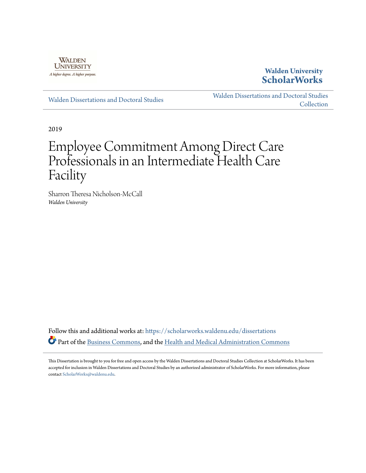

# **Walden University [ScholarWorks](https://scholarworks.waldenu.edu?utm_source=scholarworks.waldenu.edu%2Fdissertations%2F7243&utm_medium=PDF&utm_campaign=PDFCoverPages)**

[Walden Dissertations and Doctoral Studies](https://scholarworks.waldenu.edu/dissertations?utm_source=scholarworks.waldenu.edu%2Fdissertations%2F7243&utm_medium=PDF&utm_campaign=PDFCoverPages)

[Walden Dissertations and Doctoral Studies](https://scholarworks.waldenu.edu/dissanddoc?utm_source=scholarworks.waldenu.edu%2Fdissertations%2F7243&utm_medium=PDF&utm_campaign=PDFCoverPages) **[Collection](https://scholarworks.waldenu.edu/dissanddoc?utm_source=scholarworks.waldenu.edu%2Fdissertations%2F7243&utm_medium=PDF&utm_campaign=PDFCoverPages)** 

2019

# Employee Commitment Among Direct Care Professionals in an Intermediate Health Care Facility

Sharron Theresa Nicholson-McCall *Walden University*

Follow this and additional works at: [https://scholarworks.waldenu.edu/dissertations](https://scholarworks.waldenu.edu/dissertations?utm_source=scholarworks.waldenu.edu%2Fdissertations%2F7243&utm_medium=PDF&utm_campaign=PDFCoverPages) Part of the [Business Commons,](http://network.bepress.com/hgg/discipline/622?utm_source=scholarworks.waldenu.edu%2Fdissertations%2F7243&utm_medium=PDF&utm_campaign=PDFCoverPages) and the [Health and Medical Administration Commons](http://network.bepress.com/hgg/discipline/663?utm_source=scholarworks.waldenu.edu%2Fdissertations%2F7243&utm_medium=PDF&utm_campaign=PDFCoverPages)

This Dissertation is brought to you for free and open access by the Walden Dissertations and Doctoral Studies Collection at ScholarWorks. It has been accepted for inclusion in Walden Dissertations and Doctoral Studies by an authorized administrator of ScholarWorks. For more information, please contact [ScholarWorks@waldenu.edu](mailto:ScholarWorks@waldenu.edu).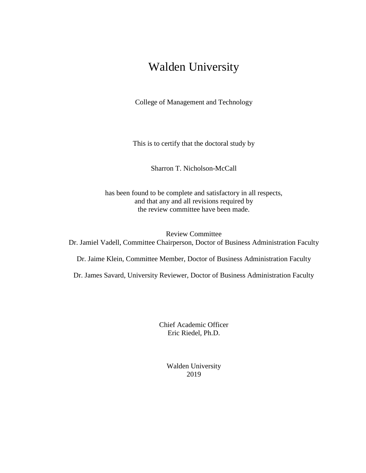# Walden University

College of Management and Technology

This is to certify that the doctoral study by

Sharron T. Nicholson-McCall

has been found to be complete and satisfactory in all respects, and that any and all revisions required by the review committee have been made.

Review Committee Dr. Jamiel Vadell, Committee Chairperson, Doctor of Business Administration Faculty

Dr. Jaime Klein, Committee Member, Doctor of Business Administration Faculty

Dr. James Savard, University Reviewer, Doctor of Business Administration Faculty

Chief Academic Officer Eric Riedel, Ph.D.

> Walden University 2019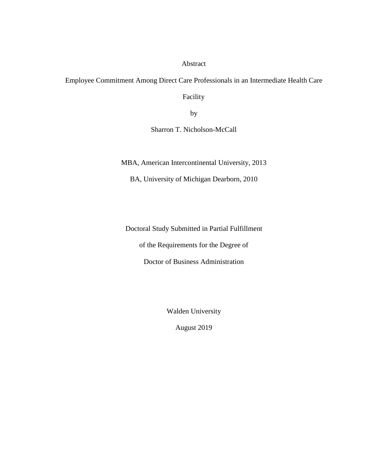Abstract

Employee Commitment Among Direct Care Professionals in an Intermediate Health Care

Facility

by

Sharron T. Nicholson-McCall

MBA, American Intercontinental University, 2013

BA, University of Michigan Dearborn, 2010

Doctoral Study Submitted in Partial Fulfillment

of the Requirements for the Degree of

Doctor of Business Administration

Walden University

August 2019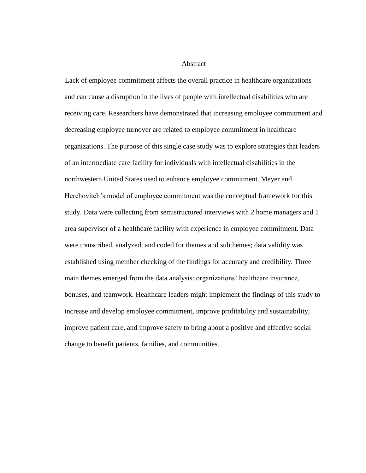# Abstract

Lack of employee commitment affects the overall practice in healthcare organizations and can cause a disruption in the lives of people with intellectual disabilities who are receiving care. Researchers have demonstrated that increasing employee commitment and decreasing employee turnover are related to employee commitment in healthcare organizations. The purpose of this single case study was to explore strategies that leaders of an intermediate care facility for individuals with intellectual disabilities in the northwestern United States used to enhance employee commitment. Meyer and Herchovitch's model of employee commitment was the conceptual framework for this study. Data were collecting from semistructured interviews with 2 home managers and 1 area supervisor of a healthcare facility with experience in employee commitment. Data were transcribed, analyzed, and coded for themes and subthemes; data validity was established using member checking of the findings for accuracy and credibility. Three main themes emerged from the data analysis: organizations' healthcare insurance, bonuses, and teamwork. Healthcare leaders might implement the findings of this study to increase and develop employee commitment, improve profitability and sustainability, improve patient care, and improve safety to bring about a positive and effective social change to benefit patients, families, and communities.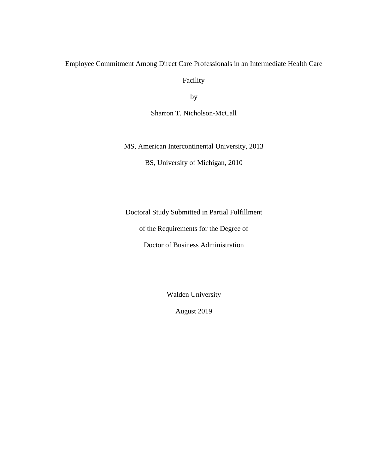# Employee Commitment Among Direct Care Professionals in an Intermediate Health Care

Facility

by

Sharron T. Nicholson-McCall

MS, American Intercontinental University, 2013

BS, University of Michigan, 2010

Doctoral Study Submitted in Partial Fulfillment

of the Requirements for the Degree of

Doctor of Business Administration

Walden University

August 2019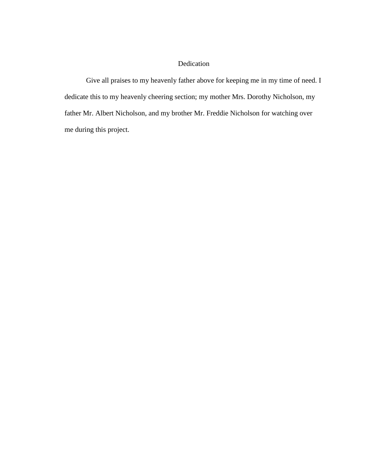# Dedication

Give all praises to my heavenly father above for keeping me in my time of need. I dedicate this to my heavenly cheering section; my mother Mrs. Dorothy Nicholson, my father Mr. Albert Nicholson, and my brother Mr. Freddie Nicholson for watching over me during this project.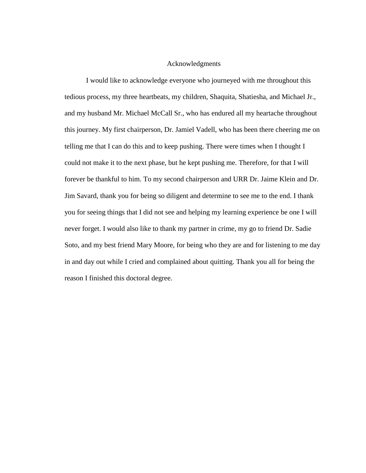# Acknowledgments

I would like to acknowledge everyone who journeyed with me throughout this tedious process, my three heartbeats, my children, Shaquita, Shatiesha, and Michael Jr., and my husband Mr. Michael McCall Sr., who has endured all my heartache throughout this journey. My first chairperson, Dr. Jamiel Vadell, who has been there cheering me on telling me that I can do this and to keep pushing. There were times when I thought I could not make it to the next phase, but he kept pushing me. Therefore, for that I will forever be thankful to him. To my second chairperson and URR Dr. Jaime Klein and Dr. Jim Savard, thank you for being so diligent and determine to see me to the end. I thank you for seeing things that I did not see and helping my learning experience be one I will never forget. I would also like to thank my partner in crime, my go to friend Dr. Sadie Soto, and my best friend Mary Moore, for being who they are and for listening to me day in and day out while I cried and complained about quitting. Thank you all for being the reason I finished this doctoral degree.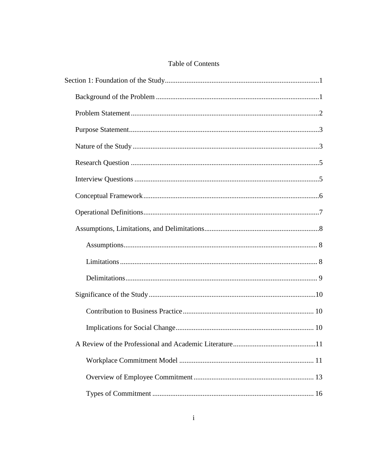# Table of Contents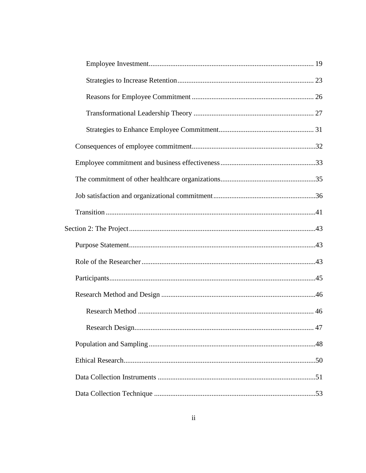|  | 47 |
|--|----|
|  |    |
|  |    |
|  |    |
|  |    |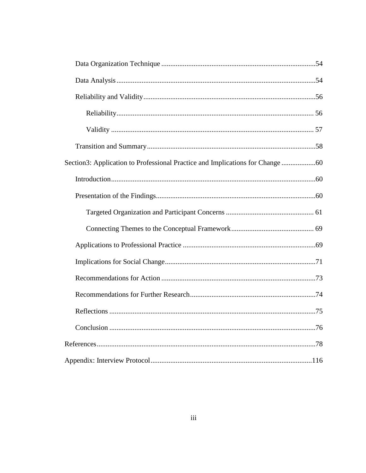| Section3: Application to Professional Practice and Implications for Change |  |
|----------------------------------------------------------------------------|--|
|                                                                            |  |
|                                                                            |  |
|                                                                            |  |
|                                                                            |  |
|                                                                            |  |
|                                                                            |  |
|                                                                            |  |
|                                                                            |  |
|                                                                            |  |
|                                                                            |  |
|                                                                            |  |
|                                                                            |  |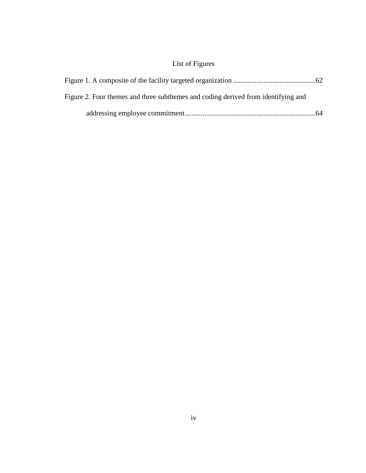# List of Figures

| Figure 2. Four themes and three subthemes and coding derived from identifying and |  |
|-----------------------------------------------------------------------------------|--|
|                                                                                   |  |
|                                                                                   |  |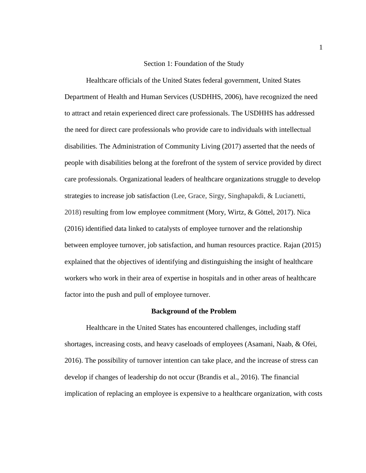# Section 1: Foundation of the Study

<span id="page-11-0"></span>Healthcare officials of the United States federal government, United States Department of Health and Human Services (USDHHS, 2006), have recognized the need to attract and retain experienced direct care professionals. The USDHHS has addressed the need for direct care professionals who provide care to individuals with intellectual disabilities. The Administration of Community Living (2017) asserted that the needs of people with disabilities belong at the forefront of the system of service provided by direct care professionals. Organizational leaders of healthcare organizations struggle to develop strategies to increase job satisfaction (Lee, Grace, Sirgy, Singhapakdi, & Lucianetti, 2018) resulting from low employee commitment (Mory, Wirtz, & Göttel, 2017). Nica (2016) identified data linked to catalysts of employee turnover and the relationship between employee turnover, job satisfaction, and human resources practice. Rajan (2015) explained that the objectives of identifying and distinguishing the insight of healthcare workers who work in their area of expertise in hospitals and in other areas of healthcare factor into the push and pull of employee turnover.

#### **Background of the Problem**

<span id="page-11-1"></span>Healthcare in the United States has encountered challenges, including staff shortages, increasing costs, and heavy caseloads of employees (Asamani, Naab, & Ofei, 2016). The possibility of turnover intention can take place, and the increase of stress can develop if changes of leadership do not occur (Brandis et al., 2016). The financial implication of replacing an employee is expensive to a healthcare organization, with costs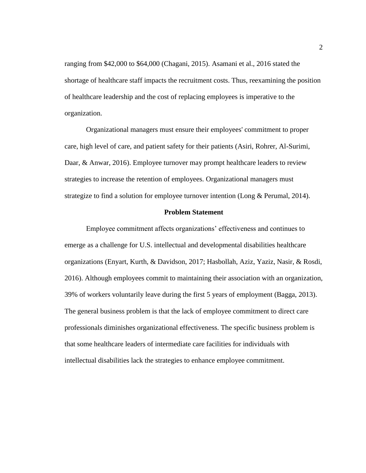ranging from \$42,000 to \$64,000 (Chagani, 2015). Asamani et al., 2016 stated the shortage of healthcare staff impacts the recruitment costs. Thus, reexamining the position of healthcare leadership and the cost of replacing employees is imperative to the organization.

Organizational managers must ensure their employees' commitment to proper care, high level of care, and patient safety for their patients (Asiri, Rohrer, Al-Surimi, Daar, & Anwar, 2016). Employee turnover may prompt healthcare leaders to review strategies to increase the retention of employees. Organizational managers must strategize to find a solution for employee turnover intention (Long & Perumal, 2014).

#### **Problem Statement**

<span id="page-12-0"></span>Employee commitment affects organizations' effectiveness and continues to emerge as a challenge for U.S. intellectual and developmental disabilities healthcare organizations (Enyart, Kurth, & Davidson, 2017; Hasbollah, Aziz, Yaziz, Nasir, & Rosdi, 2016). Although employees commit to maintaining their association with an organization, 39% of workers voluntarily leave during the first 5 years of employment (Bagga, 2013). The general business problem is that the lack of employee commitment to direct care professionals diminishes organizational effectiveness. The specific business problem is that some healthcare leaders of intermediate care facilities for individuals with intellectual disabilities lack the strategies to enhance employee commitment.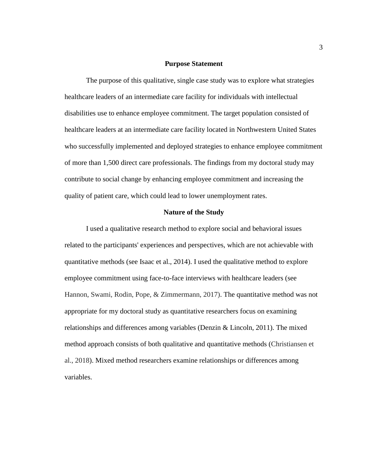## **Purpose Statement**

<span id="page-13-0"></span>The purpose of this qualitative, single case study was to explore what strategies healthcare leaders of an intermediate care facility for individuals with intellectual disabilities use to enhance employee commitment. The target population consisted of healthcare leaders at an intermediate care facility located in Northwestern United States who successfully implemented and deployed strategies to enhance employee commitment of more than 1,500 direct care professionals. The findings from my doctoral study may contribute to social change by enhancing employee commitment and increasing the quality of patient care, which could lead to lower unemployment rates.

# **Nature of the Study**

<span id="page-13-1"></span>I used a qualitative research method to explore social and behavioral issues related to the participants' experiences and perspectives, which are not achievable with quantitative methods (see Isaac et al., 2014). I used the qualitative method to explore employee commitment using face-to-face interviews with healthcare leaders (see Hannon, Swami, Rodin, Pope, & Zimmermann, 2017). The quantitative method was not appropriate for my doctoral study as quantitative researchers focus on examining relationships and differences among variables (Denzin & Lincoln, 2011). The mixed method approach consists of both qualitative and quantitative methods (Christiansen et al., 2018). Mixed method researchers examine relationships or differences among variables.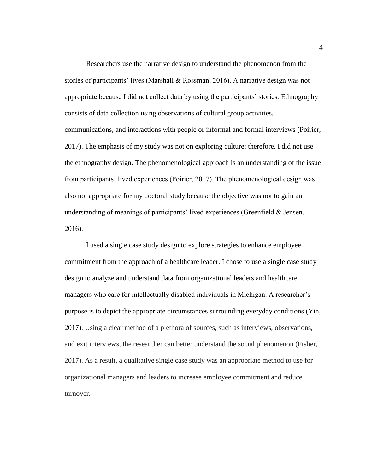Researchers use the narrative design to understand the phenomenon from the stories of participants' lives (Marshall & Rossman, 2016). A narrative design was not appropriate because I did not collect data by using the participants' stories. Ethnography consists of data collection using observations of cultural group activities, communications, and interactions with people or informal and formal interviews (Poirier, 2017). The emphasis of my study was not on exploring culture; therefore, I did not use the ethnography design. The phenomenological approach is an understanding of the issue from participants' lived experiences (Poirier, 2017). The phenomenological design was also not appropriate for my doctoral study because the objective was not to gain an understanding of meanings of participants' lived experiences (Greenfield & Jensen, 2016).

I used a single case study design to explore strategies to enhance employee commitment from the approach of a healthcare leader. I chose to use a single case study design to analyze and understand data from organizational leaders and healthcare managers who care for intellectually disabled individuals in Michigan. A researcher's purpose is to depict the appropriate circumstances surrounding everyday conditions (Yin, 2017). Using a clear method of a plethora of sources, such as interviews, observations, and exit interviews, the researcher can better understand the social phenomenon (Fisher, 2017). As a result, a qualitative single case study was an appropriate method to use for organizational managers and leaders to increase employee commitment and reduce turnover.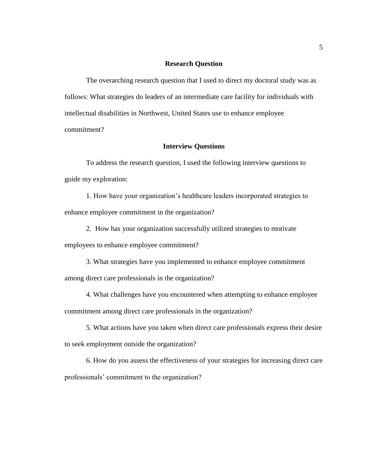# **Research Question**

<span id="page-15-0"></span>The overarching research question that I used to direct my doctoral study was as follows: What strategies do leaders of an intermediate care facility for individuals with intellectual disabilities in Northwest, United States use to enhance employee commitment?

## **Interview Questions**

<span id="page-15-1"></span>To address the research question, I used the following interview questions to guide my exploration:

1. How have your organization's healthcare leaders incorporated strategies to enhance employee commitment in the organization?

2. How has your organization successfully utilized strategies to motivate

employees to enhance employee commitment?

- 3. What strategies have you implemented to enhance employee commitment among direct care professionals in the organization?
- 4. What challenges have you encountered when attempting to enhance employee commitment among direct care professionals in the organization?
- 5. What actions have you taken when direct care professionals express their desire to seek employment outside the organization?

6. How do you assess the effectiveness of your strategies for increasing direct care professionals' commitment to the organization?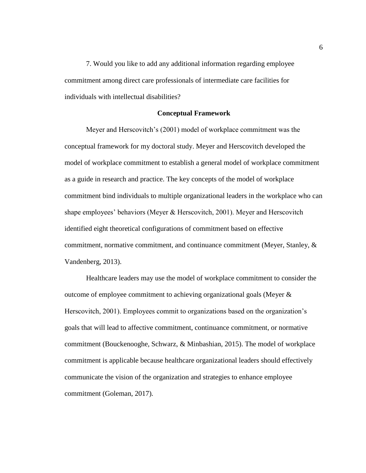7. Would you like to add any additional information regarding employee commitment among direct care professionals of intermediate care facilities for individuals with intellectual disabilities?

#### **Conceptual Framework**

<span id="page-16-0"></span>Meyer and Herscovitch's (2001) model of workplace commitment was the conceptual framework for my doctoral study. Meyer and Herscovitch developed the model of workplace commitment to establish a general model of workplace commitment as a guide in research and practice. The key concepts of the model of workplace commitment bind individuals to multiple organizational leaders in the workplace who can shape employees' behaviors (Meyer & Herscovitch, 2001). Meyer and Herscovitch identified eight theoretical configurations of commitment based on effective commitment, normative commitment, and continuance commitment (Meyer, Stanley, & Vandenberg, 2013).

Healthcare leaders may use the model of workplace commitment to consider the outcome of employee commitment to achieving organizational goals (Meyer  $\&$ Herscovitch, 2001). Employees commit to organizations based on the organization's goals that will lead to affective commitment, continuance commitment, or normative commitment (Bouckenooghe, Schwarz, & Minbashian, 2015). The model of workplace commitment is applicable because healthcare organizational leaders should effectively communicate the vision of the organization and strategies to enhance employee commitment (Goleman, 2017).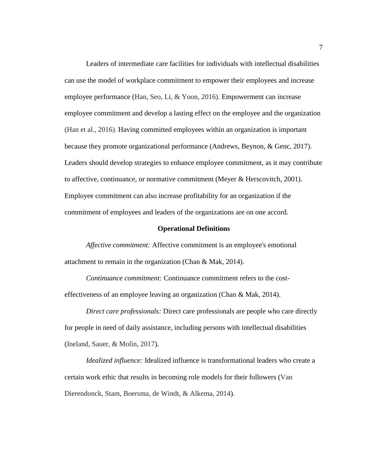Leaders of intermediate care facilities for individuals with intellectual disabilities can use the model of workplace commitment to empower their employees and increase employee performance (Han, Seo, Li, & Yoon, 2016). Empowerment can increase employee commitment and develop a lasting effect on the employee and the organization (Han et al., 2016). Having committed employees within an organization is important because they promote organizational performance (Andrews, Beynon, & Genc, 2017). Leaders should develop strategies to enhance employee commitment, as it may contribute to affective, continuance, or normative commitment (Meyer  $\&$  Herscovitch, 2001). Employee commitment can also increase profitability for an organization if the commitment of employees and leaders of the organizations are on one accord.

#### **Operational Definitions**

<span id="page-17-0"></span>*Affective commitment:* Affective commitment is an employee's emotional attachment to remain in the organization (Chan & Mak, 2014).

*Continuance commitment:* Continuance commitment refers to the costeffectiveness of an employee leaving an organization (Chan & Mak, 2014).

*Direct care professionals:* Direct care professionals are people who care directly for people in need of daily assistance, including persons with intellectual disabilities (Ineland, Sauer, & Molin, 2017).

*Idealized influence:* Idealized influence is transformational leaders who create a certain work ethic that results in becoming role models for their followers (Van Dierendonck, Stam, Boersma, de Windt, & Alkema, 2014).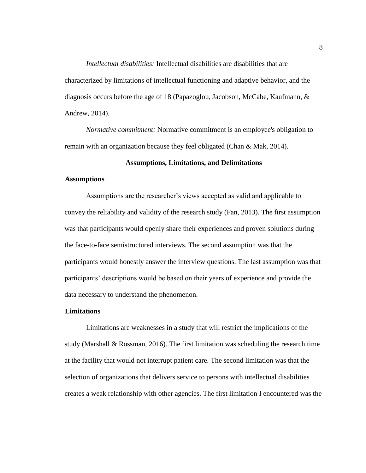*Intellectual disabilities:* Intellectual disabilities are disabilities that are characterized by limitations of intellectual functioning and adaptive behavior, and the diagnosis occurs before the age of 18 (Papazoglou, Jacobson, McCabe, Kaufmann, & Andrew, 2014).

*Normative commitment:* Normative commitment is an employee's obligation to remain with an organization because they feel obligated (Chan & Mak, 2014).

# **Assumptions, Limitations, and Delimitations**

# <span id="page-18-1"></span><span id="page-18-0"></span>**Assumptions**

Assumptions are the researcher's views accepted as valid and applicable to convey the reliability and validity of the research study (Fan, 2013). The first assumption was that participants would openly share their experiences and proven solutions during the face-to-face semistructured interviews. The second assumption was that the participants would honestly answer the interview questions. The last assumption was that participants' descriptions would be based on their years of experience and provide the data necessary to understand the phenomenon.

#### <span id="page-18-2"></span>**Limitations**

Limitations are weaknesses in a study that will restrict the implications of the study (Marshall & Rossman, 2016). The first limitation was scheduling the research time at the facility that would not interrupt patient care. The second limitation was that the selection of organizations that delivers service to persons with intellectual disabilities creates a weak relationship with other agencies. The first limitation I encountered was the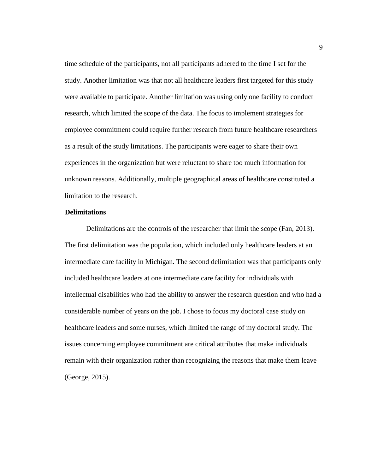time schedule of the participants, not all participants adhered to the time I set for the study. Another limitation was that not all healthcare leaders first targeted for this study were available to participate. Another limitation was using only one facility to conduct research, which limited the scope of the data. The focus to implement strategies for employee commitment could require further research from future healthcare researchers as a result of the study limitations. The participants were eager to share their own experiences in the organization but were reluctant to share too much information for unknown reasons. Additionally, multiple geographical areas of healthcare constituted a limitation to the research.

## <span id="page-19-0"></span>**Delimitations**

Delimitations are the controls of the researcher that limit the scope (Fan, 2013). The first delimitation was the population, which included only healthcare leaders at an intermediate care facility in Michigan. The second delimitation was that participants only included healthcare leaders at one intermediate care facility for individuals with intellectual disabilities who had the ability to answer the research question and who had a considerable number of years on the job. I chose to focus my doctoral case study on healthcare leaders and some nurses, which limited the range of my doctoral study. The issues concerning employee commitment are critical attributes that make individuals remain with their organization rather than recognizing the reasons that make them leave (George, 2015).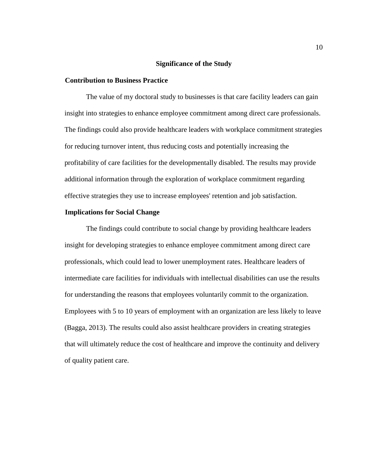# **Significance of the Study**

## <span id="page-20-1"></span><span id="page-20-0"></span>**Contribution to Business Practice**

The value of my doctoral study to businesses is that care facility leaders can gain insight into strategies to enhance employee commitment among direct care professionals. The findings could also provide healthcare leaders with workplace commitment strategies for reducing turnover intent, thus reducing costs and potentially increasing the profitability of care facilities for the developmentally disabled. The results may provide additional information through the exploration of workplace commitment regarding effective strategies they use to increase employees' retention and job satisfaction.

# <span id="page-20-2"></span>**Implications for Social Change**

The findings could contribute to social change by providing healthcare leaders insight for developing strategies to enhance employee commitment among direct care professionals, which could lead to lower unemployment rates. Healthcare leaders of intermediate care facilities for individuals with intellectual disabilities can use the results for understanding the reasons that employees voluntarily commit to the organization. Employees with 5 to 10 years of employment with an organization are less likely to leave (Bagga, 2013). The results could also assist healthcare providers in creating strategies that will ultimately reduce the cost of healthcare and improve the continuity and delivery of quality patient care.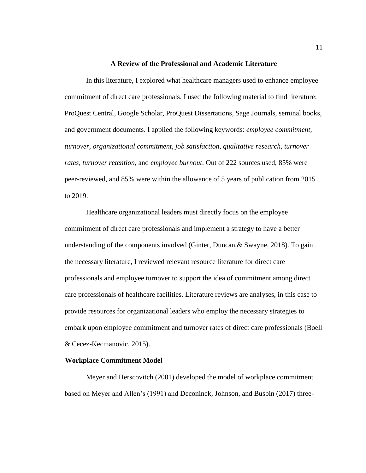### **A Review of the Professional and Academic Literature**

<span id="page-21-0"></span>In this literature, I explored what healthcare managers used to enhance employee commitment of direct care professionals. I used the following material to find literature: ProQuest Central, Google Scholar, ProQuest Dissertations, Sage Journals, seminal books, and government documents. I applied the following keywords: *employee commitment, turnover, organizational commitment, job satisfaction, qualitative research, turnover rates, turnover retention*, and *employee burnout*. Out of 222 sources used, 85% were peer-reviewed, and 85% were within the allowance of 5 years of publication from 2015 to 2019.

Healthcare organizational leaders must directly focus on the employee commitment of direct care professionals and implement a strategy to have a better understanding of the components involved (Ginter, Duncan,& Swayne, 2018). To gain the necessary literature, I reviewed relevant resource literature for direct care professionals and employee turnover to support the idea of commitment among direct care professionals of healthcare facilities. Literature reviews are analyses, in this case to provide resources for organizational leaders who employ the necessary strategies to embark upon employee commitment and turnover rates of direct care professionals (Boell & Cecez-Kecmanovic, 2015).

## <span id="page-21-1"></span>**Workplace Commitment Model**

Meyer and Herscovitch (2001) developed the model of workplace commitment based on Meyer and Allen's (1991) and Deconinck, Johnson, and Busbin (2017) three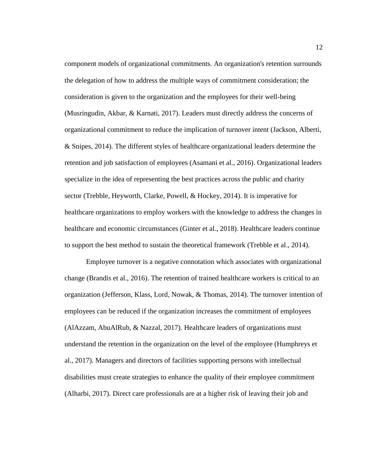component models of organizational commitments. An organization's retention surrounds the delegation of how to address the multiple ways of commitment consideration; the consideration is given to the organization and the employees for their well-being (Musringudin, Akbar, & Karnati, 2017). Leaders must directly address the concerns of organizational commitment to reduce the implication of turnover intent (Jackson, Alberti, & Snipes, 2014). The different styles of healthcare organizational leaders determine the retention and job satisfaction of employees (Asamani et al., 2016). Organizational leaders specialize in the idea of representing the best practices across the public and charity sector (Trebble, Heyworth, Clarke, Powell, & Hockey, 2014). It is imperative for healthcare organizations to employ workers with the knowledge to address the changes in healthcare and economic circumstances (Ginter et al., 2018). Healthcare leaders continue to support the best method to sustain the theoretical framework (Trebble et al., 2014).

Employee turnover is a negative connotation which associates with organizational change (Brandis et al., 2016). The retention of trained healthcare workers is critical to an organization (Jefferson, Klass, Lord, Nowak, & Thomas, 2014). The turnover intention of employees can be reduced if the organization increases the commitment of employees (AlAzzam, AbuAlRub, & Nazzal, 2017). Healthcare leaders of organizations must understand the retention in the organization on the level of the employee (Humphreys et al., 2017). Managers and directors of facilities supporting persons with intellectual disabilities must create strategies to enhance the quality of their employee commitment (Alharbi, 2017). Direct care professionals are at a higher risk of leaving their job and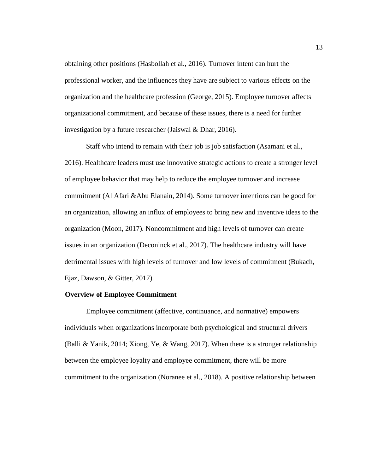obtaining other positions (Hasbollah et al., 2016). Turnover intent can hurt the professional worker, and the influences they have are subject to various effects on the organization and the healthcare profession (George, 2015). Employee turnover affects organizational commitment, and because of these issues, there is a need for further investigation by a future researcher (Jaiswal & Dhar, 2016).

Staff who intend to remain with their job is job satisfaction (Asamani et al., 2016). Healthcare leaders must use innovative strategic actions to create a stronger level of employee behavior that may help to reduce the employee turnover and increase commitment (Al Afari &Abu Elanain, 2014). Some turnover intentions can be good for an organization, allowing an influx of employees to bring new and inventive ideas to the organization (Moon, 2017). Noncommitment and high levels of turnover can create issues in an organization (Deconinck et al., 2017). The healthcare industry will have detrimental issues with high levels of turnover and low levels of commitment (Bukach, Ejaz, Dawson, & Gitter, 2017).

#### <span id="page-23-0"></span>**Overview of Employee Commitment**

Employee commitment (affective, continuance, and normative) empowers individuals when organizations incorporate both psychological and structural drivers (Balli & Yanik, 2014; Xiong, Ye, & Wang, 2017). When there is a stronger relationship between the employee loyalty and employee commitment, there will be more commitment to the organization (Noranee et al., 2018). A positive relationship between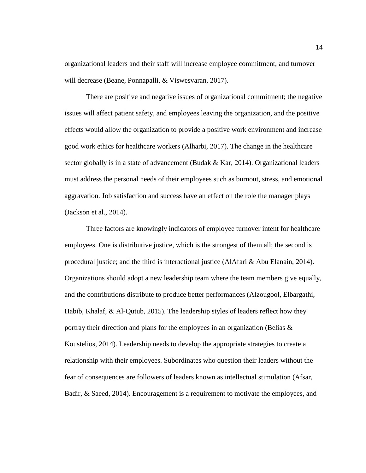organizational leaders and their staff will increase employee commitment, and turnover will decrease (Beane, Ponnapalli, & Viswesvaran, 2017).

There are positive and negative issues of organizational commitment; the negative issues will affect patient safety, and employees leaving the organization, and the positive effects would allow the organization to provide a positive work environment and increase good work ethics for healthcare workers (Alharbi, 2017). The change in the healthcare sector globally is in a state of advancement (Budak  $&$  Kar, 2014). Organizational leaders must address the personal needs of their employees such as burnout, stress, and emotional aggravation. Job satisfaction and success have an effect on the role the manager plays (Jackson et al., 2014).

Three factors are knowingly indicators of employee turnover intent for healthcare employees. One is distributive justice, which is the strongest of them all; the second is procedural justice; and the third is interactional justice (AlAfari & Abu Elanain, 2014). Organizations should adopt a new leadership team where the team members give equally, and the contributions distribute to produce better performances (Alzougool, Elbargathi, Habib, Khalaf, & Al-Qutub, 2015). The leadership styles of leaders reflect how they portray their direction and plans for the employees in an organization (Belias  $\&$ Koustelios, 2014). Leadership needs to develop the appropriate strategies to create a relationship with their employees. Subordinates who question their leaders without the fear of consequences are followers of leaders known as intellectual stimulation (Afsar, Badir, & Saeed, 2014). Encouragement is a requirement to motivate the employees, and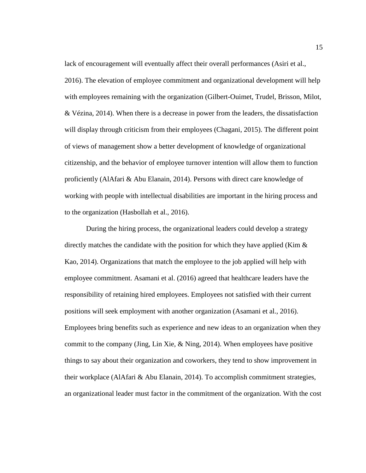lack of encouragement will eventually affect their overall performances (Asiri et al., 2016). The elevation of employee commitment and organizational development will help with employees remaining with the organization (Gilbert-Ouimet, Trudel, Brisson, Milot, & Vézina, 2014). When there is a decrease in power from the leaders, the dissatisfaction will display through criticism from their employees (Chagani, 2015). The different point of views of management show a better development of knowledge of organizational citizenship, and the behavior of employee turnover intention will allow them to function proficiently (AlAfari & Abu Elanain, 2014). Persons with direct care knowledge of working with people with intellectual disabilities are important in the hiring process and to the organization (Hasbollah et al., 2016).

During the hiring process, the organizational leaders could develop a strategy directly matches the candidate with the position for which they have applied (Kim  $\&$ Kao, 2014). Organizations that match the employee to the job applied will help with employee commitment. Asamani et al. (2016) agreed that healthcare leaders have the responsibility of retaining hired employees. Employees not satisfied with their current positions will seek employment with another organization (Asamani et al., 2016). Employees bring benefits such as experience and new ideas to an organization when they commit to the company (Jing, Lin Xie, & Ning, 2014). When employees have positive things to say about their organization and coworkers, they tend to show improvement in their workplace (AlAfari & Abu Elanain, 2014). To accomplish commitment strategies, an organizational leader must factor in the commitment of the organization. With the cost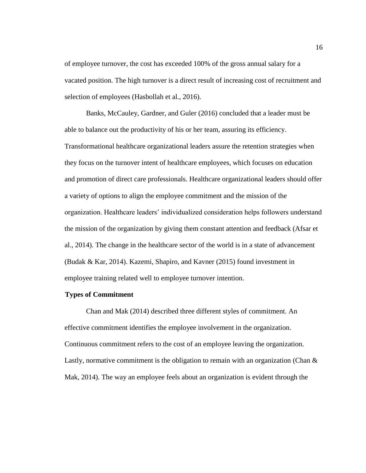of employee turnover, the cost has exceeded 100% of the gross annual salary for a vacated position. The high turnover is a direct result of increasing cost of recruitment and selection of employees (Hasbollah et al., 2016).

Banks, McCauley, Gardner, and Guler (2016) concluded that a leader must be able to balance out the productivity of his or her team, assuring its efficiency. Transformational healthcare organizational leaders assure the retention strategies when they focus on the turnover intent of healthcare employees, which focuses on education and promotion of direct care professionals. Healthcare organizational leaders should offer a variety of options to align the employee commitment and the mission of the organization. Healthcare leaders' individualized consideration helps followers understand the mission of the organization by giving them constant attention and feedback (Afsar et al., 2014). The change in the healthcare sector of the world is in a state of advancement (Budak & Kar, 2014). Kazemi, Shapiro, and Kavner (2015) found investment in employee training related well to employee turnover intention.

# <span id="page-26-0"></span>**Types of Commitment**

Chan and Mak (2014) described three different styles of commitment. An effective commitment identifies the employee involvement in the organization. Continuous commitment refers to the cost of an employee leaving the organization. Lastly, normative commitment is the obligation to remain with an organization (Chan  $\&$ Mak, 2014). The way an employee feels about an organization is evident through the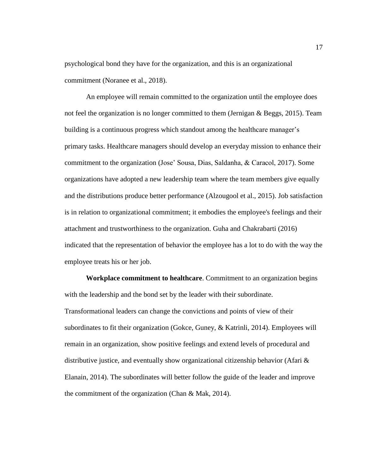psychological bond they have for the organization, and this is an organizational commitment (Noranee et al., 2018).

An employee will remain committed to the organization until the employee does not feel the organization is no longer committed to them (Jernigan & Beggs, 2015). Team building is a continuous progress which standout among the healthcare manager's primary tasks. Healthcare managers should develop an everyday mission to enhance their commitment to the organization (Jose' Sousa, Dias, Saldanha, & Caracol, 2017). Some organizations have adopted a new leadership team where the team members give equally and the distributions produce better performance (Alzougool et al., 2015). Job satisfaction is in relation to organizational commitment; it embodies the employee's feelings and their attachment and trustworthiness to the organization. Guha and Chakrabarti (2016) indicated that the representation of behavior the employee has a lot to do with the way the employee treats his or her job.

**Workplace commitment to healthcare**. Commitment to an organization begins with the leadership and the bond set by the leader with their subordinate. Transformational leaders can change the convictions and points of view of their subordinates to fit their organization (Gokce, Guney, & Katrinli, 2014). Employees will remain in an organization, show positive feelings and extend levels of procedural and distributive justice, and eventually show organizational citizenship behavior (Afari  $\&$ Elanain, 2014). The subordinates will better follow the guide of the leader and improve the commitment of the organization (Chan & Mak, 2014).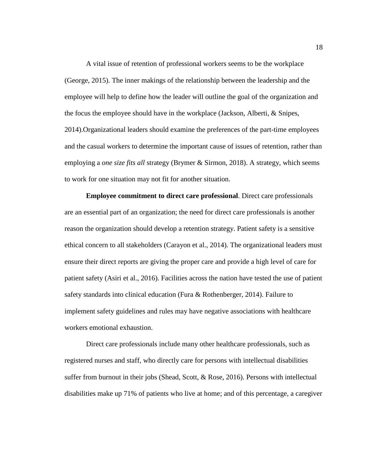A vital issue of retention of professional workers seems to be the workplace (George, 2015). The inner makings of the relationship between the leadership and the employee will help to define how the leader will outline the goal of the organization and the focus the employee should have in the workplace (Jackson, Alberti, & Snipes, 2014).Organizational leaders should examine the preferences of the part-time employees and the casual workers to determine the important cause of issues of retention, rather than employing a *one size fits all* strategy (Brymer & Sirmon, 2018). A strategy, which seems to work for one situation may not fit for another situation.

**Employee commitment to direct care professional**. Direct care professionals are an essential part of an organization; the need for direct care professionals is another reason the organization should develop a retention strategy. Patient safety is a sensitive ethical concern to all stakeholders (Carayon et al., 2014). The organizational leaders must ensure their direct reports are giving the proper care and provide a high level of care for patient safety (Asiri et al., 2016). Facilities across the nation have tested the use of patient safety standards into clinical education (Fura & Rothenberger, 2014). Failure to implement safety guidelines and rules may have negative associations with healthcare workers emotional exhaustion.

Direct care professionals include many other healthcare professionals, such as registered nurses and staff, who directly care for persons with intellectual disabilities suffer from burnout in their jobs (Shead, Scott, & Rose, 2016). Persons with intellectual disabilities make up 71% of patients who live at home; and of this percentage, a caregiver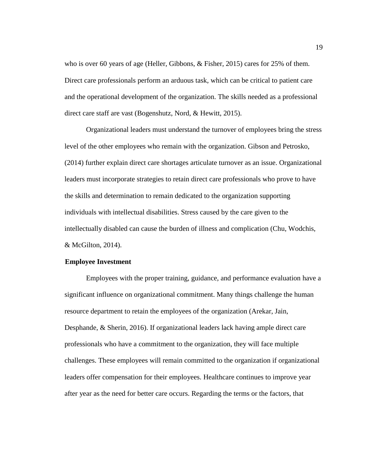who is over 60 years of age (Heller, Gibbons, & Fisher, 2015) cares for 25% of them. Direct care professionals perform an arduous task, which can be critical to patient care and the operational development of the organization. The skills needed as a professional direct care staff are vast (Bogenshutz, Nord, & Hewitt, 2015).

Organizational leaders must understand the turnover of employees bring the stress level of the other employees who remain with the organization. Gibson and Petrosko, (2014) further explain direct care shortages articulate turnover as an issue. Organizational leaders must incorporate strategies to retain direct care professionals who prove to have the skills and determination to remain dedicated to the organization supporting individuals with intellectual disabilities. Stress caused by the care given to the intellectually disabled can cause the burden of illness and complication (Chu, Wodchis, & McGilton, 2014).

### <span id="page-29-0"></span>**Employee Investment**

Employees with the proper training, guidance, and performance evaluation have a significant influence on organizational commitment. Many things challenge the human resource department to retain the employees of the organization (Arekar, Jain, Desphande, & Sherin, 2016). If organizational leaders lack having ample direct care professionals who have a commitment to the organization, they will face multiple challenges. These employees will remain committed to the organization if organizational leaders offer compensation for their employees. Healthcare continues to improve year after year as the need for better care occurs. Regarding the terms or the factors, that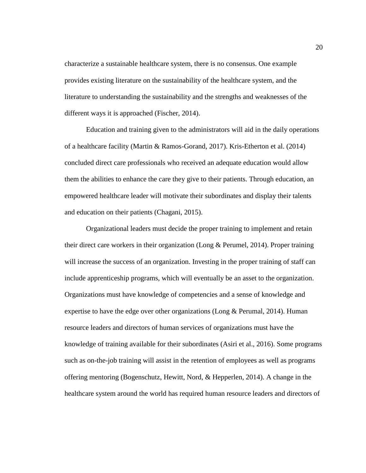characterize a sustainable healthcare system, there is no consensus. One example provides existing literature on the sustainability of the healthcare system, and the literature to understanding the sustainability and the strengths and weaknesses of the different ways it is approached (Fischer, 2014).

Education and training given to the administrators will aid in the daily operations of a healthcare facility (Martin & Ramos-Gorand, 2017). Kris-Etherton et al. (2014) concluded direct care professionals who received an adequate education would allow them the abilities to enhance the care they give to their patients. Through education, an empowered healthcare leader will motivate their subordinates and display their talents and education on their patients (Chagani, 2015).

Organizational leaders must decide the proper training to implement and retain their direct care workers in their organization (Long & Perumel, 2014). Proper training will increase the success of an organization. Investing in the proper training of staff can include apprenticeship programs, which will eventually be an asset to the organization. Organizations must have knowledge of competencies and a sense of knowledge and expertise to have the edge over other organizations (Long & Perumal, 2014). Human resource leaders and directors of human services of organizations must have the knowledge of training available for their subordinates (Asiri et al., 2016). Some programs such as on-the-job training will assist in the retention of employees as well as programs offering mentoring (Bogenschutz, Hewitt, Nord, & Hepperlen, 2014). A change in the healthcare system around the world has required human resource leaders and directors of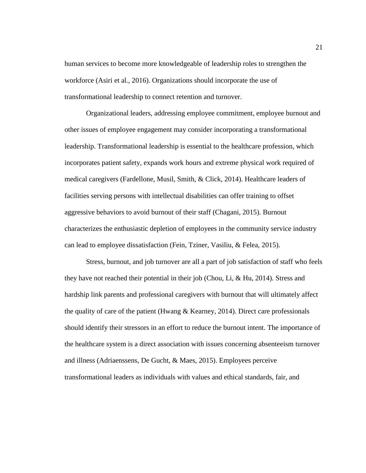human services to become more knowledgeable of leadership roles to strengthen the workforce (Asiri et al., 2016). Organizations should incorporate the use of transformational leadership to connect retention and turnover.

Organizational leaders, addressing employee commitment, employee burnout and other issues of employee engagement may consider incorporating a transformational leadership. Transformational leadership is essential to the healthcare profession, which incorporates patient safety, expands work hours and extreme physical work required of medical caregivers (Fardellone, Musil, Smith, & Click, 2014). Healthcare leaders of facilities serving persons with intellectual disabilities can offer training to offset aggressive behaviors to avoid burnout of their staff (Chagani, 2015). Burnout characterizes the enthusiastic depletion of employees in the community service industry can lead to employee dissatisfaction (Fein, Tziner, Vasiliu, & Felea, 2015).

Stress, burnout, and job turnover are all a part of job satisfaction of staff who feels they have not reached their potential in their job (Chou, Li, & Hu, 2014). Stress and hardship link parents and professional caregivers with burnout that will ultimately affect the quality of care of the patient (Hwang & Kearney, 2014). Direct care professionals should identify their stressors in an effort to reduce the burnout intent. The importance of the healthcare system is a direct association with issues concerning absenteeism turnover and illness (Adriaenssens, De Gucht, & Maes, 2015). Employees perceive transformational leaders as individuals with values and ethical standards, fair, and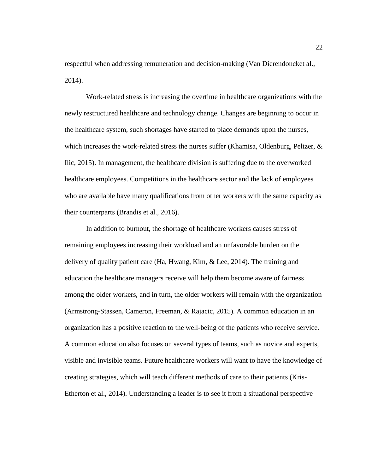respectful when addressing remuneration and decision-making (Van Dierendoncket al., 2014).

Work-related stress is increasing the overtime in healthcare organizations with the newly restructured healthcare and technology change. Changes are beginning to occur in the healthcare system, such shortages have started to place demands upon the nurses, which increases the work-related stress the nurses suffer (Khamisa, Oldenburg, Peltzer, & Ilic, 2015). In management, the healthcare division is suffering due to the overworked healthcare employees. Competitions in the healthcare sector and the lack of employees who are available have many qualifications from other workers with the same capacity as their counterparts (Brandis et al., 2016).

In addition to burnout, the shortage of healthcare workers causes stress of remaining employees increasing their workload and an unfavorable burden on the delivery of quality patient care (Ha, Hwang, Kim, & Lee, 2014). The training and education the healthcare managers receive will help them become aware of fairness among the older workers, and in turn, the older workers will remain with the organization (Armstrong-Stassen, Cameron, Freeman, & Rajacic, 2015). A common education in an organization has a positive reaction to the well-being of the patients who receive service. A common education also focuses on several types of teams, such as novice and experts, visible and invisible teams. Future healthcare workers will want to have the knowledge of creating strategies, which will teach different methods of care to their patients (Kris-Etherton et al., 2014). Understanding a leader is to see it from a situational perspective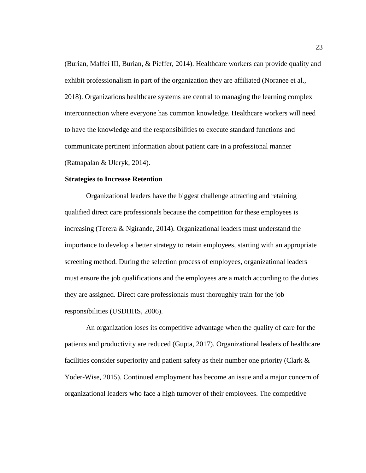(Burian, Maffei III, Burian, & Pieffer, 2014). Healthcare workers can provide quality and exhibit professionalism in part of the organization they are affiliated (Noranee et al., 2018). Organizations healthcare systems are central to managing the learning complex interconnection where everyone has common knowledge. Healthcare workers will need to have the knowledge and the responsibilities to execute standard functions and communicate pertinent information about patient care in a professional manner (Ratnapalan & Uleryk, 2014).

#### <span id="page-33-0"></span>**Strategies to Increase Retention**

Organizational leaders have the biggest challenge attracting and retaining qualified direct care professionals because the competition for these employees is increasing (Terera & Ngirande, 2014). Organizational leaders must understand the importance to develop a better strategy to retain employees, starting with an appropriate screening method. During the selection process of employees, organizational leaders must ensure the job qualifications and the employees are a match according to the duties they are assigned. Direct care professionals must thoroughly train for the job responsibilities (USDHHS, 2006).

An organization loses its competitive advantage when the quality of care for the patients and productivity are reduced (Gupta, 2017). Organizational leaders of healthcare facilities consider superiority and patient safety as their number one priority (Clark & Yoder-Wise, 2015). Continued employment has become an issue and a major concern of organizational leaders who face a high turnover of their employees. The competitive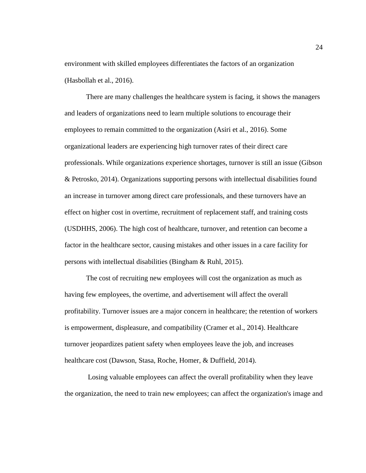environment with skilled employees differentiates the factors of an organization (Hasbollah et al., 2016).

There are many challenges the healthcare system is facing, it shows the managers and leaders of organizations need to learn multiple solutions to encourage their employees to remain committed to the organization (Asiri et al., 2016). Some organizational leaders are experiencing high turnover rates of their direct care professionals. While organizations experience shortages, turnover is still an issue (Gibson & Petrosko, 2014). Organizations supporting persons with intellectual disabilities found an increase in turnover among direct care professionals, and these turnovers have an effect on higher cost in overtime, recruitment of replacement staff, and training costs (USDHHS, 2006). The high cost of healthcare, turnover, and retention can become a factor in the healthcare sector, causing mistakes and other issues in a care facility for persons with intellectual disabilities (Bingham & Ruhl, 2015).

The cost of recruiting new employees will cost the organization as much as having few employees, the overtime, and advertisement will affect the overall profitability. Turnover issues are a major concern in healthcare; the retention of workers is empowerment, displeasure, and compatibility (Cramer et al., 2014). Healthcare turnover jeopardizes patient safety when employees leave the job, and increases healthcare cost (Dawson, Stasa, Roche, Homer, & Duffield, 2014).

Losing valuable employees can affect the overall profitability when they leave the organization, the need to train new employees; can affect the organization's image and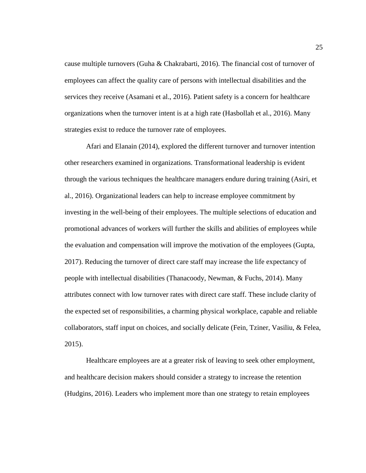cause multiple turnovers (Guha & Chakrabarti, 2016). The financial cost of turnover of employees can affect the quality care of persons with intellectual disabilities and the services they receive (Asamani et al., 2016). Patient safety is a concern for healthcare organizations when the turnover intent is at a high rate (Hasbollah et al., 2016). Many strategies exist to reduce the turnover rate of employees.

Afari and Elanain (2014), explored the different turnover and turnover intention other researchers examined in organizations. Transformational leadership is evident through the various techniques the healthcare managers endure during training (Asiri, et al., 2016). Organizational leaders can help to increase employee commitment by investing in the well-being of their employees. The multiple selections of education and promotional advances of workers will further the skills and abilities of employees while the evaluation and compensation will improve the motivation of the employees (Gupta, 2017). Reducing the turnover of direct care staff may increase the life expectancy of people with intellectual disabilities (Thanacoody, Newman, & Fuchs, 2014). Many attributes connect with low turnover rates with direct care staff. These include clarity of the expected set of responsibilities, a charming physical workplace, capable and reliable collaborators, staff input on choices, and socially delicate (Fein, Tziner, Vasiliu, & Felea, 2015).

Healthcare employees are at a greater risk of leaving to seek other employment, and healthcare decision makers should consider a strategy to increase the retention (Hudgins, 2016). Leaders who implement more than one strategy to retain employees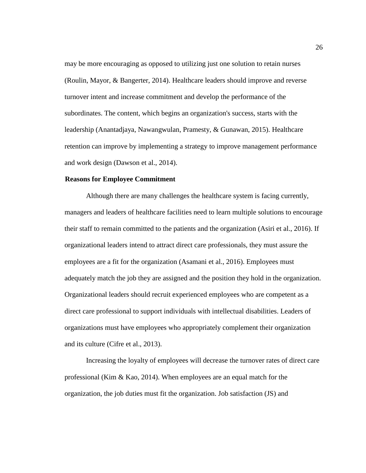may be more encouraging as opposed to utilizing just one solution to retain nurses (Roulin, Mayor, & Bangerter, 2014). Healthcare leaders should improve and reverse turnover intent and increase commitment and develop the performance of the subordinates. The content, which begins an organization's success, starts with the leadership (Anantadjaya, Nawangwulan, Pramesty, & Gunawan, 2015). Healthcare retention can improve by implementing a strategy to improve management performance and work design (Dawson et al., 2014).

#### **Reasons for Employee Commitment**

Although there are many challenges the healthcare system is facing currently, managers and leaders of healthcare facilities need to learn multiple solutions to encourage their staff to remain committed to the patients and the organization (Asiri et al., 2016). If organizational leaders intend to attract direct care professionals, they must assure the employees are a fit for the organization (Asamani et al., 2016). Employees must adequately match the job they are assigned and the position they hold in the organization. Organizational leaders should recruit experienced employees who are competent as a direct care professional to support individuals with intellectual disabilities. Leaders of organizations must have employees who appropriately complement their organization and its culture (Cifre et al., 2013).

Increasing the loyalty of employees will decrease the turnover rates of direct care professional (Kim & Kao, 2014). When employees are an equal match for the organization, the job duties must fit the organization. Job satisfaction (JS) and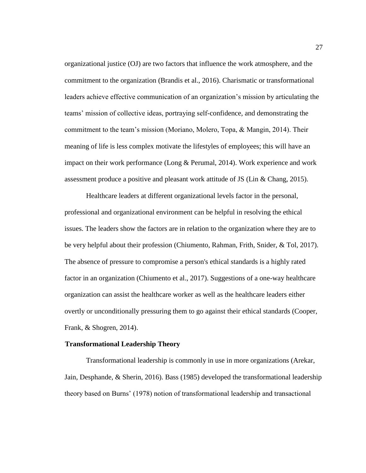organizational justice (OJ) are two factors that influence the work atmosphere, and the commitment to the organization (Brandis et al., 2016). Charismatic or transformational leaders achieve effective communication of an organization's mission by articulating the teams' mission of collective ideas, portraying self-confidence, and demonstrating the commitment to the team's mission (Moriano, Molero, Topa, & Mangin, 2014). Their meaning of life is less complex motivate the lifestyles of employees; this will have an impact on their work performance (Long  $&$  Perumal, 2014). Work experience and work assessment produce a positive and pleasant work attitude of JS (Lin & Chang, 2015).

Healthcare leaders at different organizational levels factor in the personal, professional and organizational environment can be helpful in resolving the ethical issues. The leaders show the factors are in relation to the organization where they are to be very helpful about their profession (Chiumento, Rahman, Frith, Snider, & Tol, 2017). The absence of pressure to compromise a person's ethical standards is a highly rated factor in an organization (Chiumento et al., 2017). Suggestions of a one-way healthcare organization can assist the healthcare worker as well as the healthcare leaders either overtly or unconditionally pressuring them to go against their ethical standards (Cooper, Frank, & Shogren, 2014).

#### **Transformational Leadership Theory**

Transformational leadership is commonly in use in more organizations (Arekar, Jain, Desphande, & Sherin, 2016). Bass (1985) developed the transformational leadership theory based on Burns' (1978) notion of transformational leadership and transactional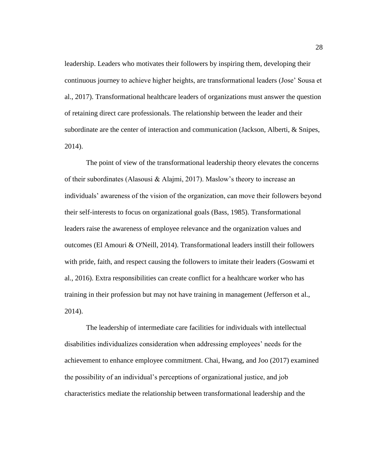leadership. Leaders who motivates their followers by inspiring them, developing their continuous journey to achieve higher heights, are transformational leaders (Jose' Sousa et al., 2017). Transformational healthcare leaders of organizations must answer the question of retaining direct care professionals. The relationship between the leader and their subordinate are the center of interaction and communication (Jackson, Alberti, & Snipes, 2014).

The point of view of the transformational leadership theory elevates the concerns of their subordinates (Alasousi & Alajmi, 2017). Maslow's theory to increase an individuals' awareness of the vision of the organization, can move their followers beyond their self-interests to focus on organizational goals (Bass, 1985). Transformational leaders raise the awareness of employee relevance and the organization values and outcomes (El Amouri & O'Neill, 2014). Transformational leaders instill their followers with pride, faith, and respect causing the followers to imitate their leaders (Goswami et al., 2016). Extra responsibilities can create conflict for a healthcare worker who has training in their profession but may not have training in management (Jefferson et al., 2014).

The leadership of intermediate care facilities for individuals with intellectual disabilities individualizes consideration when addressing employees' needs for the achievement to enhance employee commitment. Chai, Hwang, and Joo (2017) examined the possibility of an individual's perceptions of organizational justice, and job characteristics mediate the relationship between transformational leadership and the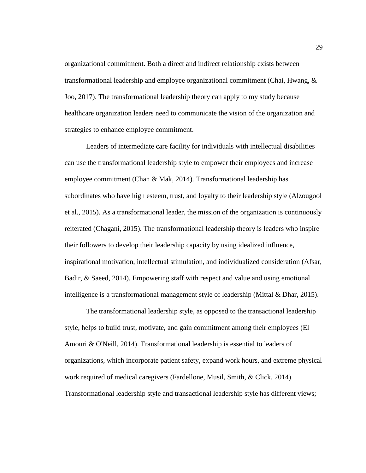organizational commitment. Both a direct and indirect relationship exists between transformational leadership and employee organizational commitment (Chai, Hwang, & Joo, 2017). The transformational leadership theory can apply to my study because healthcare organization leaders need to communicate the vision of the organization and strategies to enhance employee commitment.

Leaders of intermediate care facility for individuals with intellectual disabilities can use the transformational leadership style to empower their employees and increase employee commitment (Chan & Mak, 2014). Transformational leadership has subordinates who have high esteem, trust, and loyalty to their leadership style (Alzougool et al., 2015). As a transformational leader, the mission of the organization is continuously reiterated (Chagani, 2015). The transformational leadership theory is leaders who inspire their followers to develop their leadership capacity by using idealized influence, inspirational motivation, intellectual stimulation, and individualized consideration (Afsar, Badir, & Saeed, 2014). Empowering staff with respect and value and using emotional intelligence is a transformational management style of leadership (Mittal & Dhar, 2015).

The transformational leadership style, as opposed to the transactional leadership style, helps to build trust, motivate, and gain commitment among their employees (El Amouri & O'Neill, 2014). Transformational leadership is essential to leaders of organizations, which incorporate patient safety, expand work hours, and extreme physical work required of medical caregivers (Fardellone, Musil, Smith, & Click, 2014). Transformational leadership style and transactional leadership style has different views;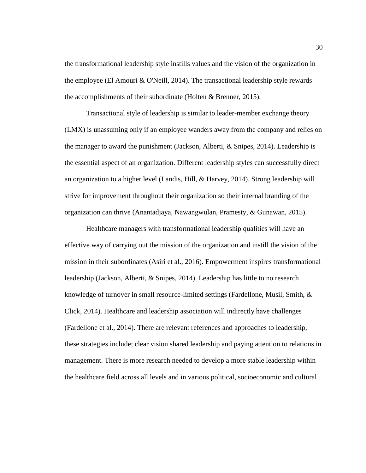the transformational leadership style instills values and the vision of the organization in the employee (El Amouri & O'Neill, 2014). The transactional leadership style rewards the accomplishments of their subordinate (Holten & Brenner, 2015).

Transactional style of leadership is similar to leader-member exchange theory (LMX) is unassuming only if an employee wanders away from the company and relies on the manager to award the punishment (Jackson, Alberti, & Snipes, 2014). Leadership is the essential aspect of an organization. Different leadership styles can successfully direct an organization to a higher level (Landis, Hill, & Harvey, 2014). Strong leadership will strive for improvement throughout their organization so their internal branding of the organization can thrive (Anantadjaya, Nawangwulan, Pramesty, & Gunawan, 2015).

Healthcare managers with transformational leadership qualities will have an effective way of carrying out the mission of the organization and instill the vision of the mission in their subordinates (Asiri et al., 2016). Empowerment inspires transformational leadership (Jackson, Alberti, & Snipes, 2014). Leadership has little to no research knowledge of turnover in small resource-limited settings (Fardellone, Musil, Smith, & Click, 2014). Healthcare and leadership association will indirectly have challenges (Fardellone et al., 2014). There are relevant references and approaches to leadership, these strategies include; clear vision shared leadership and paying attention to relations in management. There is more research needed to develop a more stable leadership within the healthcare field across all levels and in various political, socioeconomic and cultural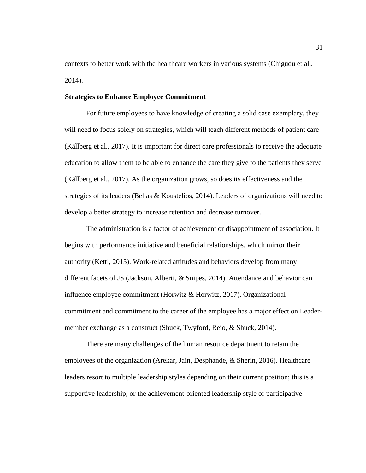contexts to better work with the healthcare workers in various systems (Chigudu et al., 2014).

## **Strategies to Enhance Employee Commitment**

For future employees to have knowledge of creating a solid case exemplary, they will need to focus solely on strategies, which will teach different methods of patient care (Källberg et al., 2017). It is important for direct care professionals to receive the adequate education to allow them to be able to enhance the care they give to the patients they serve (Källberg et al., 2017). As the organization grows, so does its effectiveness and the strategies of its leaders (Belias & Koustelios, 2014). Leaders of organizations will need to develop a better strategy to increase retention and decrease turnover.

The administration is a factor of achievement or disappointment of association. It begins with performance initiative and beneficial relationships, which mirror their authority (Kettl, 2015). Work-related attitudes and behaviors develop from many different facets of JS (Jackson, Alberti, & Snipes, 2014). Attendance and behavior can influence employee commitment (Horwitz & Horwitz, 2017). Organizational commitment and commitment to the career of the employee has a major effect on Leadermember exchange as a construct (Shuck, Twyford, Reio, & Shuck, 2014).

There are many challenges of the human resource department to retain the employees of the organization (Arekar, Jain, Desphande, & Sherin, 2016). Healthcare leaders resort to multiple leadership styles depending on their current position; this is a supportive leadership, or the achievement-oriented leadership style or participative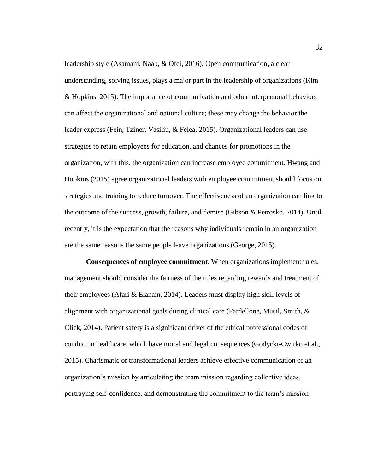leadership style (Asamani, Naab, & Ofei, 2016). Open communication, a clear understanding, solving issues, plays a major part in the leadership of organizations (Kim & Hopkins, 2015). The importance of communication and other interpersonal behaviors can affect the organizational and national culture; these may change the behavior the leader express (Fein, Tziner, Vasiliu, & Felea, 2015). Organizational leaders can use strategies to retain employees for education, and chances for promotions in the organization, with this, the organization can increase employee commitment. Hwang and Hopkins (2015) agree organizational leaders with employee commitment should focus on strategies and training to reduce turnover. The effectiveness of an organization can link to the outcome of the success, growth, failure, and demise (Gibson & Petrosko, 2014). Until recently, it is the expectation that the reasons why individuals remain in an organization are the same reasons the same people leave organizations (George, 2015).

**Consequences of employee commitment**. When organizations implement rules, management should consider the fairness of the rules regarding rewards and treatment of their employees (Afari & Elanain, 2014). Leaders must display high skill levels of alignment with organizational goals during clinical care (Fardellone, Musil, Smith, & Click, 2014). Patient safety is a significant driver of the ethical professional codes of conduct in healthcare, which have moral and legal consequences (Godycki-Cwirko et al., 2015). Charismatic or transformational leaders achieve effective communication of an organization's mission by articulating the team mission regarding collective ideas, portraying self-confidence, and demonstrating the commitment to the team's mission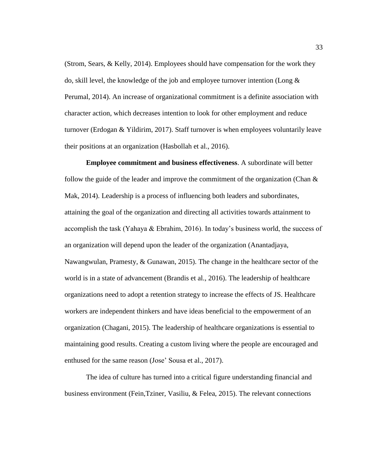(Strom, Sears, & Kelly, 2014). Employees should have compensation for the work they do, skill level, the knowledge of the job and employee turnover intention (Long  $\&$ Perumal, 2014). An increase of organizational commitment is a definite association with character action, which decreases intention to look for other employment and reduce turnover (Erdogan & Yildirim, 2017). Staff turnover is when employees voluntarily leave their positions at an organization (Hasbollah et al., 2016).

**Employee commitment and business effectiveness**. A subordinate will better follow the guide of the leader and improve the commitment of the organization (Chan  $\&$ Mak, 2014). Leadership is a process of influencing both leaders and subordinates, attaining the goal of the organization and directing all activities towards attainment to accomplish the task (Yahaya & Ebrahim, 2016). In today's business world, the success of an organization will depend upon the leader of the organization (Anantadjaya, Nawangwulan, Pramesty, & Gunawan, 2015). The change in the healthcare sector of the world is in a state of advancement (Brandis et al., 2016). The leadership of healthcare organizations need to adopt a retention strategy to increase the effects of JS. Healthcare workers are independent thinkers and have ideas beneficial to the empowerment of an organization (Chagani, 2015). The leadership of healthcare organizations is essential to maintaining good results. Creating a custom living where the people are encouraged and enthused for the same reason (Jose' Sousa et al., 2017).

The idea of culture has turned into a critical figure understanding financial and business environment (Fein,Tziner, Vasiliu, & Felea, 2015). The relevant connections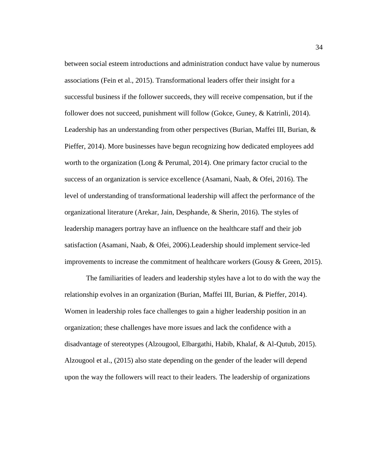between social esteem introductions and administration conduct have value by numerous associations (Fein et al., 2015). Transformational leaders offer their insight for a successful business if the follower succeeds, they will receive compensation, but if the follower does not succeed, punishment will follow (Gokce, Guney, & Katrinli, 2014). Leadership has an understanding from other perspectives (Burian, Maffei III, Burian, & Pieffer, 2014). More businesses have begun recognizing how dedicated employees add worth to the organization (Long & Perumal, 2014). One primary factor crucial to the success of an organization is service excellence (Asamani, Naab, & Ofei, 2016). The level of understanding of transformational leadership will affect the performance of the organizational literature (Arekar, Jain, Desphande, & Sherin, 2016). The styles of leadership managers portray have an influence on the healthcare staff and their job satisfaction (Asamani, Naab, & Ofei, 2006).Leadership should implement service-led improvements to increase the commitment of healthcare workers (Gousy  $\&$  Green, 2015).

The familiarities of leaders and leadership styles have a lot to do with the way the relationship evolves in an organization (Burian, Maffei III, Burian, & Pieffer, 2014). Women in leadership roles face challenges to gain a higher leadership position in an organization; these challenges have more issues and lack the confidence with a disadvantage of stereotypes (Alzougool, Elbargathi, Habib, Khalaf, & Al-Qutub, 2015). Alzougool et al., (2015) also state depending on the gender of the leader will depend upon the way the followers will react to their leaders. The leadership of organizations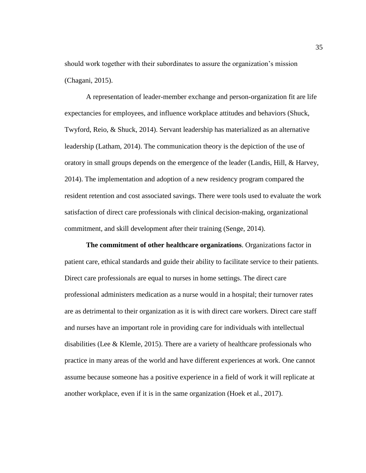should work together with their subordinates to assure the organization's mission (Chagani, 2015).

A representation of leader-member exchange and person-organization fit are life expectancies for employees, and influence workplace attitudes and behaviors (Shuck, Twyford, Reio, & Shuck, 2014). Servant leadership has materialized as an alternative leadership (Latham, 2014). The communication theory is the depiction of the use of oratory in small groups depends on the emergence of the leader (Landis, Hill, & Harvey, 2014). The implementation and adoption of a new residency program compared the resident retention and cost associated savings. There were tools used to evaluate the work satisfaction of direct care professionals with clinical decision-making, organizational commitment, and skill development after their training (Senge, 2014).

**The commitment of other healthcare organizations**. Organizations factor in patient care, ethical standards and guide their ability to facilitate service to their patients. Direct care professionals are equal to nurses in home settings. The direct care professional administers medication as a nurse would in a hospital; their turnover rates are as detrimental to their organization as it is with direct care workers. Direct care staff and nurses have an important role in providing care for individuals with intellectual disabilities (Lee & Klemle, 2015). There are a variety of healthcare professionals who practice in many areas of the world and have different experiences at work. One cannot assume because someone has a positive experience in a field of work it will replicate at another workplace, even if it is in the same organization (Hoek et al., 2017).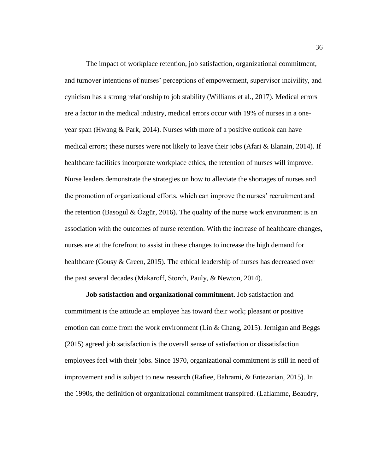The impact of workplace retention, job satisfaction, organizational commitment, and turnover intentions of nurses' perceptions of empowerment, supervisor incivility, and cynicism has a strong relationship to job stability (Williams et al., 2017). Medical errors are a factor in the medical industry, medical errors occur with 19% of nurses in a oneyear span (Hwang & Park, 2014). Nurses with more of a positive outlook can have medical errors; these nurses were not likely to leave their jobs (Afari  $\&$  Elanain, 2014). If healthcare facilities incorporate workplace ethics, the retention of nurses will improve. Nurse leaders demonstrate the strategies on how to alleviate the shortages of nurses and the promotion of organizational efforts, which can improve the nurses' recruitment and the retention (Basogul  $\&$  Özgür, 2016). The quality of the nurse work environment is an association with the outcomes of nurse retention. With the increase of healthcare changes, nurses are at the forefront to assist in these changes to increase the high demand for healthcare (Gousy & Green, 2015). The ethical leadership of nurses has decreased over the past several decades (Makaroff, Storch, Pauly, & Newton, 2014).

**Job satisfaction and organizational commitment**. Job satisfaction and commitment is the attitude an employee has toward their work; pleasant or positive emotion can come from the work environment (Lin & Chang, 2015). Jernigan and Beggs (2015) agreed job satisfaction is the overall sense of satisfaction or dissatisfaction employees feel with their jobs. Since 1970, organizational commitment is still in need of improvement and is subject to new research (Rafiee, Bahrami, & Entezarian, 2015). In the 1990s, the definition of organizational commitment transpired. (Laflamme, Beaudry,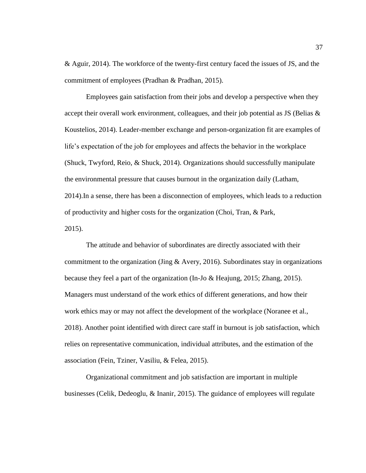& Aguir, 2014). The workforce of the twenty-first century faced the issues of JS, and the commitment of employees (Pradhan & Pradhan, 2015).

Employees gain satisfaction from their jobs and develop a perspective when they accept their overall work environment, colleagues, and their job potential as JS (Belias  $\&$ Koustelios, 2014). Leader-member exchange and person-organization fit are examples of life's expectation of the job for employees and affects the behavior in the workplace (Shuck, Twyford, Reio, & Shuck, 2014). Organizations should successfully manipulate the environmental pressure that causes burnout in the organization daily (Latham, 2014).In a sense, there has been a disconnection of employees, which leads to a reduction of productivity and higher costs for the organization (Choi, Tran, & Park, 2015).

The attitude and behavior of subordinates are directly associated with their commitment to the organization (Jing & Avery, 2016). Subordinates stay in organizations because they feel a part of the organization (In-Jo & Heajung, 2015; Zhang, 2015). Managers must understand of the work ethics of different generations, and how their work ethics may or may not affect the development of the workplace (Noranee et al., 2018). Another point identified with direct care staff in burnout is job satisfaction, which relies on representative communication, individual attributes, and the estimation of the association (Fein, Tziner, Vasiliu, & Felea, 2015).

Organizational commitment and job satisfaction are important in multiple businesses (Celik, Dedeoglu, & Inanir, 2015). The guidance of employees will regulate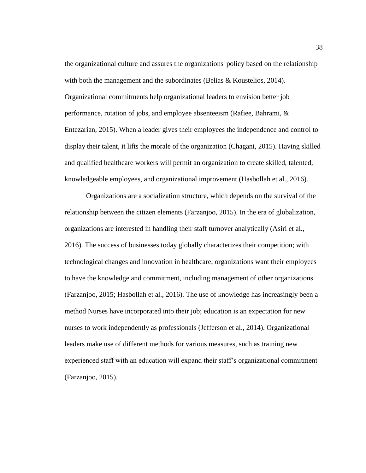the organizational culture and assures the organizations' policy based on the relationship with both the management and the subordinates (Belias & Koustelios, 2014). Organizational commitments help organizational leaders to envision better job performance, rotation of jobs, and employee absenteeism (Rafiee, Bahrami, & Entezarian, 2015). When a leader gives their employees the independence and control to display their talent, it lifts the morale of the organization (Chagani, 2015). Having skilled and qualified healthcare workers will permit an organization to create skilled, talented, knowledgeable employees, and organizational improvement (Hasbollah et al., 2016).

Organizations are a socialization structure, which depends on the survival of the relationship between the citizen elements (Farzanjoo, 2015). In the era of globalization, organizations are interested in handling their staff turnover analytically (Asiri et al., 2016). The success of businesses today globally characterizes their competition; with technological changes and innovation in healthcare, organizations want their employees to have the knowledge and commitment, including management of other organizations (Farzanjoo, 2015; Hasbollah et al., 2016). The use of knowledge has increasingly been a method Nurses have incorporated into their job; education is an expectation for new nurses to work independently as professionals (Jefferson et al., 2014). Organizational leaders make use of different methods for various measures, such as training new experienced staff with an education will expand their staff's organizational commitment (Farzanjoo, 2015).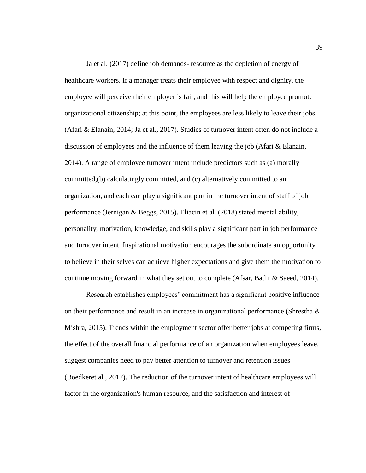Ja et al. (2017) define job demands- resource as the depletion of energy of healthcare workers. If a manager treats their employee with respect and dignity, the employee will perceive their employer is fair, and this will help the employee promote organizational citizenship; at this point, the employees are less likely to leave their jobs (Afari & Elanain, 2014; Ja et al., 2017). Studies of turnover intent often do not include a discussion of employees and the influence of them leaving the job (Afari & Elanain, 2014). A range of employee turnover intent include predictors such as (a) morally committed,(b) calculatingly committed, and (c) alternatively committed to an organization, and each can play a significant part in the turnover intent of staff of job performance (Jernigan & Beggs, 2015). Eliacin et al. (2018) stated mental ability, personality, motivation, knowledge, and skills play a significant part in job performance and turnover intent. Inspirational motivation encourages the subordinate an opportunity to believe in their selves can achieve higher expectations and give them the motivation to continue moving forward in what they set out to complete (Afsar, Badir & Saeed, 2014).

Research establishes employees' commitment has a significant positive influence on their performance and result in an increase in organizational performance (Shrestha & Mishra, 2015). Trends within the employment sector offer better jobs at competing firms, the effect of the overall financial performance of an organization when employees leave, suggest companies need to pay better attention to turnover and retention issues (Boedkeret al., 2017). The reduction of the turnover intent of healthcare employees will factor in the organization's human resource, and the satisfaction and interest of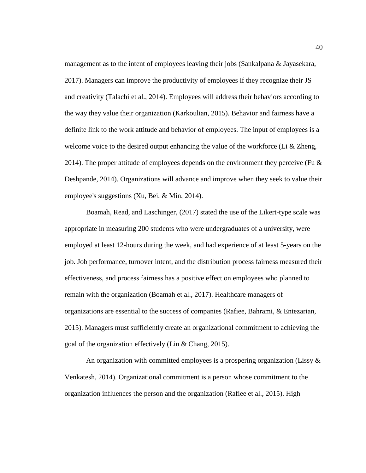management as to the intent of employees leaving their jobs (Sankalpana & Jayasekara, 2017). Managers can improve the productivity of employees if they recognize their JS and creativity (Talachi et al., 2014). Employees will address their behaviors according to the way they value their organization (Karkoulian, 2015). Behavior and fairness have a definite link to the work attitude and behavior of employees. The input of employees is a welcome voice to the desired output enhancing the value of the workforce (Li & Zheng, 2014). The proper attitude of employees depends on the environment they perceive (Fu  $\&$ Deshpande, 2014). Organizations will advance and improve when they seek to value their employee's suggestions (Xu, Bei, & Min, 2014).

Boamah, Read, and Laschinger, (2017) stated the use of the Likert-type scale was appropriate in measuring 200 students who were undergraduates of a university, were employed at least 12-hours during the week, and had experience of at least 5-years on the job. Job performance, turnover intent, and the distribution process fairness measured their effectiveness, and process fairness has a positive effect on employees who planned to remain with the organization (Boamah et al., 2017). Healthcare managers of organizations are essential to the success of companies (Rafiee, Bahrami, & Entezarian, 2015). Managers must sufficiently create an organizational commitment to achieving the goal of the organization effectively (Lin & Chang, 2015).

An organization with committed employees is a prospering organization (Lissy & Venkatesh, 2014). Organizational commitment is a person whose commitment to the organization influences the person and the organization (Rafiee et al., 2015). High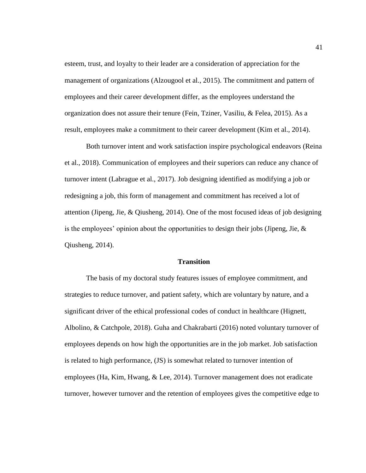esteem, trust, and loyalty to their leader are a consideration of appreciation for the management of organizations (Alzougool et al., 2015). The commitment and pattern of employees and their career development differ, as the employees understand the organization does not assure their tenure (Fein, Tziner, Vasiliu, & Felea, 2015). As a result, employees make a commitment to their career development (Kim et al., 2014).

Both turnover intent and work satisfaction inspire psychological endeavors (Reina et al., 2018). Communication of employees and their superiors can reduce any chance of turnover intent (Labrague et al., 2017). Job designing identified as modifying a job or redesigning a job, this form of management and commitment has received a lot of attention (Jipeng, Jie,  $\&$  Qiusheng, 2014). One of the most focused ideas of job designing is the employees' opinion about the opportunities to design their jobs (Jipeng, Jie,  $\&$ Qiusheng, 2014).

## **Transition**

The basis of my doctoral study features issues of employee commitment, and strategies to reduce turnover, and patient safety, which are voluntary by nature, and a significant driver of the ethical professional codes of conduct in healthcare (Hignett, Albolino, & Catchpole, 2018). Guha and Chakrabarti (2016) noted voluntary turnover of employees depends on how high the opportunities are in the job market. Job satisfaction is related to high performance, (JS) is somewhat related to turnover intention of employees (Ha, Kim, Hwang, & Lee, 2014). Turnover management does not eradicate turnover, however turnover and the retention of employees gives the competitive edge to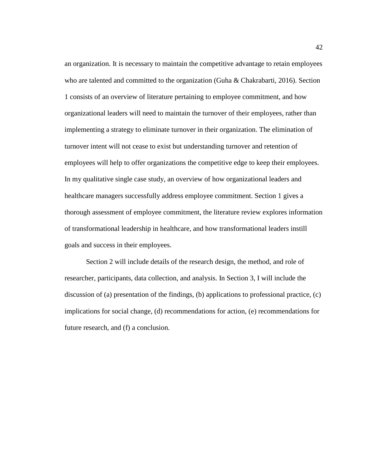an organization. It is necessary to maintain the competitive advantage to retain employees who are talented and committed to the organization (Guha & Chakrabarti, 2016). Section 1 consists of an overview of literature pertaining to employee commitment, and how organizational leaders will need to maintain the turnover of their employees, rather than implementing a strategy to eliminate turnover in their organization. The elimination of turnover intent will not cease to exist but understanding turnover and retention of employees will help to offer organizations the competitive edge to keep their employees. In my qualitative single case study, an overview of how organizational leaders and healthcare managers successfully address employee commitment. Section 1 gives a thorough assessment of employee commitment, the literature review explores information of transformational leadership in healthcare, and how transformational leaders instill goals and success in their employees.

Section 2 will include details of the research design, the method, and role of researcher, participants, data collection, and analysis. In Section 3, I will include the discussion of (a) presentation of the findings, (b) applications to professional practice, (c) implications for social change, (d) recommendations for action, (e) recommendations for future research, and (f) a conclusion.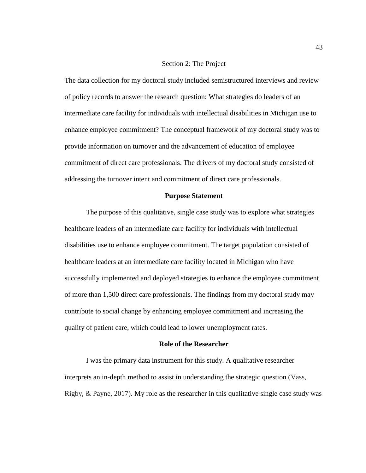# Section 2: The Project

The data collection for my doctoral study included semistructured interviews and review of policy records to answer the research question: What strategies do leaders of an intermediate care facility for individuals with intellectual disabilities in Michigan use to enhance employee commitment? The conceptual framework of my doctoral study was to provide information on turnover and the advancement of education of employee commitment of direct care professionals. The drivers of my doctoral study consisted of addressing the turnover intent and commitment of direct care professionals.

#### **Purpose Statement**

The purpose of this qualitative, single case study was to explore what strategies healthcare leaders of an intermediate care facility for individuals with intellectual disabilities use to enhance employee commitment. The target population consisted of healthcare leaders at an intermediate care facility located in Michigan who have successfully implemented and deployed strategies to enhance the employee commitment of more than 1,500 direct care professionals. The findings from my doctoral study may contribute to social change by enhancing employee commitment and increasing the quality of patient care, which could lead to lower unemployment rates.

### **Role of the Researcher**

I was the primary data instrument for this study. A qualitative researcher interprets an in-depth method to assist in understanding the strategic question (Vass, Rigby, & Payne, 2017). My role as the researcher in this qualitative single case study was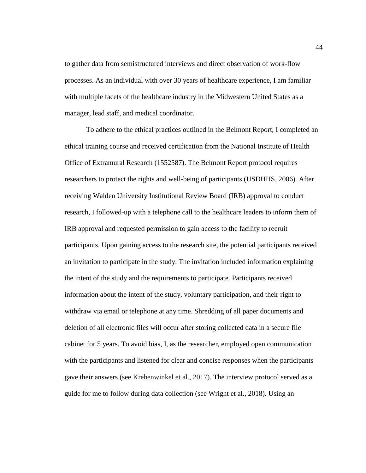to gather data from semistructured interviews and direct observation of work-flow processes. As an individual with over 30 years of healthcare experience, I am familiar with multiple facets of the healthcare industry in the Midwestern United States as a manager, lead staff, and medical coordinator.

To adhere to the ethical practices outlined in the Belmont Report, I completed an ethical training course and received certification from the National Institute of Health Office of Extramural Research (1552587). The Belmont Report protocol requires researchers to protect the rights and well-being of participants (USDHHS, 2006). After receiving Walden University Institutional Review Board (IRB) approval to conduct research, I followed-up with a telephone call to the healthcare leaders to inform them of IRB approval and requested permission to gain access to the facility to recruit participants. Upon gaining access to the research site, the potential participants received an invitation to participate in the study. The invitation included information explaining the intent of the study and the requirements to participate. Participants received information about the intent of the study, voluntary participation, and their right to withdraw via email or telephone at any time. Shredding of all paper documents and deletion of all electronic files will occur after storing collected data in a secure file cabinet for 5 years. To avoid bias, I, as the researcher, employed open communication with the participants and listened for clear and concise responses when the participants gave their answers (see Krehenwinkel et al., 2017). The interview protocol served as a guide for me to follow during data collection (see Wright et al., 2018). Using an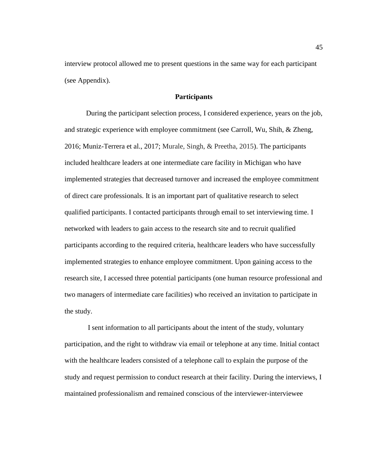interview protocol allowed me to present questions in the same way for each participant (see Appendix).

# **Participants**

During the participant selection process, I considered experience, years on the job, and strategic experience with employee commitment (see Carroll, Wu, Shih, & Zheng, 2016; Muniz-Terrera et al., 2017; Murale, Singh, & Preetha, 2015). The participants included healthcare leaders at one intermediate care facility in Michigan who have implemented strategies that decreased turnover and increased the employee commitment of direct care professionals. It is an important part of qualitative research to select qualified participants. I contacted participants through email to set interviewing time. I networked with leaders to gain access to the research site and to recruit qualified participants according to the required criteria, healthcare leaders who have successfully implemented strategies to enhance employee commitment. Upon gaining access to the research site, I accessed three potential participants (one human resource professional and two managers of intermediate care facilities) who received an invitation to participate in the study.

I sent information to all participants about the intent of the study, voluntary participation, and the right to withdraw via email or telephone at any time. Initial contact with the healthcare leaders consisted of a telephone call to explain the purpose of the study and request permission to conduct research at their facility. During the interviews, I maintained professionalism and remained conscious of the interviewer-interviewee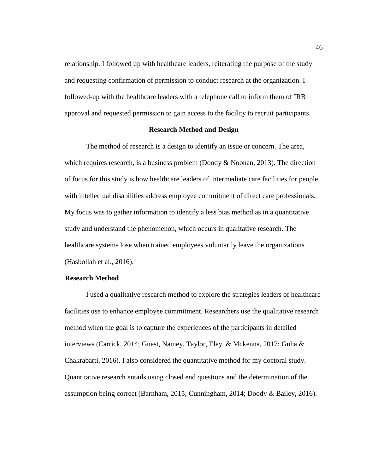relationship. I followed up with healthcare leaders, reiterating the purpose of the study and requesting confirmation of permission to conduct research at the organization. I followed-up with the healthcare leaders with a telephone call to inform them of IRB approval and requested permission to gain access to the facility to recruit participants.

# **Research Method and Design**

The method of research is a design to identify an issue or concern. The area, which requires research, is a business problem (Doody & Noonan, 2013). The direction of focus for this study is how healthcare leaders of intermediate care facilities for people with intellectual disabilities address employee commitment of direct care professionals. My focus was to gather information to identify a less bias method as in a quantitative study and understand the phenomenon, which occurs in qualitative research. The healthcare systems lose when trained employees voluntarily leave the organizations (Hasbollah et al., 2016).

## **Research Method**

I used a qualitative research method to explore the strategies leaders of healthcare facilities use to enhance employee commitment. Researchers use the qualitative research method when the goal is to capture the experiences of the participants in detailed interviews (Carrick, 2014; Guest, Namey, Taylor, Eley, & Mckenna, 2017; Guha & Chakrabarti, 2016). I also considered the quantitative method for my doctoral study. Quantitative research entails using closed end questions and the determination of the assumption being correct (Barnham, 2015; Cunningham, 2014; Doody & Bailey, 2016).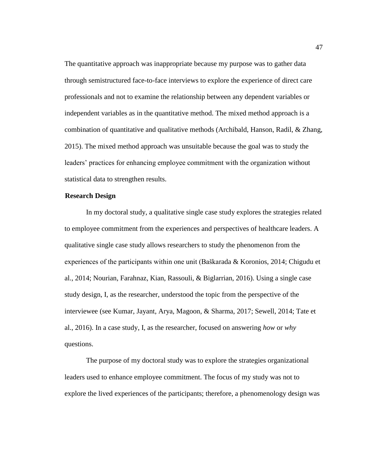The quantitative approach was inappropriate because my purpose was to gather data through semistructured face-to-face interviews to explore the experience of direct care professionals and not to examine the relationship between any dependent variables or independent variables as in the quantitative method. The mixed method approach is a combination of quantitative and qualitative methods (Archibald, Hanson, Radil, & Zhang, 2015). The mixed method approach was unsuitable because the goal was to study the leaders' practices for enhancing employee commitment with the organization without statistical data to strengthen results.

### **Research Design**

In my doctoral study, a qualitative single case study explores the strategies related to employee commitment from the experiences and perspectives of healthcare leaders. A qualitative single case study allows researchers to study the phenomenon from the experiences of the participants within one unit (Baškarada & Koronios, 2014; Chigudu et al., 2014; Nourian, Farahnaz, Kian, Rassouli, & Biglarrian, 2016). Using a single case study design, I, as the researcher, understood the topic from the perspective of the interviewee (see Kumar, Jayant, Arya, Magoon, & Sharma, 2017; Sewell, 2014; Tate et al., 2016). In a case study, I, as the researcher, focused on answering *how* or *why* questions.

The purpose of my doctoral study was to explore the strategies organizational leaders used to enhance employee commitment. The focus of my study was not to explore the lived experiences of the participants; therefore, a phenomenology design was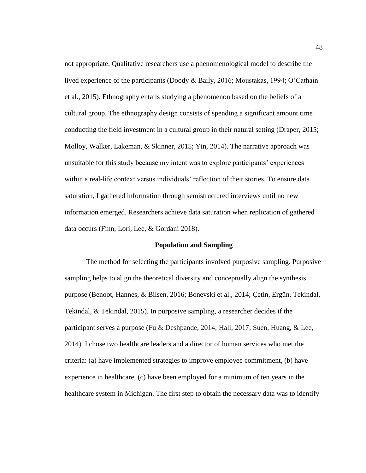not appropriate. Qualitative researchers use a phenomenological model to describe the lived experience of the participants (Doody & Baily, 2016; Moustakas, 1994; O'Cathain et al., 2015). Ethnography entails studying a phenomenon based on the beliefs of a cultural group. The ethnography design consists of spending a significant amount time conducting the field investment in a cultural group in their natural setting (Draper, 2015; Molloy, Walker, Lakeman, & Skinner, 2015; Yin, 2014). The narrative approach was unsuitable for this study because my intent was to explore participants' experiences within a real-life context versus individuals' reflection of their stories. To ensure data saturation, I gathered information through semistructured interviews until no new information emerged. Researchers achieve data saturation when replication of gathered data occurs (Finn, Lori, Lee, & Gordani 2018).

## **Population and Sampling**

The method for selecting the participants involved purposive sampling. Purposive sampling helps to align the theoretical diversity and conceptually align the synthesis purpose (Benoot, Hannes, & Bilsen, 2016; Bonevski et al., 2014; Çetin, Ergün, Tekindal, Tekindal, & Tekindal, 2015). In purposive sampling, a researcher decides if the participant serves a purpose (Fu & Deshpande, 2014; Hall, 2017; Suen, Huang, & Lee, 2014). I chose two healthcare leaders and a director of human services who met the criteria: (a) have implemented strategies to improve employee commitment, (b) have experience in healthcare, (c) have been employed for a minimum of ten years in the healthcare system in Michigan. The first step to obtain the necessary data was to identify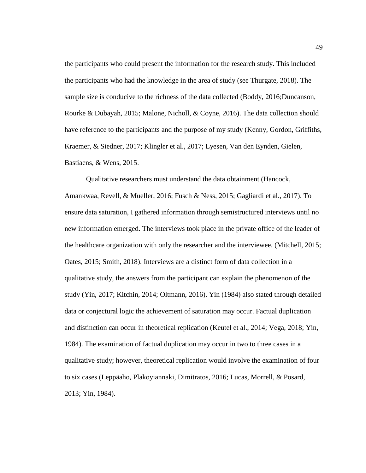the participants who could present the information for the research study. This included the participants who had the knowledge in the area of study (see Thurgate, 2018). The sample size is conducive to the richness of the data collected (Boddy, 2016;Duncanson, Rourke & Dubayah, 2015; Malone, Nicholl, & Coyne, 2016). The data collection should have reference to the participants and the purpose of my study (Kenny, Gordon, Griffiths, Kraemer, & Siedner, 2017; Klingler et al., 2017; Lyesen, Van den Eynden, Gielen, Bastiaens, & Wens, 2015.

Qualitative researchers must understand the data obtainment (Hancock, Amankwaa, Revell, & Mueller, 2016; Fusch & Ness, 2015; Gagliardi et al., 2017). To ensure data saturation, I gathered information through semistructured interviews until no new information emerged. The interviews took place in the private office of the leader of the healthcare organization with only the researcher and the interviewee. (Mitchell, 2015; Oates, 2015; Smith, 2018). Interviews are a distinct form of data collection in a qualitative study, the answers from the participant can explain the phenomenon of the study (Yin, 2017; Kitchin, 2014; Oltmann, 2016). Yin (1984) also stated through detailed data or conjectural logic the achievement of saturation may occur. Factual duplication and distinction can occur in theoretical replication (Keutel et al., 2014; Vega, 2018; Yin, 1984). The examination of factual duplication may occur in two to three cases in a qualitative study; however, theoretical replication would involve the examination of four to six cases (Leppäaho, Plakoyiannaki, Dimitratos, 2016; Lucas, Morrell, & Posard, 2013; Yin, 1984).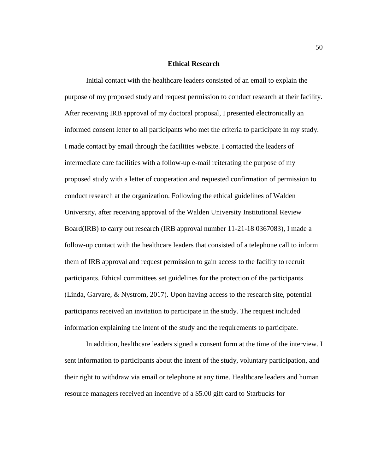## **Ethical Research**

Initial contact with the healthcare leaders consisted of an email to explain the purpose of my proposed study and request permission to conduct research at their facility. After receiving IRB approval of my doctoral proposal, I presented electronically an informed consent letter to all participants who met the criteria to participate in my study. I made contact by email through the facilities website. I contacted the leaders of intermediate care facilities with a follow-up e-mail reiterating the purpose of my proposed study with a letter of cooperation and requested confirmation of permission to conduct research at the organization. Following the ethical guidelines of Walden University, after receiving approval of the Walden University Institutional Review Board(IRB) to carry out research (IRB approval number 11-21-18 0367083), I made a follow-up contact with the healthcare leaders that consisted of a telephone call to inform them of IRB approval and request permission to gain access to the facility to recruit participants. Ethical committees set guidelines for the protection of the participants (Linda, Garvare, & Nystrom, 2017). Upon having access to the research site, potential participants received an invitation to participate in the study. The request included information explaining the intent of the study and the requirements to participate.

In addition, healthcare leaders signed a consent form at the time of the interview. I sent information to participants about the intent of the study, voluntary participation, and their right to withdraw via email or telephone at any time. Healthcare leaders and human resource managers received an incentive of a \$5.00 gift card to Starbucks for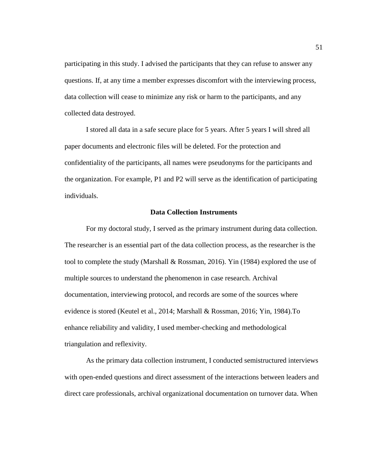participating in this study. I advised the participants that they can refuse to answer any questions. If, at any time a member expresses discomfort with the interviewing process, data collection will cease to minimize any risk or harm to the participants, and any collected data destroyed.

I stored all data in a safe secure place for 5 years. After 5 years I will shred all paper documents and electronic files will be deleted. For the protection and confidentiality of the participants, all names were pseudonyms for the participants and the organization. For example, P1 and P2 will serve as the identification of participating individuals.

## **Data Collection Instruments**

For my doctoral study, I served as the primary instrument during data collection. The researcher is an essential part of the data collection process, as the researcher is the tool to complete the study (Marshall & Rossman, 2016). Yin (1984) explored the use of multiple sources to understand the phenomenon in case research. Archival documentation, interviewing protocol, and records are some of the sources where evidence is stored (Keutel et al., 2014; Marshall & Rossman, 2016; Yin, 1984).To enhance reliability and validity, I used member-checking and methodological triangulation and reflexivity.

As the primary data collection instrument, I conducted semistructured interviews with open-ended questions and direct assessment of the interactions between leaders and direct care professionals, archival organizational documentation on turnover data. When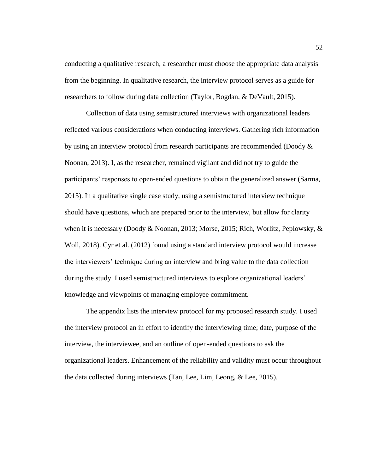conducting a qualitative research, a researcher must choose the appropriate data analysis from the beginning. In qualitative research, the interview protocol serves as a guide for researchers to follow during data collection (Taylor, Bogdan, & DeVault, 2015).

Collection of data using semistructured interviews with organizational leaders reflected various considerations when conducting interviews. Gathering rich information by using an interview protocol from research participants are recommended (Doody & Noonan, 2013). I, as the researcher, remained vigilant and did not try to guide the participants' responses to open-ended questions to obtain the generalized answer (Sarma, 2015). In a qualitative single case study, using a semistructured interview technique should have questions, which are prepared prior to the interview, but allow for clarity when it is necessary (Doody & Noonan, 2013; Morse, 2015; Rich, Worlitz, Peplowsky, & Woll, 2018). Cyr et al. (2012) found using a standard interview protocol would increase the interviewers' technique during an interview and bring value to the data collection during the study. I used semistructured interviews to explore organizational leaders' knowledge and viewpoints of managing employee commitment.

The appendix lists the interview protocol for my proposed research study. I used the interview protocol an in effort to identify the interviewing time; date, purpose of the interview, the interviewee, and an outline of open-ended questions to ask the organizational leaders. Enhancement of the reliability and validity must occur throughout the data collected during interviews (Tan, Lee, Lim, Leong, & Lee, 2015).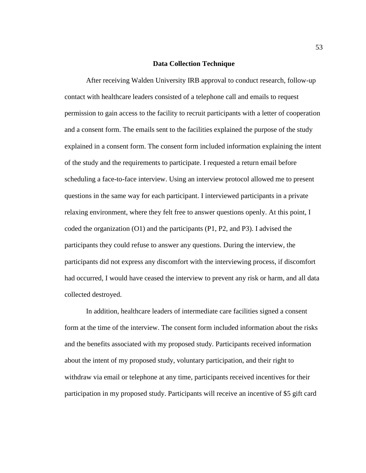### **Data Collection Technique**

After receiving Walden University IRB approval to conduct research, follow-up contact with healthcare leaders consisted of a telephone call and emails to request permission to gain access to the facility to recruit participants with a letter of cooperation and a consent form. The emails sent to the facilities explained the purpose of the study explained in a consent form. The consent form included information explaining the intent of the study and the requirements to participate. I requested a return email before scheduling a face-to-face interview. Using an interview protocol allowed me to present questions in the same way for each participant. I interviewed participants in a private relaxing environment, where they felt free to answer questions openly. At this point, I coded the organization (O1) and the participants (P1, P2, and P3). I advised the participants they could refuse to answer any questions. During the interview, the participants did not express any discomfort with the interviewing process, if discomfort had occurred, I would have ceased the interview to prevent any risk or harm, and all data collected destroyed.

In addition, healthcare leaders of intermediate care facilities signed a consent form at the time of the interview. The consent form included information about the risks and the benefits associated with my proposed study. Participants received information about the intent of my proposed study, voluntary participation, and their right to withdraw via email or telephone at any time, participants received incentives for their participation in my proposed study. Participants will receive an incentive of \$5 gift card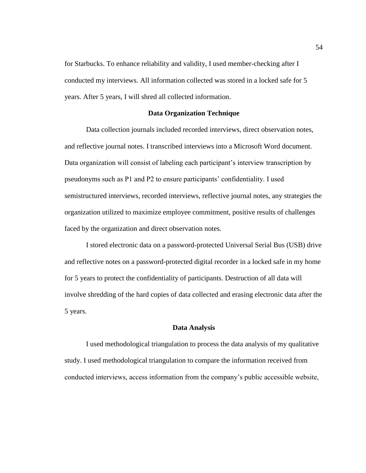for Starbucks. To enhance reliability and validity, I used member-checking after I conducted my interviews. All information collected was stored in a locked safe for 5 years. After 5 years, I will shred all collected information.

#### **Data Organization Technique**

Data collection journals included recorded interviews, direct observation notes, and reflective journal notes. I transcribed interviews into a Microsoft Word document. Data organization will consist of labeling each participant's interview transcription by pseudonyms such as P1 and P2 to ensure participants' confidentiality. I used semistructured interviews, recorded interviews, reflective journal notes, any strategies the organization utilized to maximize employee commitment, positive results of challenges faced by the organization and direct observation notes.

I stored electronic data on a password-protected Universal Serial Bus (USB) drive and reflective notes on a password-protected digital recorder in a locked safe in my home for 5 years to protect the confidentiality of participants. Destruction of all data will involve shredding of the hard copies of data collected and erasing electronic data after the 5 years.

#### **Data Analysis**

I used methodological triangulation to process the data analysis of my qualitative study. I used methodological triangulation to compare the information received from conducted interviews, access information from the company's public accessible website,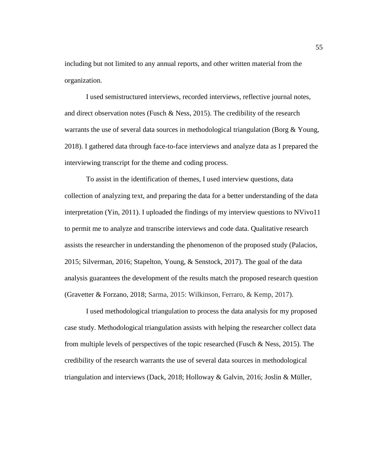including but not limited to any annual reports, and other written material from the organization.

I used semistructured interviews, recorded interviews, reflective journal notes, and direct observation notes (Fusch & Ness, 2015). The credibility of the research warrants the use of several data sources in methodological triangulation (Borg & Young, 2018). I gathered data through face-to-face interviews and analyze data as I prepared the interviewing transcript for the theme and coding process.

To assist in the identification of themes, I used interview questions, data collection of analyzing text, and preparing the data for a better understanding of the data interpretation (Yin, 2011). I uploaded the findings of my interview questions to NVivo11 to permit me to analyze and transcribe interviews and code data. Qualitative research assists the researcher in understanding the phenomenon of the proposed study (Palacios, 2015; Silverman, 2016; Stapelton, Young, & Senstock, 2017). The goal of the data analysis guarantees the development of the results match the proposed research question (Gravetter & Forzano, 2018; Sarma, 2015: Wilkinson, Ferraro, & Kemp, 2017).

I used methodological triangulation to process the data analysis for my proposed case study. Methodological triangulation assists with helping the researcher collect data from multiple levels of perspectives of the topic researched (Fusch & Ness, 2015). The credibility of the research warrants the use of several data sources in methodological triangulation and interviews (Dack, 2018; Holloway & Galvin, 2016; Joslin & Müller,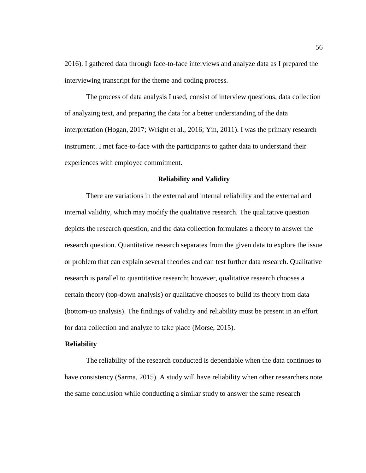2016). I gathered data through face-to-face interviews and analyze data as I prepared the interviewing transcript for the theme and coding process.

The process of data analysis I used, consist of interview questions, data collection of analyzing text, and preparing the data for a better understanding of the data interpretation (Hogan, 2017; Wright et al., 2016; Yin, 2011). I was the primary research instrument. I met face-to-face with the participants to gather data to understand their experiences with employee commitment.

#### **Reliability and Validity**

There are variations in the external and internal reliability and the external and internal validity, which may modify the qualitative research. The qualitative question depicts the research question, and the data collection formulates a theory to answer the research question. Quantitative research separates from the given data to explore the issue or problem that can explain several theories and can test further data research. Qualitative research is parallel to quantitative research; however, qualitative research chooses a certain theory (top-down analysis) or qualitative chooses to build its theory from data (bottom-up analysis). The findings of validity and reliability must be present in an effort for data collection and analyze to take place (Morse, 2015).

### **Reliability**

The reliability of the research conducted is dependable when the data continues to have consistency (Sarma, 2015). A study will have reliability when other researchers note the same conclusion while conducting a similar study to answer the same research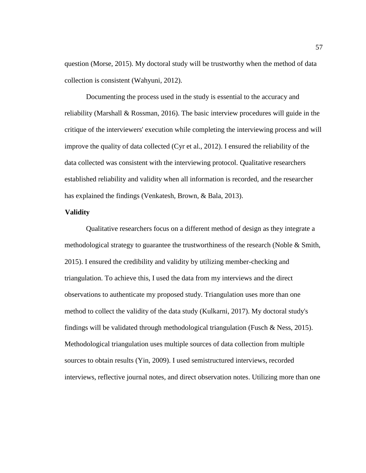question (Morse, 2015). My doctoral study will be trustworthy when the method of data collection is consistent (Wahyuni, 2012).

Documenting the process used in the study is essential to the accuracy and reliability (Marshall  $& Rosman, 2016$ ). The basic interview procedures will guide in the critique of the interviewers' execution while completing the interviewing process and will improve the quality of data collected (Cyr et al., 2012). I ensured the reliability of the data collected was consistent with the interviewing protocol. Qualitative researchers established reliability and validity when all information is recorded, and the researcher has explained the findings (Venkatesh, Brown, & Bala, 2013).

# **Validity**

Qualitative researchers focus on a different method of design as they integrate a methodological strategy to guarantee the trustworthiness of the research (Noble & Smith, 2015). I ensured the credibility and validity by utilizing member-checking and triangulation. To achieve this, I used the data from my interviews and the direct observations to authenticate my proposed study. Triangulation uses more than one method to collect the validity of the data study (Kulkarni, 2017). My doctoral study's findings will be validated through methodological triangulation (Fusch  $\&$  Ness, 2015). Methodological triangulation uses multiple sources of data collection from multiple sources to obtain results (Yin, 2009). I used semistructured interviews, recorded interviews, reflective journal notes, and direct observation notes. Utilizing more than one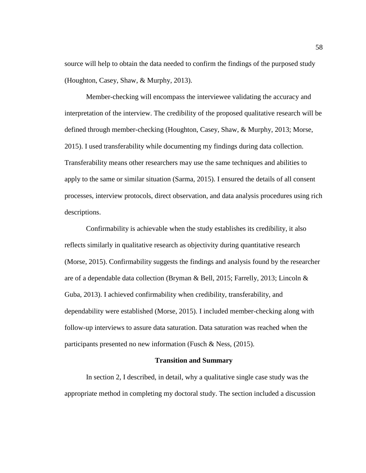source will help to obtain the data needed to confirm the findings of the purposed study (Houghton, Casey, Shaw, & Murphy, 2013).

Member-checking will encompass the interviewee validating the accuracy and interpretation of the interview. The credibility of the proposed qualitative research will be defined through member-checking (Houghton, Casey, Shaw, & Murphy, 2013; Morse, 2015). I used transferability while documenting my findings during data collection. Transferability means other researchers may use the same techniques and abilities to apply to the same or similar situation (Sarma, 2015). I ensured the details of all consent processes, interview protocols, direct observation, and data analysis procedures using rich descriptions.

Confirmability is achievable when the study establishes its credibility, it also reflects similarly in qualitative research as objectivity during quantitative research (Morse, 2015). Confirmability suggests the findings and analysis found by the researcher are of a dependable data collection (Bryman & Bell, 2015; Farrelly, 2013; Lincoln & Guba, 2013). I achieved confirmability when credibility, transferability, and dependability were established (Morse, 2015). I included member-checking along with follow-up interviews to assure data saturation. Data saturation was reached when the participants presented no new information (Fusch & Ness, (2015).

#### **Transition and Summary**

In section 2, I described, in detail, why a qualitative single case study was the appropriate method in completing my doctoral study. The section included a discussion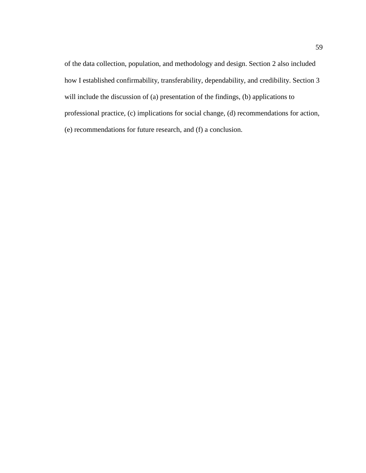of the data collection, population, and methodology and design. Section 2 also included how I established confirmability, transferability, dependability, and credibility. Section 3 will include the discussion of (a) presentation of the findings, (b) applications to professional practice, (c) implications for social change, (d) recommendations for action, (e) recommendations for future research, and (f) a conclusion.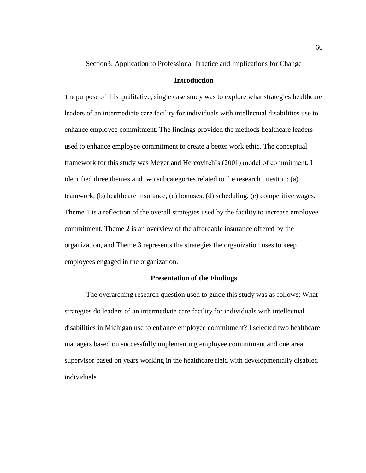Section3: Application to Professional Practice and Implications for Change

## **Introduction**

The purpose of this qualitative, single case study was to explore what strategies healthcare leaders of an intermediate care facility for individuals with intellectual disabilities use to enhance employee commitment. The findings provided the methods healthcare leaders used to enhance employee commitment to create a better work ethic. The conceptual framework for this study was Meyer and Hercovitch's (2001) model of commitment. I identified three themes and two subcategories related to the research question: (a) teamwork, (b) healthcare insurance, (c) bonuses, (d) scheduling, (e) competitive wages. Theme 1 is a reflection of the overall strategies used by the facility to increase employee commitment. Theme 2 is an overview of the affordable insurance offered by the organization, and Theme 3 represents the strategies the organization uses to keep employees engaged in the organization.

#### **Presentation of the Findings**

The overarching research question used to guide this study was as follows: What strategies do leaders of an intermediate care facility for individuals with intellectual disabilities in Michigan use to enhance employee commitment? I selected two healthcare managers based on successfully implementing employee commitment and one area supervisor based on years working in the healthcare field with developmentally disabled individuals.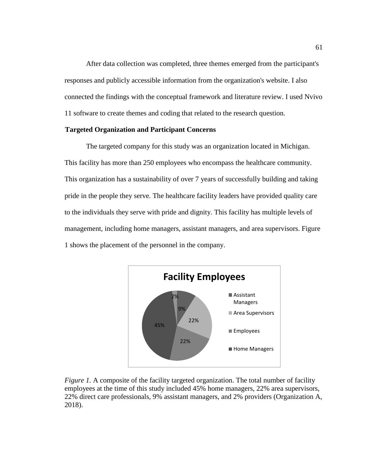After data collection was completed, three themes emerged from the participant's responses and publicly accessible information from the organization's website. I also connected the findings with the conceptual framework and literature review. I used Nvivo 11 software to create themes and coding that related to the research question.

# **Targeted Organization and Participant Concerns**

The targeted company for this study was an organization located in Michigan. This facility has more than 250 employees who encompass the healthcare community. This organization has a sustainability of over 7 years of successfully building and taking pride in the people they serve. The healthcare facility leaders have provided quality care to the individuals they serve with pride and dignity. This facility has multiple levels of management, including home managers, assistant managers, and area supervisors. Figure 1 shows the placement of the personnel in the company.



*Figure 1.* A composite of the facility targeted organization. The total number of facility employees at the time of this study included 45% home managers, 22% area supervisors, 22% direct care professionals, 9% assistant managers, and 2% providers (Organization A, 2018).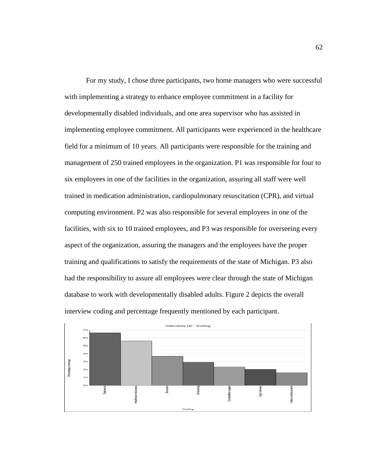For my study, I chose three participants, two home managers who were successful with implementing a strategy to enhance employee commitment in a facility for developmentally disabled individuals, and one area supervisor who has assisted in implementing employee commitment. All participants were experienced in the healthcare field for a minimum of 10 years. All participants were responsible for the training and management of 250 trained employees in the organization. P1 was responsible for four to six employees in one of the facilities in the organization, assuring all staff were well trained in medication administration, cardiopulmonary resuscitation (CPR), and virtual computing environment. P2 was also responsible for several employees in one of the facilities, with six to 10 trained employees, and P3 was responsible for overseeing every aspect of the organization, assuring the managers and the employees have the proper training and qualifications to satisfy the requirements of the state of Michigan. P3 also had the responsibility to assure all employees were clear through the state of Michigan database to work with developmentally disabled adults. Figure 2 depicts the overall interview coding and percentage frequently mentioned by each participant.

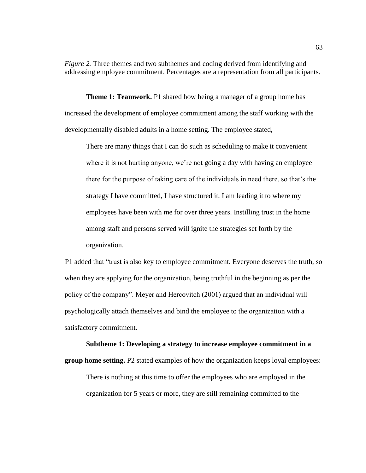*Figure 2.* Three themes and two subthemes and coding derived from identifying and addressing employee commitment. Percentages are a representation from all participants.

**Theme 1: Teamwork.** P1 shared how being a manager of a group home has increased the development of employee commitment among the staff working with the developmentally disabled adults in a home setting. The employee stated,

There are many things that I can do such as scheduling to make it convenient where it is not hurting anyone, we're not going a day with having an employee there for the purpose of taking care of the individuals in need there, so that's the strategy I have committed, I have structured it, I am leading it to where my employees have been with me for over three years. Instilling trust in the home among staff and persons served will ignite the strategies set forth by the organization.

P1 added that "trust is also key to employee commitment. Everyone deserves the truth, so when they are applying for the organization, being truthful in the beginning as per the policy of the company". Meyer and Hercovitch (2001) argued that an individual will psychologically attach themselves and bind the employee to the organization with a satisfactory commitment.

**Subtheme 1: Developing a strategy to increase employee commitment in a group home setting.** P2 stated examples of how the organization keeps loyal employees: There is nothing at this time to offer the employees who are employed in the organization for 5 years or more, they are still remaining committed to the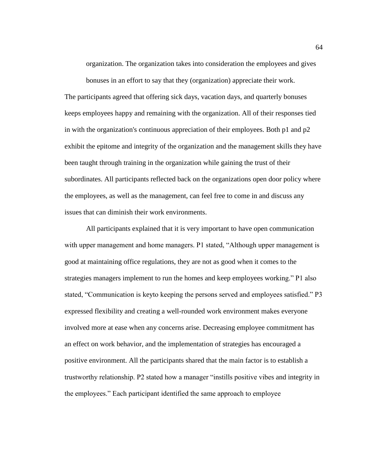organization. The organization takes into consideration the employees and gives

bonuses in an effort to say that they (organization) appreciate their work. The participants agreed that offering sick days, vacation days, and quarterly bonuses keeps employees happy and remaining with the organization. All of their responses tied in with the organization's continuous appreciation of their employees. Both p1 and p2 exhibit the epitome and integrity of the organization and the management skills they have been taught through training in the organization while gaining the trust of their subordinates. All participants reflected back on the organizations open door policy where the employees, as well as the management, can feel free to come in and discuss any issues that can diminish their work environments.

All participants explained that it is very important to have open communication with upper management and home managers. P1 stated, "Although upper management is good at maintaining office regulations, they are not as good when it comes to the strategies managers implement to run the homes and keep employees working." P1 also stated, "Communication is keyto keeping the persons served and employees satisfied." P3 expressed flexibility and creating a well-rounded work environment makes everyone involved more at ease when any concerns arise. Decreasing employee commitment has an effect on work behavior, and the implementation of strategies has encouraged a positive environment. All the participants shared that the main factor is to establish a trustworthy relationship. P2 stated how a manager "instills positive vibes and integrity in the employees." Each participant identified the same approach to employee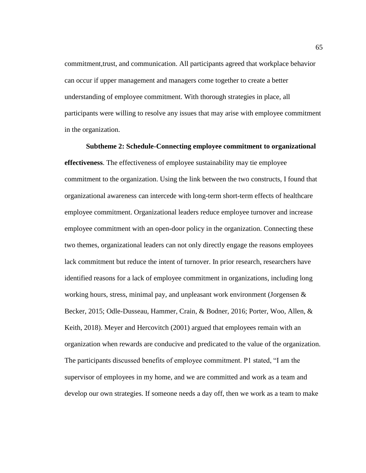commitment,trust, and communication. All participants agreed that workplace behavior can occur if upper management and managers come together to create a better understanding of employee commitment. With thorough strategies in place, all participants were willing to resolve any issues that may arise with employee commitment in the organization.

**Subtheme 2: Schedule-Connecting employee commitment to organizational effectiveness**. The effectiveness of employee sustainability may tie employee commitment to the organization. Using the link between the two constructs, I found that organizational awareness can intercede with long-term short-term effects of healthcare employee commitment. Organizational leaders reduce employee turnover and increase employee commitment with an open-door policy in the organization. Connecting these two themes, organizational leaders can not only directly engage the reasons employees lack commitment but reduce the intent of turnover. In prior research, researchers have identified reasons for a lack of employee commitment in organizations, including long working hours, stress, minimal pay, and unpleasant work environment (Jorgensen  $\&$ Becker, 2015; Odle-Dusseau, Hammer, Crain, & Bodner, 2016; Porter, Woo, Allen, & Keith, 2018). Meyer and Hercovitch (2001) argued that employees remain with an organization when rewards are conducive and predicated to the value of the organization. The participants discussed benefits of employee commitment. P1 stated, "I am the supervisor of employees in my home, and we are committed and work as a team and develop our own strategies. If someone needs a day off, then we work as a team to make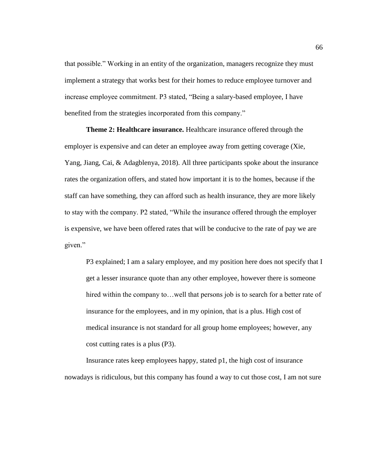that possible." Working in an entity of the organization, managers recognize they must implement a strategy that works best for their homes to reduce employee turnover and increase employee commitment. P3 stated, "Being a salary-based employee, I have benefited from the strategies incorporated from this company."

**Theme 2: Healthcare insurance.** Healthcare insurance offered through the employer is expensive and can deter an employee away from getting coverage (Xie, Yang, Jiang, Cai, & Adagblenya, 2018). All three participants spoke about the insurance rates the organization offers, and stated how important it is to the homes, because if the staff can have something, they can afford such as health insurance, they are more likely to stay with the company. P2 stated, "While the insurance offered through the employer is expensive, we have been offered rates that will be conducive to the rate of pay we are given."

P3 explained; I am a salary employee, and my position here does not specify that I get a lesser insurance quote than any other employee, however there is someone hired within the company to... well that persons job is to search for a better rate of insurance for the employees, and in my opinion, that is a plus. High cost of medical insurance is not standard for all group home employees; however, any cost cutting rates is a plus (P3).

Insurance rates keep employees happy, stated p1, the high cost of insurance nowadays is ridiculous, but this company has found a way to cut those cost, I am not sure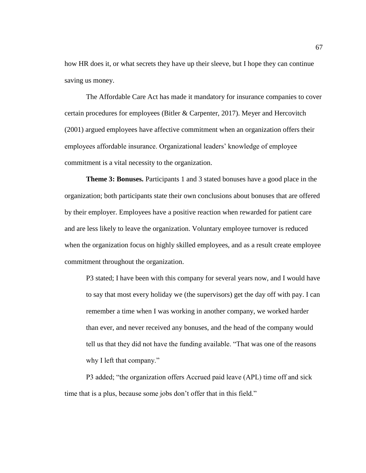how HR does it, or what secrets they have up their sleeve, but I hope they can continue saving us money.

The Affordable Care Act has made it mandatory for insurance companies to cover certain procedures for employees (Bitler & Carpenter, 2017). Meyer and Hercovitch (2001) argued employees have affective commitment when an organization offers their employees affordable insurance. Organizational leaders' knowledge of employee commitment is a vital necessity to the organization.

**Theme 3: Bonuses.** Participants 1 and 3 stated bonuses have a good place in the organization; both participants state their own conclusions about bonuses that are offered by their employer. Employees have a positive reaction when rewarded for patient care and are less likely to leave the organization. Voluntary employee turnover is reduced when the organization focus on highly skilled employees, and as a result create employee commitment throughout the organization.

P3 stated; I have been with this company for several years now, and I would have to say that most every holiday we (the supervisors) get the day off with pay. I can remember a time when I was working in another company, we worked harder than ever, and never received any bonuses, and the head of the company would tell us that they did not have the funding available. "That was one of the reasons why I left that company."

P3 added; "the organization offers Accrued paid leave (APL) time off and sick time that is a plus, because some jobs don't offer that in this field."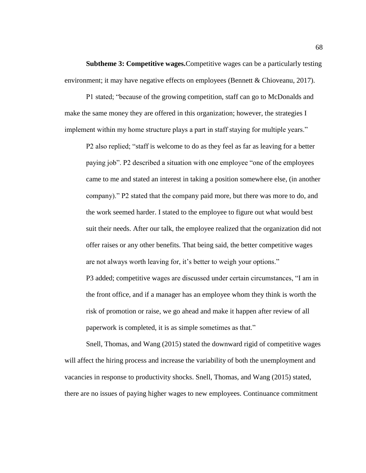**Subtheme 3: Competitive wages.**Competitive wages can be a particularly testing environment; it may have negative effects on employees (Bennett & Chioveanu, 2017).

P1 stated; "because of the growing competition, staff can go to McDonalds and make the same money they are offered in this organization; however, the strategies I implement within my home structure plays a part in staff staying for multiple years."

P2 also replied; "staff is welcome to do as they feel as far as leaving for a better paying job". P2 described a situation with one employee "one of the employees came to me and stated an interest in taking a position somewhere else, (in another company)." P2 stated that the company paid more, but there was more to do, and the work seemed harder. I stated to the employee to figure out what would best suit their needs. After our talk, the employee realized that the organization did not offer raises or any other benefits. That being said, the better competitive wages are not always worth leaving for, it's better to weigh your options." P3 added; competitive wages are discussed under certain circumstances, "I am in the front office, and if a manager has an employee whom they think is worth the

risk of promotion or raise, we go ahead and make it happen after review of all paperwork is completed, it is as simple sometimes as that."

Snell, Thomas, and Wang (2015) stated the downward rigid of competitive wages will affect the hiring process and increase the variability of both the unemployment and vacancies in response to productivity shocks. Snell, Thomas, and Wang (2015) stated, there are no issues of paying higher wages to new employees. Continuance commitment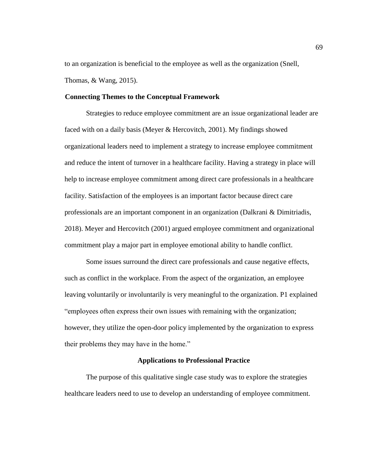to an organization is beneficial to the employee as well as the organization (Snell, Thomas, & Wang, 2015).

# **Connecting Themes to the Conceptual Framework**

Strategies to reduce employee commitment are an issue organizational leader are faced with on a daily basis (Meyer & Hercovitch, 2001). My findings showed organizational leaders need to implement a strategy to increase employee commitment and reduce the intent of turnover in a healthcare facility. Having a strategy in place will help to increase employee commitment among direct care professionals in a healthcare facility. Satisfaction of the employees is an important factor because direct care professionals are an important component in an organization (Dalkrani & Dimitriadis, 2018). Meyer and Hercovitch (2001) argued employee commitment and organizational commitment play a major part in employee emotional ability to handle conflict.

Some issues surround the direct care professionals and cause negative effects, such as conflict in the workplace. From the aspect of the organization, an employee leaving voluntarily or involuntarily is very meaningful to the organization. P1 explained "employees often express their own issues with remaining with the organization; however, they utilize the open-door policy implemented by the organization to express their problems they may have in the home."

### **Applications to Professional Practice**

The purpose of this qualitative single case study was to explore the strategies healthcare leaders need to use to develop an understanding of employee commitment.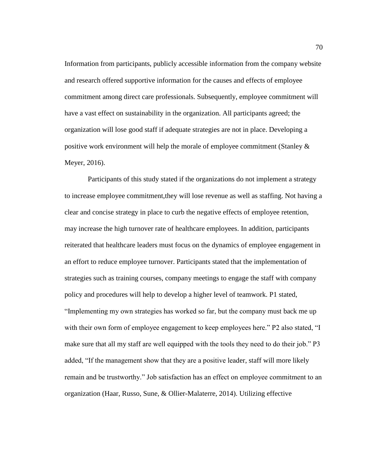Information from participants, publicly accessible information from the company website and research offered supportive information for the causes and effects of employee commitment among direct care professionals. Subsequently, employee commitment will have a vast effect on sustainability in the organization. All participants agreed; the organization will lose good staff if adequate strategies are not in place. Developing a positive work environment will help the morale of employee commitment (Stanley  $\&$ Meyer, 2016).

Participants of this study stated if the organizations do not implement a strategy to increase employee commitment,they will lose revenue as well as staffing. Not having a clear and concise strategy in place to curb the negative effects of employee retention, may increase the high turnover rate of healthcare employees. In addition, participants reiterated that healthcare leaders must focus on the dynamics of employee engagement in an effort to reduce employee turnover. Participants stated that the implementation of strategies such as training courses, company meetings to engage the staff with company policy and procedures will help to develop a higher level of teamwork. P1 stated, "Implementing my own strategies has worked so far, but the company must back me up with their own form of employee engagement to keep employees here." P2 also stated, "I make sure that all my staff are well equipped with the tools they need to do their job." P3 added, "If the management show that they are a positive leader, staff will more likely remain and be trustworthy." Job satisfaction has an effect on employee commitment to an organization (Haar, Russo, Sune, & Ollier-Malaterre, 2014). Utilizing effective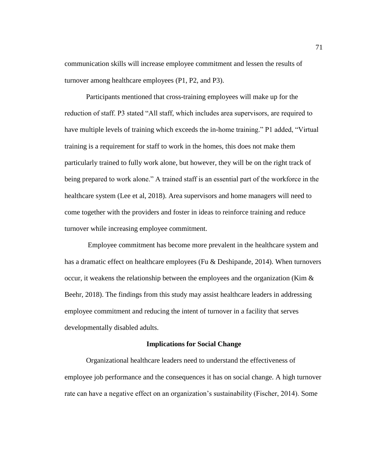communication skills will increase employee commitment and lessen the results of turnover among healthcare employees (P1, P2, and P3).

Participants mentioned that cross-training employees will make up for the reduction of staff. P3 stated "All staff, which includes area supervisors, are required to have multiple levels of training which exceeds the in-home training." P1 added, "Virtual training is a requirement for staff to work in the homes, this does not make them particularly trained to fully work alone, but however, they will be on the right track of being prepared to work alone." A trained staff is an essential part of the workforce in the healthcare system (Lee et al, 2018). Area supervisors and home managers will need to come together with the providers and foster in ideas to reinforce training and reduce turnover while increasing employee commitment.

Employee commitment has become more prevalent in the healthcare system and has a dramatic effect on healthcare employees (Fu & Deshipande, 2014). When turnovers occur, it weakens the relationship between the employees and the organization (Kim  $\&$ Beehr, 2018). The findings from this study may assist healthcare leaders in addressing employee commitment and reducing the intent of turnover in a facility that serves developmentally disabled adults.

#### **Implications for Social Change**

Organizational healthcare leaders need to understand the effectiveness of employee job performance and the consequences it has on social change. A high turnover rate can have a negative effect on an organization's sustainability (Fischer, 2014). Some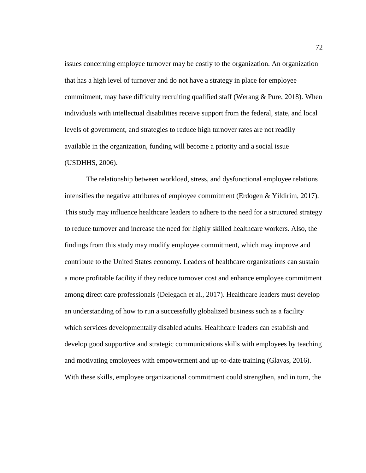issues concerning employee turnover may be costly to the organization. An organization that has a high level of turnover and do not have a strategy in place for employee commitment, may have difficulty recruiting qualified staff (Werang  $& Pure, 2018$ ). When individuals with intellectual disabilities receive support from the federal, state, and local levels of government, and strategies to reduce high turnover rates are not readily available in the organization, funding will become a priority and a social issue (USDHHS, 2006).

The relationship between workload, stress, and dysfunctional employee relations intensifies the negative attributes of employee commitment (Erdogen & Yildirim, 2017). This study may influence healthcare leaders to adhere to the need for a structured strategy to reduce turnover and increase the need for highly skilled healthcare workers. Also, the findings from this study may modify employee commitment, which may improve and contribute to the United States economy. Leaders of healthcare organizations can sustain a more profitable facility if they reduce turnover cost and enhance employee commitment among direct care professionals (Delegach et al., 2017). Healthcare leaders must develop an understanding of how to run a successfully globalized business such as a facility which services developmentally disabled adults. Healthcare leaders can establish and develop good supportive and strategic communications skills with employees by teaching and motivating employees with empowerment and up-to-date training (Glavas, 2016). With these skills, employee organizational commitment could strengthen, and in turn, the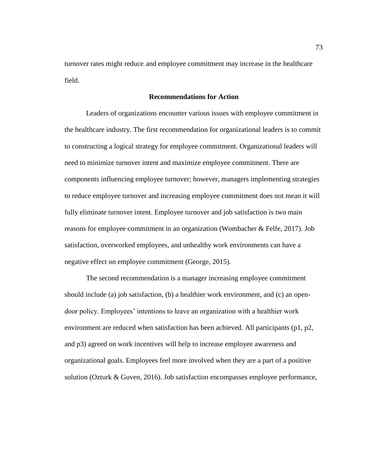turnover rates might reduce, and employee commitment may increase in the healthcare field.

## **Recommendations for Action**

Leaders of organizations encounter various issues with employee commitment in the healthcare industry. The first recommendation for organizational leaders is to commit to constructing a logical strategy for employee commitment. Organizational leaders will need to minimize turnover intent and maximize employee commitment. There are components influencing employee turnover; however, managers implementing strategies to reduce employee turnover and increasing employee commitment does not mean it will fully eliminate turnover intent. Employee turnover and job satisfaction is two main reasons for employee commitment in an organization (Wombacher & Felfe, 2017). Job satisfaction, overworked employees, and unhealthy work environments can have a negative effect on employee commitment (George, 2015).

The second recommendation is a manager increasing employee commitment should include (a) job satisfaction, (b) a healthier work environment, and (c) an opendoor policy. Employees' intentions to leave an organization with a healthier work environment are reduced when satisfaction has been achieved. All participants (p1, p2, and p3) agreed on work incentives will help to increase employee awareness and organizational goals. Employees feel more involved when they are a part of a positive solution (Ozturk & Guven, 2016). Job satisfaction encompasses employee performance,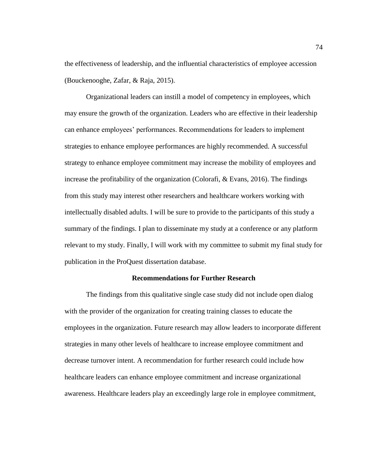the effectiveness of leadership, and the influential characteristics of employee accession (Bouckenooghe, Zafar, & Raja, 2015).

Organizational leaders can instill a model of competency in employees, which may ensure the growth of the organization. Leaders who are effective in their leadership can enhance employees' performances. Recommendations for leaders to implement strategies to enhance employee performances are highly recommended. A successful strategy to enhance employee commitment may increase the mobility of employees and increase the profitability of the organization (Colorafi, & Evans, 2016). The findings from this study may interest other researchers and healthcare workers working with intellectually disabled adults. I will be sure to provide to the participants of this study a summary of the findings. I plan to disseminate my study at a conference or any platform relevant to my study. Finally, I will work with my committee to submit my final study for publication in the ProQuest dissertation database.

#### **Recommendations for Further Research**

The findings from this qualitative single case study did not include open dialog with the provider of the organization for creating training classes to educate the employees in the organization. Future research may allow leaders to incorporate different strategies in many other levels of healthcare to increase employee commitment and decrease turnover intent. A recommendation for further research could include how healthcare leaders can enhance employee commitment and increase organizational awareness. Healthcare leaders play an exceedingly large role in employee commitment,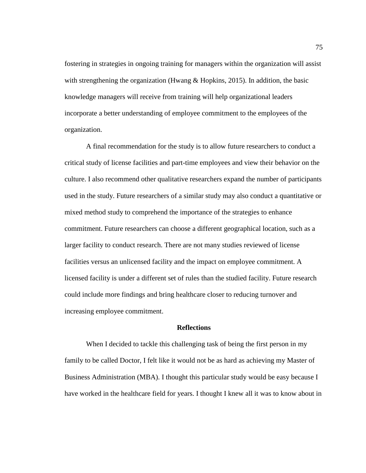fostering in strategies in ongoing training for managers within the organization will assist with strengthening the organization (Hwang & Hopkins, 2015). In addition, the basic knowledge managers will receive from training will help organizational leaders incorporate a better understanding of employee commitment to the employees of the organization.

A final recommendation for the study is to allow future researchers to conduct a critical study of license facilities and part-time employees and view their behavior on the culture. I also recommend other qualitative researchers expand the number of participants used in the study. Future researchers of a similar study may also conduct a quantitative or mixed method study to comprehend the importance of the strategies to enhance commitment. Future researchers can choose a different geographical location, such as a larger facility to conduct research. There are not many studies reviewed of license facilities versus an unlicensed facility and the impact on employee commitment. A licensed facility is under a different set of rules than the studied facility. Future research could include more findings and bring healthcare closer to reducing turnover and increasing employee commitment.

## **Reflections**

When I decided to tackle this challenging task of being the first person in my family to be called Doctor, I felt like it would not be as hard as achieving my Master of Business Administration (MBA). I thought this particular study would be easy because I have worked in the healthcare field for years. I thought I knew all it was to know about in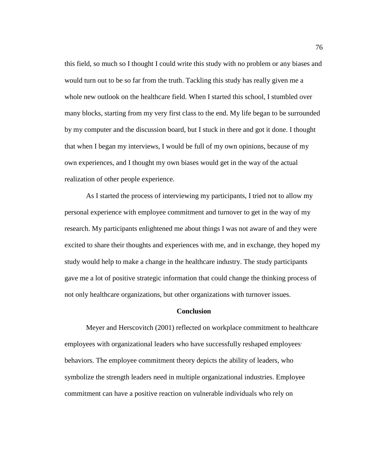this field, so much so I thought I could write this study with no problem or any biases and would turn out to be so far from the truth. Tackling this study has really given me a whole new outlook on the healthcare field. When I started this school, I stumbled over many blocks, starting from my very first class to the end. My life began to be surrounded by my computer and the discussion board, but I stuck in there and got it done. I thought that when I began my interviews, I would be full of my own opinions, because of my own experiences, and I thought my own biases would get in the way of the actual realization of other people experience.

As I started the process of interviewing my participants, I tried not to allow my personal experience with employee commitment and turnover to get in the way of my research. My participants enlightened me about things I was not aware of and they were excited to share their thoughts and experiences with me, and in exchange, they hoped my study would help to make a change in the healthcare industry. The study participants gave me a lot of positive strategic information that could change the thinking process of not only healthcare organizations, but other organizations with turnover issues.

### **Conclusion**

Meyer and Herscovitch (2001) reflected on workplace commitment to healthcare employees with organizational leaders who have successfully reshaped employees' behaviors. The employee commitment theory depicts the ability of leaders, who symbolize the strength leaders need in multiple organizational industries. Employee commitment can have a positive reaction on vulnerable individuals who rely on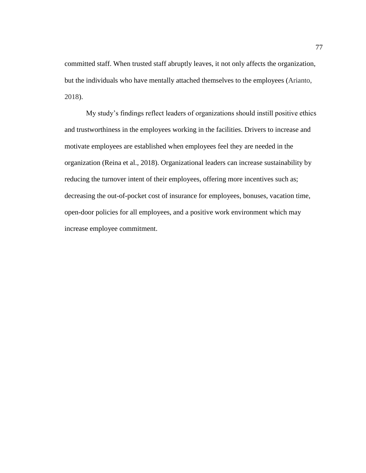committed staff. When trusted staff abruptly leaves, it not only affects the organization, but the individuals who have mentally attached themselves to the employees (Arianto, 2018).

My study's findings reflect leaders of organizations should instill positive ethics and trustworthiness in the employees working in the facilities. Drivers to increase and motivate employees are established when employees feel they are needed in the organization (Reina et al., 2018). Organizational leaders can increase sustainability by reducing the turnover intent of their employees, offering more incentives such as; decreasing the out-of-pocket cost of insurance for employees, bonuses, vacation time, open-door policies for all employees, and a positive work environment which may increase employee commitment.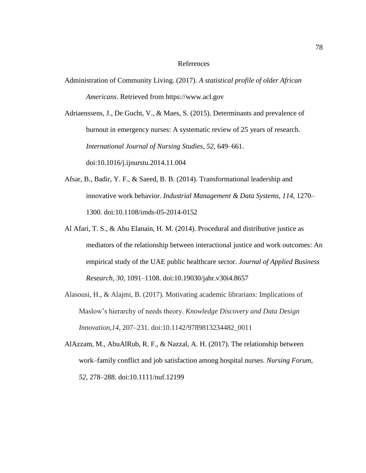### References

Administration of Community Living. (2017). *A statistical profile of older African Americans*. Retrieved from https://www.acl.gov

Adriaenssens, J., De Gucht, V., & Maes, S. (2015). Determinants and prevalence of burnout in emergency nurses: A systematic review of 25 years of research. *International Journal of Nursing Studies, 52,* 649–661. doi:10.1016/j.ijnurstu.2014.11.004

- Afsar, B., Badir, Y. F., & Saeed, B. B. (2014). Transformational leadership and innovative work behavior. *Industrial Management & Data Systems*, *114,* 1270– 1300. doi:10.1108/imds-05-2014-0152
- Al Afari, T. S., & Abu Elanain, H. M. (2014). Procedural and distributive justice as mediators of the relationship between interactional justice and work outcomes: An empirical study of the UAE public healthcare sector. *Journal of Applied Business Research, 30*, 1091–1108. doi:10.19030/jabr.v30i4.8657
- Alasousi, H., & Alajmi, B. (2017). Motivating academic librarians: Implications of Maslow's hierarchy of needs theory. *Knowledge Discovery and Data Design Innovation*,*14*, 207–231. doi:10.1142/9789813234482\_0011
- AlAzzam, M., AbuAlRub, R. F., & Nazzal, A. H. (2017). The relationship between work–family conflict and job satisfaction among hospital nurses. *Nursing Forum*, *52*, 278–288. doi:10.1111/nuf.12199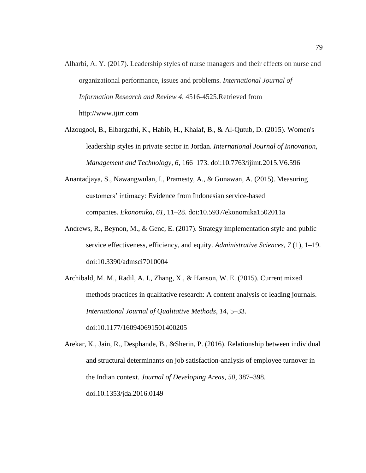- Alharbi, A. Y. (2017). Leadership styles of nurse managers and their effects on nurse and organizational performance, issues and problems. *International Journal of Information Research and Review 4,* 4516-4525.Retrieved from http://www.ijirr.com
- Alzougool, B., Elbargathi, K., Habib, H., Khalaf, B., & Al-Qutub, D. (2015). Women's leadership styles in private sector in Jordan. *International Journal of Innovation, Management and Technology*, *6*, 166–173. doi:10.7763/ijimt.2015.V6.596
- Anantadjaya, S., Nawangwulan, I., Pramesty, A., & Gunawan, A. (2015). Measuring customers' intimacy*:* Evidence from Indonesian service-based companies. *Ekonomika*, *61*, 11–28. doi:10.5937/ekonomika1502011a
- Andrews, R., Beynon, M., & Genc, E. (2017). Strategy implementation style and public service effectiveness, efficiency, and equity. *Administrative Sciences, 7* (1), 1–19. doi:10.3390/admsci7010004
- Archibald, M. M., Radil, A. I., Zhang, X., & Hanson, W. E. (2015). Current mixed methods practices in qualitative research: A content analysis of leading journals. *International Journal of Qualitative Methods*, *14*, 5–33. doi:10.1177/160940691501400205

Arekar, K., Jain, R., Desphande, B., &Sherin, P. (2016). Relationship between individual and structural determinants on job satisfaction-analysis of employee turnover in the Indian context. *Journal of Developing Areas*, *50*, 387–398. doi.10.1353/jda.2016.0149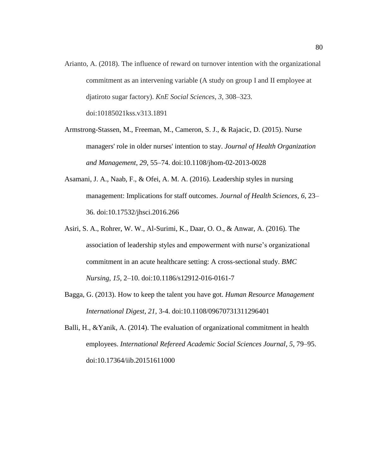- Arianto, A. (2018). The influence of reward on turnover intention with the organizational commitment as an intervening variable (A study on group I and II employee at djatiroto sugar factory). *KnE Social Sciences*, *3*, 308–323. doi:10185021kss.v313.1891
- Armstrong-Stassen, M., Freeman, M., Cameron, S. J., & Rajacic, D. (2015). Nurse managers' role in older nurses' intention to stay. *Journal of Health Organization and Management*, *29*, 55–74. doi:10.1108/jhom-02-2013-0028
- Asamani, J. A., Naab, F., & Ofei, A. M. A. (2016). Leadership styles in nursing management: Implications for staff outcomes. *Journal of Health Sciences*, *6*, 23– 36. doi:10.17532/jhsci.2016.266
- Asiri, S. A., Rohrer, W. W., Al-Surimi, K., Daar, O. O., & Anwar, A. (2016). The association of leadership styles and empowerment with nurse's organizational commitment in an acute healthcare setting: A cross-sectional study. *BMC Nursing*, *15*, 2–10. doi:10.1186/s12912-016-0161-7
- Bagga, G. (2013). How to keep the talent you have got. *Human Resource Management International Digest*, *21*, 3-4. doi:10.1108/09670731311296401
- Balli, H., &Yanik, A. (2014). The evaluation of organizational commitment in health employees. *International Refereed Academic Social Sciences Journal*, *5*, 79–95. doi:10.17364/iib.20151611000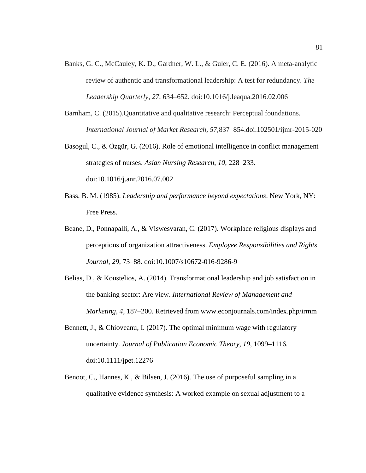- Banks, G. C., McCauley, K. D., Gardner, W. L., & Guler, C. E. (2016). A meta-analytic review of authentic and transformational leadership: A test for redundancy. *The Leadership Quarterly*, *27*, 634–652. doi:10.1016/j.leaqua.2016.02.006
- Barnham, C. (2015).Quantitative and qualitative research: Perceptual foundations. *International Journal of Market Research, 57,*837–854.doi.102501/ijmr-2015-020
- Basogul, C., & Özgür, G. (2016). Role of emotional intelligence in conflict management strategies of nurses. *Asian Nursing Research*, *10*, 228–233. doi:10.1016/j.anr.2016.07.002
- Bass, B. M. (1985). *Leadership and performance beyond expectations*. New York, NY: Free Press.
- Beane, D., Ponnapalli, A., & Viswesvaran, C. (2017). Workplace religious displays and perceptions of organization attractiveness. *Employee Responsibilities and Rights Journal, 29*, 73–88. doi:10.1007/s10672-016-9286-9
- Belias, D., & Koustelios, A. (2014). Transformational leadership and job satisfaction in the banking sector: Are view. *International Review of Management and Marketing*, *4*, 187–200. Retrieved from www.econjournals.com/index.php/irmm
- Bennett, J., & Chioveanu, I. (2017). The optimal minimum wage with regulatory uncertainty. *Journal of Publication Economic Theory, 19,* 1099–1116. doi:10.1111/jpet.12276
- Benoot, C., Hannes, K., & Bilsen, J. (2016). The use of purposeful sampling in a qualitative evidence synthesis: A worked example on sexual adjustment to a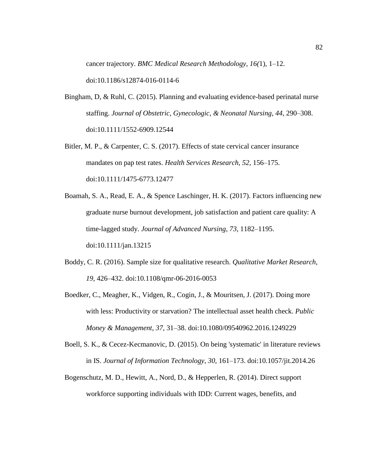cancer trajectory. *BMC Medical Research Methodology*, *16(*1), 1–12. doi:10.1186/s12874-016-0114-6

- Bingham, D, & Ruhl, C. (2015). Planning and evaluating evidence-based perinatal nurse staffing. *Journal of Obstetric, Gynecologic, & Neonatal Nursing*, *44,* 290–308. doi:10.1111/1552-6909.12544
- Bitler, M. P., & Carpenter, C. S. (2017). Effects of state cervical cancer insurance mandates on pap test rates. *Health Services Research, 52,* 156–175. doi:10.1111/1475-6773.12477
- Boamah, S. A., Read, E. A., & Spence Laschinger, H. K. (2017). Factors influencing new graduate nurse burnout development, job satisfaction and patient care quality: A time‐lagged study. *Journal of Advanced Nursing*, *73,* 1182–1195. doi:10.1111/jan.13215
- Boddy, C. R. (2016). Sample size for qualitative research. *Qualitative Market Research*, *19*, 426–432. doi:10.1108/qmr-06-2016-0053
- Boedker, C., Meagher, K., Vidgen, R., Cogin, J., & Mouritsen, J. (2017). Doing more with less: Productivity or starvation? The intellectual asset health check. *Public Money & Management*, *37*, 31–38. doi:10.1080/09540962.2016.1249229
- Boell, S. K., & Cecez-Kecmanovic, D. (2015). On being 'systematic' in literature reviews in IS. *Journal of Information Technology*, *30*, 161–173. doi:10.1057/jit.2014.26
- Bogenschutz, M. D., Hewitt, A., Nord, D., & Hepperlen, R. (2014). Direct support workforce supporting individuals with IDD: Current wages, benefits, and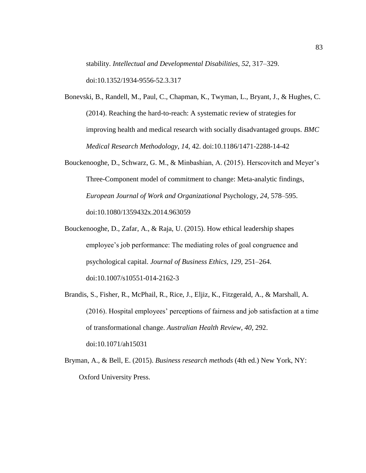stability. *Intellectual and Developmental Disabilities*, *52*, 317–329. doi:10.1352/1934-9556-52.3.317

- Bonevski, B., Randell, M., Paul, C., Chapman, K., Twyman, L., Bryant, J., & Hughes, C. (2014). Reaching the hard-to-reach: A systematic review of strategies for improving health and medical research with socially disadvantaged groups. *BMC Medical Research Methodology*, *14,* 42. doi:10.1186/1471-2288-14-42
- Bouckenooghe, D., Schwarz, G. M., & Minbashian, A. (2015). Herscovitch and Meyer's Three-Component model of commitment to change: Meta-analytic findings, *European Journal of Work and Organizational* Psychology, *24,* 578–595. doi:10.1080/1359432x.2014.963059
- Bouckenooghe, D., Zafar, A., & Raja, U. (2015). How ethical leadership shapes employee's job performance: The mediating roles of goal congruence and psychological capital. *Journal of Business Ethics, 129,* 251–264. doi:10.1007/s10551-014-2162-3
- Brandis, S., Fisher, R., McPhail, R., Rice, J., Eljiz, K., Fitzgerald, A., & Marshall, A. (2016). Hospital employees' perceptions of fairness and job satisfaction at a time of transformational change. *Australian Health Review*, *40*, 292. doi:10.1071/ah15031
- Bryman, A., & Bell, E. (2015). *Business research methods* (4th ed.) New York, NY: Oxford University Press.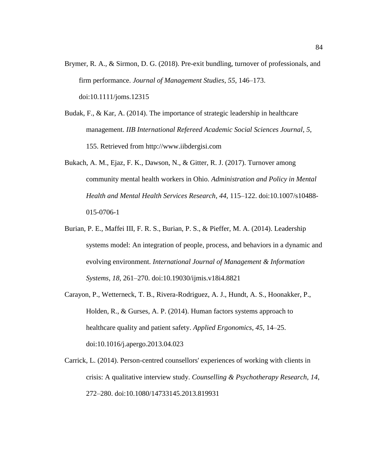- Brymer, R. A., & Sirmon, D. G. (2018). Pre-exit bundling, turnover of professionals, and firm performance. *Journal of Management Studies*, *55*, 146–173. doi:10.1111/joms.12315
- Budak, F., & Kar, A. (2014). The importance of strategic leadership in healthcare management. *IIB International Refereed Academic Social Sciences Journal*, *5*, 155. Retrieved from http://www.iibdergisi.com
- Bukach, A. M., Ejaz, F. K., Dawson, N., & Gitter, R. J. (2017). Turnover among community mental health workers in Ohio. *Administration and Policy in Mental Health and Mental Health Services Research*, *44*, 115–122. doi:10.1007/s10488- 015-0706-1
- Burian, P. E., Maffei III, F. R. S., Burian, P. S., & Pieffer, M. A. (2014). Leadership systems model: An integration of people, process, and behaviors in a dynamic and evolving environment. *International Journal of Management & Information Systems*, *18*, 261–270. doi:10.19030/ijmis.v18i4.8821
- Carayon, P., Wetterneck, T. B., Rivera-Rodriguez, A. J., Hundt, A. S., Hoonakker, P., Holden, R., & Gurses, A. P. (2014). Human factors systems approach to healthcare quality and patient safety. *Applied Ergonomics*, *45*, 14–25. doi:10.1016/j.apergo.2013.04.023
- Carrick, L. (2014). Person-centred counsellors' experiences of working with clients in crisis: A qualitative interview study. *Counselling & Psychotherapy Research*, *14*, 272–280. doi:10.1080/14733145.2013.819931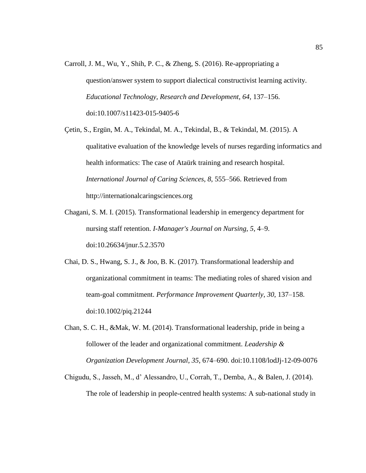Carroll, J. M., Wu, Y., Shih, P. C., & Zheng, S. (2016). Re-appropriating a question/answer system to support dialectical constructivist learning activity. *Educational Technology, Research and Development*, *64*, 137–156. doi:10.1007/s11423-015-9405-6

Çetin, S., Ergün, M. A., Tekindal, M. A., Tekindal, B., & Tekindal, M. (2015). A qualitative evaluation of the knowledge levels of nurses regarding informatics and health informatics: The case of Ataürk training and research hospital. *International Journal of Caring Sciences, 8*, 555–566. Retrieved from http://internationalcaringsciences.org

- Chagani, S. M. I. (2015). Transformational leadership in emergency department for nursing staff retention. *I-Manager's Journal on Nursing, 5*, 4–9. doi:10.26634/jnur.5.2.3570
- Chai, D. S., Hwang, S. J., & Joo, B. K. (2017). Transformational leadership and organizational commitment in teams: The mediating roles of shared vision and team-goal commitment. *Performance Improvement Quarterly*, *30*, 137–158. doi:10.1002/piq.21244
- Chan, S. C. H., &Mak, W. M. (2014). Transformational leadership, pride in being a follower of the leader and organizational commitment. *Leadership & Organization Development Journal*, *35*, 674–690. doi:10.1108/lodJj-12-09-0076
- Chigudu, S., Jasseh, M., d' Alessandro, U., Corrah, T., Demba, A., & Balen, J. (2014). The role of leadership in people-centred health systems: A sub-national study in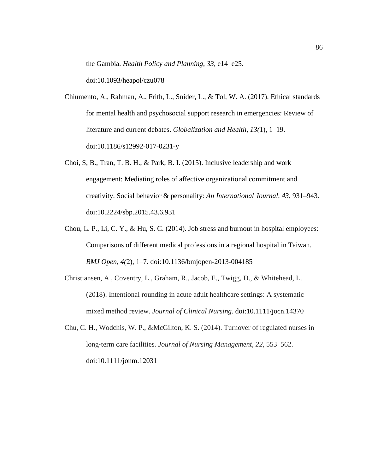the Gambia. *Health Policy and Planning*, *33*, e14–e25.

doi:10.1093/heapol/czu078

- Chiumento, A., Rahman, A., Frith, L., Snider, L., & Tol, W. A. (2017). Ethical standards for mental health and psychosocial support research in emergencies: Review of literature and current debates. *Globalization and Health*, *13(*1), 1–19. doi:10.1186/s12992-017-0231-y
- Choi, S, B., Tran, T. B. H., & Park, B. I. (2015). Inclusive leadership and work engagement: Mediating roles of affective organizational commitment and creativity. Social behavior & personality: *An International Journal*, *43*, 931–943. doi:10.2224/sbp.2015.43.6.931
- Chou, L. P., Li, C. Y., & Hu, S. C. (2014). Job stress and burnout in hospital employees: Comparisons of different medical professions in a regional hospital in Taiwan. *BMJ Open*, *4(*2), 1–7. doi:10.1136/bmjopen-2013-004185
- Christiansen, A., Coventry, L., Graham, R., Jacob, E., Twigg, D., & Whitehead, L. (2018). Intentional rounding in acute adult healthcare settings: A systematic mixed method review. *Journal of Clinical Nursing*. doi:10.1111/jocn.14370
- Chu, C. H., Wodchis, W. P., &McGilton, K. S. (2014). Turnover of regulated nurses in long‐term care facilities. *Journal of Nursing Management*, *22*, 553–562. doi:10.1111/jonm.12031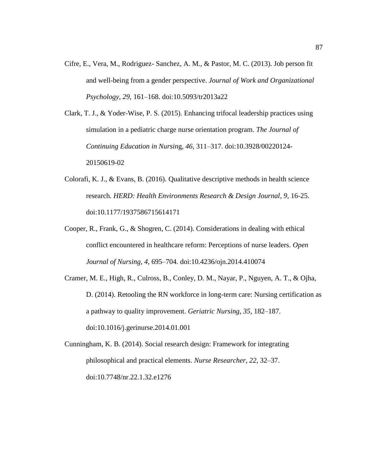- Cifre, E., Vera, M., Rodriguez- Sanchez, A. M., & Pastor, M. C. (2013). Job person fit and well-being from a gender perspective. *Journal of Work and Organizational Psychology*, *29*, 161–168. doi:10.5093/tr2013a22
- Clark, T. J., & Yoder-Wise, P. S. (2015). Enhancing trifocal leadership practices using simulation in a pediatric charge nurse orientation program. *The Journal of Continuing Education in Nursin*g, *46,* 311–317. doi:10.3928/00220124- 20150619-02
- Colorafi, K. J., & Evans, B. (2016). Qualitative descriptive methods in health science research. *HERD: Health Environments Research & Design Journal*, *9,* 16-25. doi:10.1177/1937586715614171
- Cooper, R., Frank, G., & Shogren, C. (2014). Considerations in dealing with ethical conflict encountered in healthcare reform: Perceptions of nurse leaders. *Open Journal of Nursing*, *4,* 695–704. doi:10.4236/ojn.2014.410074
- Cramer, M. E., High, R., Culross, B., Conley, D. M., Nayar, P., Nguyen, A. T., & Ojha, D. (2014). Retooling the RN workforce in long-term care: Nursing certification as a pathway to quality improvement. *Geriatric Nursing*, *35*, 182–187. doi:10.1016/j.gerinurse.2014.01.001
- Cunningham, K. B. (2014). Social research design: Framework for integrating philosophical and practical elements. *Nurse Researcher*, *22,* 32–37. doi:10.7748/nr.22.1.32.e1276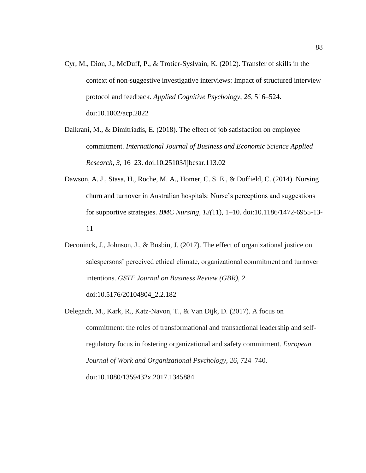- Cyr, M., Dion, J., McDuff, P., & Trotier-Syslvain, K. (2012). Transfer of skills in the context of non-suggestive investigative interviews: Impact of structured interview protocol and feedback. *Applied Cognitive Psychology*, *26,* 516–524. doi:10.1002/acp.2822
- Dalkrani, M., & Dimitriadis, E. (2018). The effect of job satisfaction on employee commitment. *International Journal of Business and Economic Science Applied Research*, *3*, 16–23. doi.10.25103/ijbesar.113.02
- Dawson, A. J., Stasa, H., Roche, M. A., Homer, C. S. E., & Duffield, C. (2014). Nursing churn and turnover in Australian hospitals: Nurse's perceptions and suggestions for supportive strategies. *BMC Nursing*, *13(*11), 1–10. doi:10.1186/1472-6955-13- 11
- Deconinck, J., Johnson, J., & Busbin, J. (2017). The effect of organizational justice on salespersons' perceived ethical climate, organizational commitment and turnover intentions. *GSTF Journal on Business Review (GBR)*, *2*.

doi:10.5176/20104804\_2.2.182

Delegach, M., Kark, R., Katz-Navon, T., & Van Dijk, D. (2017). A focus on commitment: the roles of transformational and transactional leadership and selfregulatory focus in fostering organizational and safety commitment. *European Journal of Work and Organizational Psychology*, *26,* 724–740. doi:10.1080/1359432x.2017.1345884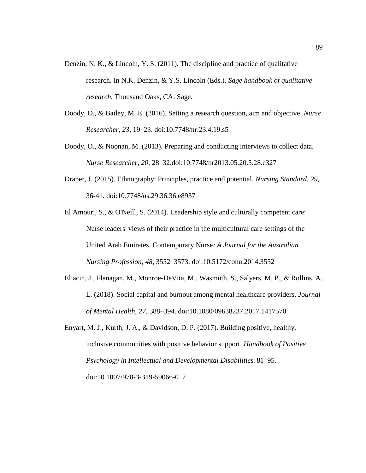- Denzin, N. K., & Lincoln, Y. S. (2011). The discipline and practice of qualitative research. In N.K. Denzin, & Y.S. Lincoln (Eds.), *Sage handbook of qualitative research.* Thousand Oaks, CA: Sage.
- Doody, O., & Bailey, M. E. (2016). Setting a research question, aim and objective. *Nurse Researcher*, *23,* 19–23. doi:10.7748/nr.23.4.19.s5
- Doody, O., & Noonan, M. (2013). Preparing and conducting interviews to collect data. *Nurse Researcher, 20,* 28–32.doi:10.7748/nr2013.05.20.5.28.e327
- Draper, J. (2015). Ethnography: Principles, practice and potential. *Nursing Standard*, *29*, 36-41. doi:10.7748/ns.29.36.36.e8937
- El Amouri, S., & O'Neill, S. (2014). Leadership style and culturally competent care: Nurse leaders' views of their practice in the multicultural care settings of the United Arab Emirates. Contemporary Nurse*: A Journal for the Australian Nursing Profession*, *48,* 3552–3573. doi:10.5172/conu.2014.3552
- Eliacin, J., Flanagan, M., Monroe-DeVita, M., Wasmuth, S., Salyers, M. P., & Rollins, A. L. (2018). Social capital and burnout among mental healthcare providers. *Journal of Mental Health*, *27*, 388–394. doi:10.1080/09638237.2017.1417570
- Enyart, M. J., Kurth, J. A., & Davidson, D. P. (2017). Building positive, healthy, inclusive communities with positive behavior support. *Handbook of Positive Psychology in Intellectual and Developmental Disabilities*, 81–95. doi:10.1007/978-3-319-59066-0\_7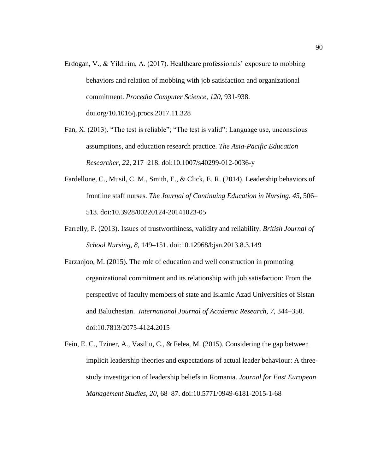- Erdogan, V., & Yildirim, A. (2017). Healthcare professionals' exposure to mobbing behaviors and relation of mobbing with job satisfaction and organizational commitment. *Procedia Computer Science, 120*, 931-938. doi.org/10.1016/j.procs.2017.11.328
- Fan, X. (2013). "The test is reliable"; "The test is valid": Language use, unconscious assumptions, and education research practice. *The Asia-Pacific Education Researcher*, *22,* 217–218. doi:10.1007/s40299-012-0036-y
- Fardellone, C., Musil, C. M., Smith, E., & Click, E. R. (2014). Leadership behaviors of frontline staff nurses. *The Journal of Continuing Education in Nursing*, *45,* 506– 513. doi:10.3928/00220124-20141023-05
- Farrelly, P. (2013). Issues of trustworthiness, validity and reliability. *British Journal of School Nursing*, *8*, 149–151. doi:10.12968/bjsn.2013.8.3.149
- Farzanjoo, M. (2015). The role of education and well construction in promoting organizational commitment and its relationship with job satisfaction: From the perspective of faculty members of state and Islamic Azad Universities of Sistan and Baluchestan. *International Journal of Academic Research*, *7,* 344–350. doi:10.7813/2075-4124.2015
- Fein, E. C., Tziner, A., Vasiliu, C., & Felea, M. (2015). Considering the gap between implicit leadership theories and expectations of actual leader behaviour: A threestudy investigation of leadership beliefs in Romania. *Journal for East European Management Studies*, *20*, 68–87. doi:10.5771/0949-6181-2015-1-68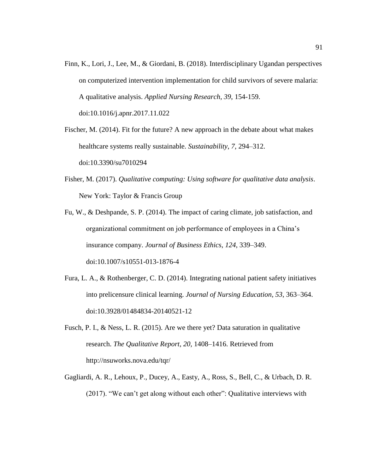Finn, K., Lori, J., Lee, M., & Giordani, B. (2018). Interdisciplinary Ugandan perspectives on computerized intervention implementation for child survivors of severe malaria: A qualitative analysis. *Applied Nursing Research*, *39*, 154-159. doi:10.1016/j.apnr.2017.11.022

Fischer, M. (2014). Fit for the future? A new approach in the debate about what makes healthcare systems really sustainable. *Sustainability*, *7,* 294–312. doi:10.3390/su7010294

- Fisher, M. (2017). *Qualitative computing: Using software for qualitative data analysis*. New York: Taylor & Francis Group
- Fu, W., & Deshpande, S. P. (2014). The impact of caring climate, job satisfaction, and organizational commitment on job performance of employees in a China's insurance company. *Journal of Business Ethics*, *124*, 339–349. doi:10.1007/s10551-013-1876-4
- Fura, L. A., & Rothenberger, C. D. (2014). Integrating national patient safety initiatives into prelicensure clinical learning. *Journal of Nursing Education*, *53*, 363–364. doi:10.3928/01484834-20140521-12
- Fusch, P. I., & Ness, L. R. (2015). Are we there yet? Data saturation in qualitative research. *The Qualitative Report*, *20,* 1408–1416. Retrieved from http://nsuworks.nova.edu/tqr/
- Gagliardi, A. R., Lehoux, P., Ducey, A., Easty, A., Ross, S., Bell, C., & Urbach, D. R. (2017). "We can't get along without each other": Qualitative interviews with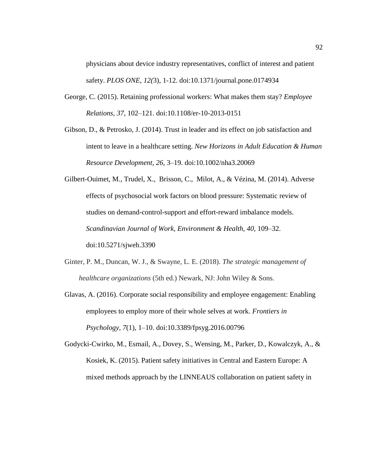physicians about device industry representatives, conflict of interest and patient safety. *PLOS ONE*, *12(*3), 1-12. doi:10.1371/journal.pone.0174934

- George, C. (2015). Retaining professional workers: What makes them stay? *Employee Relations*, *37*, 102–121. doi:10.1108/er-10-2013-0151
- Gibson, D., & Petrosko, J. (2014). Trust in leader and its effect on job satisfaction and intent to leave in a healthcare setting. *New Horizons in Adult Education & Human Resource Development*, *26*, 3–19. doi:10.1002/nha3.20069
- Gilbert-Ouimet, M., Trudel, X., Brisson, C., Milot, A., & Vézina, M. (2014). Adverse effects of psychosocial work factors on blood pressure: Systematic review of studies on demand-control-support and effort-reward imbalance models. *Scandinavian Journal of Work, Environment & Health, 40*, 109–32. doi:10.5271/sjweh.3390
- Ginter, P. M., Duncan, W. J., & Swayne, L. E. (2018). *The strategic management of healthcare organizations* (5th ed.) Newark, NJ: John Wiley & Sons.
- Glavas, A. (2016). Corporate social responsibility and employee engagement: Enabling employees to employ more of their whole selves at work. *Frontiers in Psychology*, *7*(1), 1–10. doi:10.3389/fpsyg.2016.00796

Godycki-Cwirko, M., Esmail, A., Dovey, S., Wensing, M., Parker, D., Kowalczyk, A., & Kosiek, K. (2015). Patient safety initiatives in Central and Eastern Europe: A mixed methods approach by the LINNEAUS collaboration on patient safety in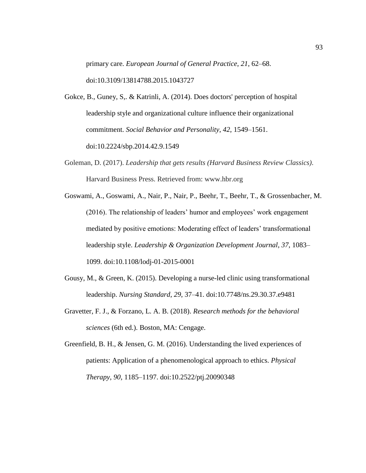primary care. *European Journal of General Practice*, *21*, 62–68. doi:10.3109/13814788.2015.1043727

- Gokce, B., Guney, S,. & Katrinli, A. (2014). Does doctors' perception of hospital leadership style and organizational culture influence their organizational commitment. *Social Behavior and Personality*, *42*, 1549–1561. doi:10.2224/sbp.2014.42.9.1549
- Goleman, D. (2017). *Leadership that gets results (Harvard Business Review Classics)*. Harvard Business Press. Retrieved from: www.hbr.org
- Goswami, A., Goswami, A., Nair, P., Nair, P., Beehr, T., Beehr, T., & Grossenbacher, M. (2016). The relationship of leaders' humor and employees' work engagement mediated by positive emotions: Moderating effect of leaders' transformational leadership style. *Leadership & Organization Development Journal*, *37*, 1083– 1099. doi:10.1108/lodj-01-2015-0001
- Gousy, M., & Green, K. (2015). Developing a nurse-led clinic using transformational leadership. *Nursing Standard*, *29*, 37–41. doi:10.7748/ns.29.30.37.e9481
- Gravetter, F. J., & Forzano, L. A. B. (2018). *Research methods for the behavioral sciences* (6th ed.). Boston, MA: Cengage.
- Greenfield, B. H., & Jensen, G. M. (2016). Understanding the lived experiences of patients: Application of a phenomenological approach to ethics. *Physical Therapy*, *90,* 1185–1197. doi:10.2522/ptj.20090348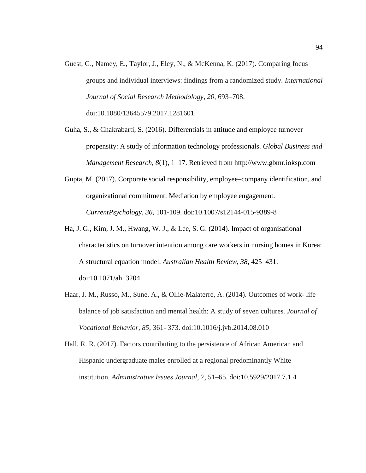- Guest, G., Namey, E., Taylor, J., Eley, N., & McKenna, K. (2017). Comparing focus groups and individual interviews: findings from a randomized study. *International Journal of Social Research Methodology*, *20,* 693–708. doi:10.1080/13645579.2017.1281601
- Guha, S., & Chakrabarti, S. (2016). Differentials in attitude and employee turnover propensity: A study of information technology professionals. *Global Business and Management Research*, *8*(1), 1–17. Retrieved from http://www.gbmr.ioksp.com
- Gupta, M. (2017). Corporate social responsibility, employee–company identification, and organizational commitment: Mediation by employee engagement. *CurrentPsychology*, *36*, 101-109. doi:10.1007/s12144-015-9389-8
- Ha, J. G., Kim, J. M., Hwang, W. J., & Lee, S. G. (2014). Impact of organisational characteristics on turnover intention among care workers in nursing homes in Korea: A structural equation model. *Australian Health Review*, *38*, 425–431. doi:10.1071/ah13204
- Haar, J. M., Russo, M., Sune, A., & Ollie-Malaterre, A. (2014). Outcomes of work- life balance of job satisfaction and mental health: A study of seven cultures. *Journal of Vocational Behavior, 85*, 361- 373. doi:10.1016/j.jvb.2014.08.010

Hall, R. R. (2017). Factors contributing to the persistence of African American and Hispanic undergraduate males enrolled at a regional predominantly White institution. *Administrative Issues Journal*, *7*, 51–65. doi:10.5929/2017.7.1.4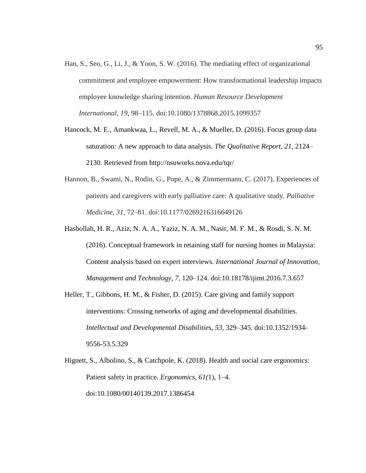- Han, S., Seo, G., Li, J., & Yoon, S. W. (2016). The mediating effect of organizational commitment and employee empowerment: How transformational leadership impacts employee knowledge sharing intention. *Human Resource Development International*, *19,* 98–115. doi:10.1080/1378868.2015.1099357
- Hancock, M. E., Amankwaa, L., Revell, M. A., & Mueller, D. (2016). Focus group data saturation: A new approach to data analysis. *The Qualitative Report*, *21*, 2124– 2130. Retrieved from http://nsuworks.nova.edu/tqr/
- Hannon, B., Swami, N., Rodin, G., Pope, A., & Zimmermann, C. (2017). Experiences of patients and caregivers with early palliative care: A qualitative study. *Palliative Medicine*, *31*, 72–81. doi:10.1177/0269216316649126
- Hasbollah, H. R., Aziz, N. A. A., Yaziz, N. A. M., Nasir, M. F. M., & Rosdi, S. N. M. (2016). Conceptual framework in retaining staff for nursing homes in Malaysia: Content analysis based on expert interviews. *International Journal of Innovation, Management and Technology*, *7*, 120–124. doi:10.18178/ijimt.2016.7.3.657
- Heller, T., Gibbons, H. M., & Fisher, D. (2015). Care giving and family support interventions: Crossing networks of aging and developmental disabilities. *Intellectual and Developmental Disabilities*, *53,* 329–345. doi:10.1352/1934- 9556-53.5.329
- Hignett, S., Albolino, S., & Catchpole, K. (2018). Health and social care ergonomics: Patient safety in practice. *Ergonomics*, *61(*1), 1–4. doi:10.1080/00140139.2017.1386454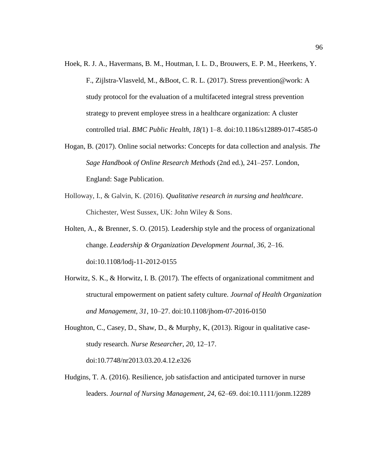- Hoek, R. J. A., Havermans, B. M., Houtman, I. L. D., Brouwers, E. P. M., Heerkens, Y. F., Zijlstra-Vlasveld, M., &Boot, C. R. L. (2017). Stress prevention@work: A study protocol for the evaluation of a multifaceted integral stress prevention strategy to prevent employee stress in a healthcare organization: A cluster controlled trial. *BMC Public Health*, *18(*1) 1–8. doi:10.1186/s12889-017-4585-0
- Hogan, B. (2017). Online social networks: Concepts for data collection and analysis. *The Sage Handbook of Online Research Methods* (2nd ed.), 241–257. London, England: Sage Publication.
- Holloway, I., & Galvin, K. (2016). *Qualitative research in nursing and healthcare*. Chichester, West Sussex, UK: John Wiley & Sons.
- Holten, A., & Brenner, S. O. (2015). Leadership style and the process of organizational change. *Leadership & Organization Development Journal*, *36,* 2–16. doi:10.1108/lodj-11-2012-0155
- Horwitz, S. K., & Horwitz, I. B. (2017). The effects of organizational commitment and structural empowerment on patient safety culture. *Journal of Health Organization and Management, 31*, 10–27. doi:10.1108/jhom-07-2016-0150
- Houghton, C., Casey, D., Shaw, D., & Murphy, K, (2013). Rigour in qualitative casestudy research. *Nurse Researcher*, *20,* 12–17. doi:10.7748/nr2013.03.20.4.12.e326
- Hudgins, T. A. (2016). Resilience, job satisfaction and anticipated turnover in nurse leaders. *Journal of Nursing Management*, *24*, 62–69. doi:10.1111/jonm.12289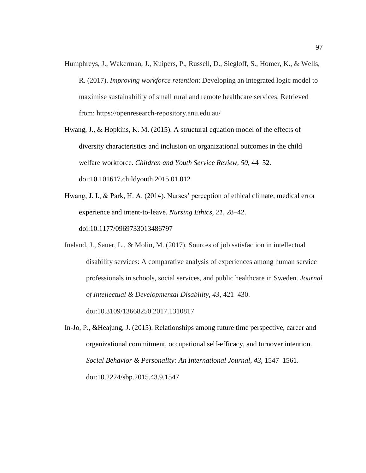- Humphreys, J., Wakerman, J., Kuipers, P., Russell, D., Siegloff, S., Homer, K., & Wells, R. (2017). *Improving workforce retention*: Developing an integrated logic model to maximise sustainability of small rural and remote healthcare services. Retrieved from: https://openresearch-repository.anu.edu.au/
- Hwang, J., & Hopkins, K. M. (2015). A structural equation model of the effects of diversity characteristics and inclusion on organizational outcomes in the child welfare workforce. *Children and Youth Service Review, 50*, 44–52. doi:10.101617.childyouth.2015.01.012
- Hwang, J. I., & Park, H. A. (2014). Nurses' perception of ethical climate, medical error experience and intent-to-leave. *Nursing Ethics*, *21*, 28–42. doi:10.1177/0969733013486797
- Ineland, J., Sauer, L., & Molin, M. (2017). Sources of job satisfaction in intellectual disability services: A comparative analysis of experiences among human service professionals in schools, social services, and public healthcare in Sweden. *Journal of Intellectual & Developmental Disability*, *43*, 421–430. doi:10.3109/13668250.2017.1310817
- In-Jo, P., &Heajung, J. (2015). Relationships among future time perspective, career and organizational commitment, occupational self-efficacy, and turnover intention. *Social Behavior & Personality: An International Journal*, *43*, 1547–1561. doi:10.2224/sbp.2015.43.9.1547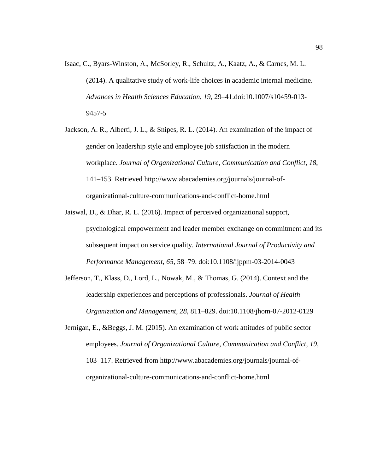- Isaac, C., Byars-Winston, A., McSorley, R., Schultz, A., Kaatz, A., & Carnes, M. L. (2014). A qualitative study of work-life choices in academic internal medicine. *Advances in Health Sciences Education*, *19*, 29–41.doi:10.1007/s10459-013- 9457-5
- Jackson, A. R., Alberti, J. L., & Snipes, R. L. (2014). An examination of the impact of gender on leadership style and employee job satisfaction in the modern workplace. *Journal of Organizational Culture, Communication and Conflict*, *18*, 141–153. Retrieved http://www.abacademies.org/journals/journal-oforganizational-culture-communications-and-conflict-home.html
- Jaiswal, D., & Dhar, R. L. (2016). Impact of perceived organizational support, psychological empowerment and leader member exchange on commitment and its subsequent impact on service quality. *International Journal of Productivity and Performance Management*, *65*, 58–79. doi:10.1108/ijppm-03-2014-0043
- Jefferson, T., Klass, D., Lord, L., Nowak, M., & Thomas, G. (2014). Context and the leadership experiences and perceptions of professionals. *Journal of Health Organization and Management*, *28*, 811–829. doi:10.1108/jhom-07-2012-0129
- Jernigan, E., &Beggs, J. M. (2015). An examination of work attitudes of public sector employees. *Journal of Organizational Culture, Communication and Conflict*, *19*, 103–117. Retrieved from http://www.abacademies.org/journals/journal-oforganizational-culture-communications-and-conflict-home.html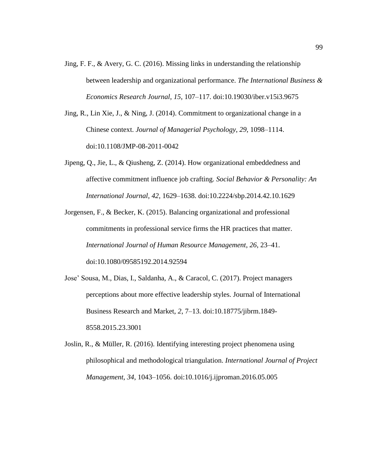- Jing, F. F., & Avery, G. C. (2016). Missing links in understanding the relationship between leadership and organizational performance. *The International Business & Economics Research Journal*, *15*, 107–117. doi:10.19030/iber.v15i3.9675
- Jing, R., Lin Xie, J., & Ning, J. (2014). Commitment to organizational change in a Chinese context. *Journal of Managerial Psychology*, *29*, 1098–1114. doi:10.1108/JMP-08-2011-0042
- Jipeng, Q., Jie, L., & Qiusheng, Z. (2014). How organizational embeddedness and affective commitment influence job crafting. *Social Behavior & Personality: An International Journal*, *42*, 1629–1638. doi:10.2224/sbp.2014.42.10.1629
- Jorgensen, F., & Becker, K. (2015). Balancing organizational and professional commitments in professional service firms the HR practices that matter. *International Journal of Human Resource Management*, *26*, 23–41. doi:10.1080/09585192.2014.92594
- Jose' Sousa, M., Dias, I., Saldanha, A., & Caracol, C. (2017). Project managers perceptions about more effective leadership styles. Journal of International Business Research and Market, *2*, 7–13. doi:10.18775/jibrm.1849- 8558.2015.23.3001
- Joslin, R., & Müller, R. (2016). Identifying interesting project phenomena using philosophical and methodological triangulation. *International Journal of Project Management*, *34*, 1043–1056. doi:10.1016/j.ijproman.2016.05.005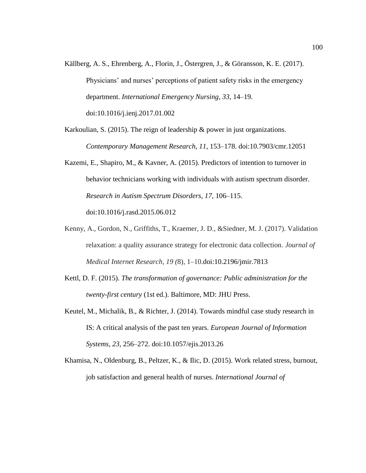- Källberg, A. S., Ehrenberg, A., Florin, J., Östergren, J., & Göransson, K. E. (2017). Physicians' and nurses' perceptions of patient safety risks in the emergency department. *International Emergency Nursing*, *33*, 14–19. doi:10.1016/j.ienj.2017.01.002
- Karkoulian, S. (2015). The reign of leadership & power in just organizations. *Contemporary Management Research*, *11*, 153–178. doi:10.7903/cmr.12051
- Kazemi, E., Shapiro, M., & Kavner, A. (2015). Predictors of intention to turnover in behavior technicians working with individuals with autism spectrum disorder. *Research in Autism Spectrum Disorders*, *17*, 106–115. doi:10.1016/j.rasd.2015.06.012
- Kenny, A., Gordon, N., Griffiths, T., Kraemer, J. D., &Siedner, M. J. (2017). Validation relaxation: a quality assurance strategy for electronic data collection. *Journal of Medical Internet Research*, *19 (*8), 1–10.doi:10.2196/jmir.7813
- Kettl, D. F. (2015). *The transformation of governance: Public administration for the twenty-first century* (1st ed.). Baltimore, MD: JHU Press.
- Keutel, M., Michalik, B., & Richter, J. (2014). Towards mindful case study research in IS: A critical analysis of the past ten years. *European Journal of Information Systems, 23,* 256–272. doi:10.1057/ejis.2013.26
- Khamisa, N., Oldenburg, B., Peltzer, K., & Ilic, D. (2015). Work related stress, burnout, job satisfaction and general health of nurses. *International Journal of*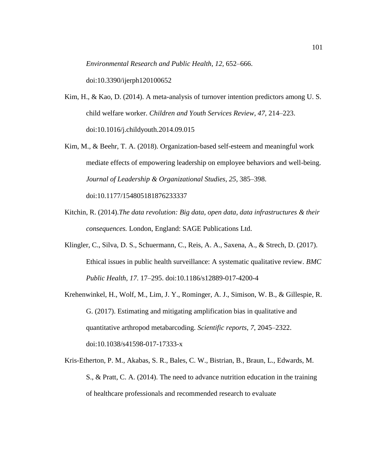*Environmental Research and Public Health*, *12,* 652–666.

doi:10.3390/ijerph120100652

- Kim, H., & Kao, D. (2014). A meta-analysis of turnover intention predictors among U. S. child welfare worker. *Children and Youth Services Review*, *47*, 214–223. doi:10.1016/j.childyouth.2014.09.015
- Kim, M., & Beehr, T. A. (2018). Organization-based self-esteem and meaningful work mediate effects of empowering leadership on employee behaviors and well-being. *Journal of Leadership & Organizational Studies*, *25*, 385–398.

doi:10.1177/154805181876233337

- Kitchin, R. (2014).*The data revolution: Big data, open data, data infrastructures & their consequences.* London, England: SAGE Publications Ltd.
- Klingler, C., Silva, D. S., Schuermann, C., Reis, A. A., Saxena, A., & Strech, D. (2017). Ethical issues in public health surveillance: A systematic qualitative review. *BMC Public Health*, *17*. 17–295. doi:10.1186/s12889-017-4200-4
- Krehenwinkel, H., Wolf, M., Lim, J. Y., Rominger, A. J., Simison, W. B., & Gillespie, R. G. (2017). Estimating and mitigating amplification bias in qualitative and quantitative arthropod metabarcoding. *Scientific reports*, *7*, 2045–2322. doi:10.1038/s41598-017-17333-x
- Kris-Etherton, P. M., Akabas, S. R., Bales, C. W., Bistrian, B., Braun, L., Edwards, M. S., & Pratt, C. A. (2014). The need to advance nutrition education in the training of healthcare professionals and recommended research to evaluate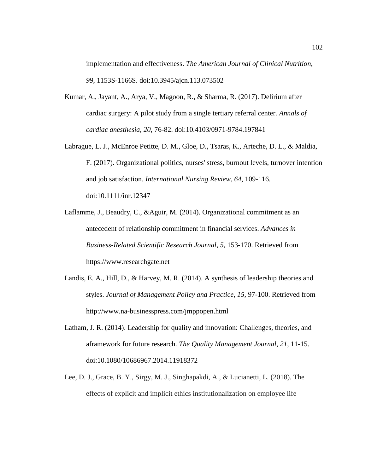implementation and effectiveness. *The American Journal of Clinical Nutrition*, *99*, 1153S-1166S. doi:10.3945/ajcn.113.073502

- Kumar, A., Jayant, A., Arya, V., Magoon, R., & Sharma, R. (2017). Delirium after cardiac surgery: A pilot study from a single tertiary referral center. *Annals of cardiac anesthesia*, *20*, 76-82. doi:10.4103/0971-9784.197841
- Labrague, L. J., McEnroe Petitte, D. M., Gloe, D., Tsaras, K., Arteche, D. L., & Maldia, F. (2017). Organizational politics, nurses' stress, burnout levels, turnover intention and job satisfaction. *International Nursing Review*, *64*, 109-116. doi:10.1111/inr.12347
- Laflamme, J., Beaudry, C., &Aguir, M. (2014). Organizational commitment as an antecedent of relationship commitment in financial services. *Advances in Business-Related Scientific Research Journal*, *5*, 153-170. Retrieved from https://www.researchgate.net
- Landis, E. A., Hill, D., & Harvey, M. R. (2014). A synthesis of leadership theories and styles. *Journal of Management Policy and Practice*, *15*, 97-100. Retrieved from http://www.na-businesspress.com/jmppopen.html
- Latham, J. R. (2014). Leadership for quality and innovation: Challenges, theories, and aframework for future research. *The Quality Management Journal*, *21*, 11-15. doi:10.1080/10686967.2014.11918372
- Lee, D. J., Grace, B. Y., Sirgy, M. J., Singhapakdi, A., & Lucianetti, L. (2018). The effects of explicit and implicit ethics institutionalization on employee life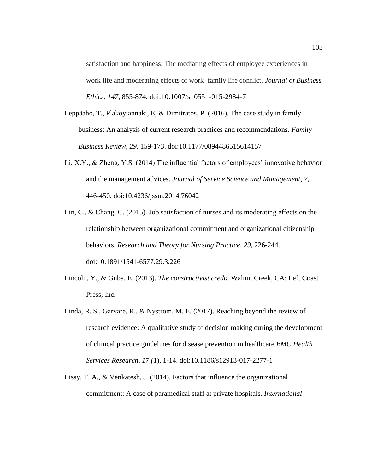satisfaction and happiness: The mediating effects of employee experiences in work life and moderating effects of work–family life conflict. *Journal of Business Ethics*, *147*, 855-874. doi:10.1007/s10551-015-2984-7

- Leppäaho, T., Plakoyiannaki, E, & Dimitratos, P. (2016). The case study in family business: An analysis of current research practices and recommendations. *Family Business Review*, *29*, 159-173. doi:10.1177/0894486515614157
- Li, X.Y., & Zheng, Y.S. (2014) The influential factors of employees' innovative behavior and the management advices. *Journal of Service Science and Management*, *7*, 446-450. doi:10.4236/jssm.2014.76042
- Lin, C., & Chang, C. (2015). Job satisfaction of nurses and its moderating effects on the relationship between organizational commitment and organizational citizenship behaviors. *Research and Theory for Nursing Practice*, *29*, 226-244. doi:10.1891/1541-6577.29.3.226
- Lincoln, Y., & Guba, E. (2013). *The constructivist credo*. Walnut Creek, CA: Left Coast Press, Inc.
- Linda, R. S., Garvare, R., & Nystrom, M. E. (2017). Reaching beyond the review of research evidence: A qualitative study of decision making during the development of clinical practice guidelines for disease prevention in healthcare.*BMC Health Services Research*, *17 (*1), 1-14. doi:10.1186/s12913-017-2277-1
- Lissy, T. A., & Venkatesh, J. (2014). Factors that influence the organizational commitment: A case of paramedical staff at private hospitals. *International*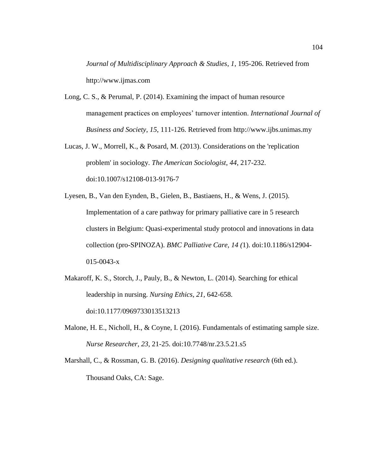*Journal of Multidisciplinary Approach & Studies*, *1*, 195-206. Retrieved from http://www.ijmas.com

- Long, C. S., & Perumal, P. (2014). Examining the impact of human resource management practices on employees' turnover intention. *International Journal of Business and Society*, *15*, 111-126. Retrieved from http://www.ijbs.unimas.my
- Lucas, J. W., Morrell, K., & Posard, M. (2013). Considerations on the 'replication problem' in sociology. *The American Sociologist*, *44*, 217-232. doi:10.1007/s12108-013-9176-7
- Lyesen, B., Van den Eynden, B., Gielen, B., Bastiaens, H., & Wens, J. (2015). Implementation of a care pathway for primary palliative care in 5 research clusters in Belgium: Quasi-experimental study protocol and innovations in data collection (pro-SPINOZA). *BMC Palliative Care*, *14 (*1). doi:10.1186/s12904- 015-0043-x
- Makaroff, K. S., Storch, J., Pauly, B., & Newton, L. (2014). Searching for ethical leadership in nursing. *Nursing Ethics*, *21*, 642-658. doi:10.1177/0969733013513213
- Malone, H. E., Nicholl, H., & Coyne, I. (2016). Fundamentals of estimating sample size. *Nurse Researcher*, *23*, 21-25. doi:10.7748/nr.23.5.21.s5
- Marshall, C., & Rossman, G. B. (2016). *Designing qualitative research* (6th ed.). Thousand Oaks, CA: Sage.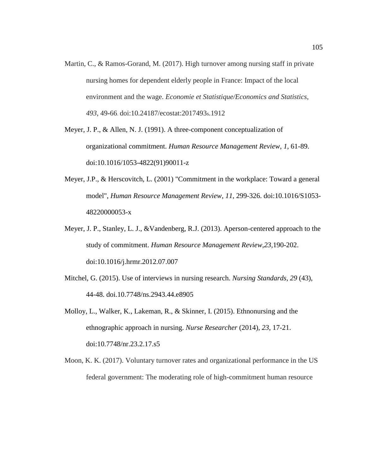- Martin, C., & Ramos-Gorand, M. (2017). High turnover among nursing staff in private nursing homes for dependent elderly people in France: Impact of the local environment and the wage. *Economie et Statistique/Economics and Statistics*, *493*, 49-66. doi:10.24187/ecostat:2017493s.1912
- Meyer, J. P., & Allen, N. J. (1991). A three-component conceptualization of organizational commitment. *Human Resource Management Review*, *1*, 61-89. doi:10.1016/1053-4822(91)90011-z
- Meyer, J.P., & Herscovitch, L. (2001) "Commitment in the workplace: Toward a general model", *Human Resource Management Review*, *11,* 299-326. doi:10.1016/S1053- 48220000053-x
- Meyer, J. P., Stanley, L. J., &Vandenberg, R.J. (2013). Aperson-centered approach to the study of commitment. *Human Resource Management Review,23,*190-202. doi:10.1016/j.hrmr.2012.07.007
- Mitchel, G. (2015). Use of interviews in nursing research. *Nursing Standards, 29* (43), 44-48. doi.10.7748/ns.2943.44.e8905
- Molloy, L., Walker, K., Lakeman, R., & Skinner, I. (2015). Ethnonursing and the ethnographic approach in nursing. *Nurse Researcher* (2014), *23*, 17-21. doi:10.7748/nr.23.2.17.s5
- Moon, K. K. (2017). Voluntary turnover rates and organizational performance in the US federal government: The moderating role of high-commitment human resource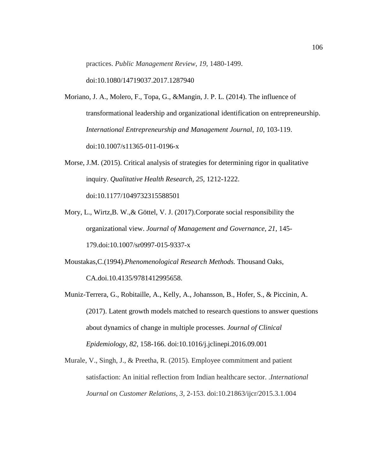practices. *Public Management Review*, *19*, 1480-1499[.](https://doi.org/10.1080/14719037.2017.1287940)

[doi:10.1080/14719037.2017.1287940](https://doi.org/10.1080/14719037.2017.1287940)

- Moriano, J. A., Molero, F., Topa, G., &Mangin, J. P. L. (2014). The influence of transformational leadership and organizational identification on entrepreneurship. *International Entrepreneurship and Management Journal*, *10*, 103-119. doi:10.1007/s11365-011-0196-x
- Morse, J.M. (2015). Critical analysis of strategies for determining rigor in qualitative inquiry. *Qualitative Health Research*, *25*, 1212-1222. doi:10.1177/1049732315588501
- Mory, L., Wirtz,B. W.,& Göttel, V. J. (2017).Corporate social responsibility the organizational view. *Journal of Management and Governance, 21,* 145- 179.doi:10.1007/sr0997-015-9337-x
- Moustakas,C.(1994).*Phenomenological Research Methods.* Thousand Oaks, CA.doi.10.4135/9781412995658.
- Muniz-Terrera, G., Robitaille, A., Kelly, A., Johansson, B., Hofer, S., & Piccinin, A. (2017). Latent growth models matched to research questions to answer questions about dynamics of change in multiple processes. *Journal of Clinical Epidemiology*, *82*, 158-166. doi:10.1016/j.jclinepi.2016.09.001
- Murale, V., Singh, J., & Preetha, R. (2015). Employee commitment and patient satisfaction: An initial reflection from Indian healthcare sector. .*International Journal on Customer Relations*, *3*, 2-153. doi:10.21863/ijcr/2015.3.1.004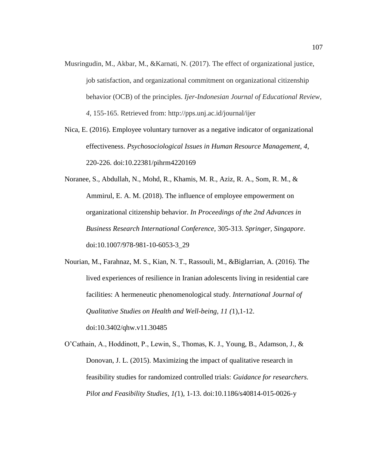- Musringudin, M., Akbar, M., &Karnati, N. (2017). The effect of organizational justice, job satisfaction, and organizational commitment on organizational citizenship behavior (OCB) of the principles. *Ijer-Indonesian Journal of Educational Review*, *4*, 155-165. Retrieved from: http://pps.unj.ac.id/journal/ijer
- Nica, E. (2016). Employee voluntary turnover as a negative indicator of organizational effectiveness. *Psychosociological Issues in Human Resource Management*, *4*, 220-226. doi:10.22381/pihrm4220169
- Noranee, S., Abdullah, N., Mohd, R., Khamis, M. R., Aziz, R. A., Som, R. M., & Ammirul, E. A. M. (2018). The influence of employee empowerment on organizational citizenship behavior. *In Proceedings of the 2nd Advances in Business Research International Conference,* 305-313*. Springer, Singapore*. doi:10.1007/978-981-10-6053-3\_29
- Nourian, M., Farahnaz, M. S., Kian, N. T., Rassouli, M., &Biglarrian, A. (2016). The lived experiences of resilience in Iranian adolescents living in residential care facilities: A hermeneutic phenomenological study. *International Journal of Qualitative Studies on Health and Well-being, 11 (*1),1-12. doi:10.3402/qhw.v11.30485
- O'Cathain, A., Hoddinott, P., Lewin, S., Thomas, K. J., Young, B., Adamson, J., & Donovan, J. L. (2015). Maximizing the impact of qualitative research in feasibility studies for randomized controlled trials: *Guidance for researchers. Pilot and Feasibility Studies*, *1(*1), 1-13. doi:10.1186/s40814-015-0026-y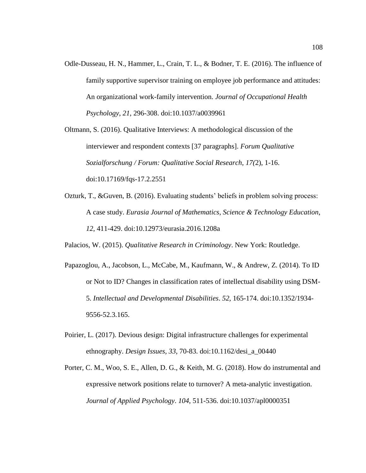Odle-Dusseau, H. N., Hammer, L., Crain, T. L., & Bodner, T. E. (2016). The influence of family supportive supervisor training on employee job performance and attitudes: An organizational work-family intervention. *Journal of Occupational Health Psychology*, *21*, 296-308. doi:10.1037/a0039961

Oltmann, S. (2016). Qualitative Interviews: A methodological discussion of the interviewer and respondent contexts [37 paragraphs]. *Forum Qualitative Sozialforschung / Forum: Qualitative Social Research*, *17(*2), 1-16. doi:10.17169/fqs-17.2.2551

Ozturk, T., &Guven, B. (2016). Evaluating students' beliefs in problem solving process: A case study. *Eurasia Journal of Mathematics, Science & Technology Education*, *12*, 411-429. doi:10.12973/eurasia.2016.1208a

Palacios, W. (2015). *Qualitative Research in Criminology*. New York: Routledge.

- Papazoglou, A., Jacobson, L., McCabe, M., Kaufmann, W., & Andrew, Z. (2014). To ID or Not to ID? Changes in classification rates of intellectual disability using DSM-5. *Intellectual and Developmental Disabilities*. *52,* 165-174. doi:10.1352/1934- 9556-52.3.165.
- Poirier, L. (2017). Devious design: Digital infrastructure challenges for experimental ethnography. *Design Issues*, *33*, 70-83. doi:10.1162/desi\_a\_00440
- Porter, C. M., Woo, S. E., Allen, D. G., & Keith, M. G. (2018). How do instrumental and expressive network positions relate to turnover? A meta-analytic investigation. *Journal of Applied Psychology*. *104*, 511-536. doi:10.1037/apl0000351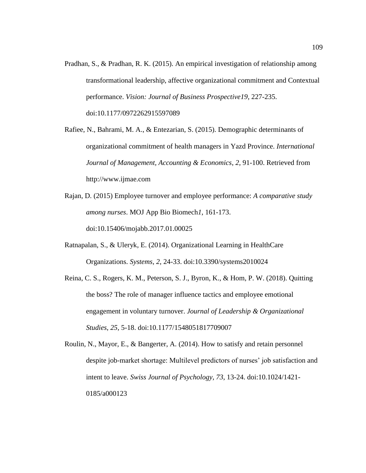Pradhan, S., & Pradhan, R. K. (2015). An empirical investigation of relationship among transformational leadership, affective organizational commitment and Contextual performance. *Vision: Journal of Business Prospective19*, 227-235. doi:10.1177/0972262915597089

Rafiee, N., Bahrami, M. A., & Entezarian, S. (2015). Demographic determinants of organizational commitment of health managers in Yazd Province. *International Journal of Management, Accounting & Economics*, *2*, 91-100. Retrieved from [http://www.ijmae.com](http://www.ijmae.com/)

- Rajan, D. (2015) Employee turnover and employee performance: *A comparative study among nurses*. MOJ App Bio Biomech*1*, 161-173. doi:10.15406/mojabb.2017.01.00025
- Ratnapalan, S., & Uleryk, E. (2014). Organizational Learning in HealthCare Organizations. *Systems*, *2*, 24-33. doi:10.3390/systems2010024
- Reina, C. S., Rogers, K. M., Peterson, S. J., Byron, K., & Hom, P. W. (2018). Quitting the boss? The role of manager influence tactics and employee emotional engagement in voluntary turnover. *Journal of Leadership & Organizational Studies*, *25*, 5-18. doi:10.1177/1548051817709007

Roulin, N., Mayor, E., & Bangerter, A. (2014). How to satisfy and retain personnel despite job-market shortage: Multilevel predictors of nurses' job satisfaction and intent to leave. *Swiss Journal of Psychology*, *73*, 13-24. doi:10.1024/1421- 0185/a000123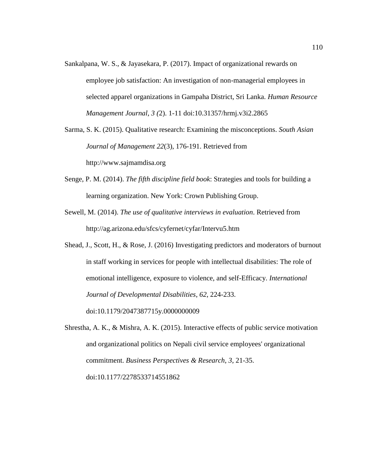- Sankalpana, W. S., & Jayasekara, P. (2017). Impact of organizational rewards on employee job satisfaction: An investigation of non-managerial employees in selected apparel organizations in Gampaha District, Sri Lanka. *Human Resource Management Journal*, *3 (*2). 1-11 doi:10.31357/hrmj.v3i2.2865
- Sarma, S. K. (2015). Qualitative research: Examining the misconceptions. *South Asian Journal of Management 22*(3), 176-191. Retrieved from http://www.sajmamdisa.org
- Senge, P. M. (2014). *The fifth discipline field book*: Strategies and tools for building a learning organization. New York: Crown Publishing Group.
- Sewell, M. (2014). *The use of qualitative interviews in evaluation*. Retrieved from http://ag.arizona.edu/sfcs/cyfernet/cyfar/Intervu5.htm
- Shead, J., Scott, H., & Rose, J. (2016) Investigating predictors and moderators of burnout in staff working in services for people with intellectual disabilities: The role of emotional intelligence, exposure to violence, and self-Efficacy. *International Journal of Developmental Disabilities*, *62*, 224-233. doi[:10.1179/2047387715y.0000000009](https://doi-org.ezp.waldenulibrary.org/10.1179/2047387715Y.0000000009)
- Shrestha, A. K., & Mishra, A. K. (2015). Interactive effects of public service motivation and organizational politics on Nepali civil service employees' organizational commitment. *Business Perspectives & Research*, *3*, 21-35. doi:10.1177/2278533714551862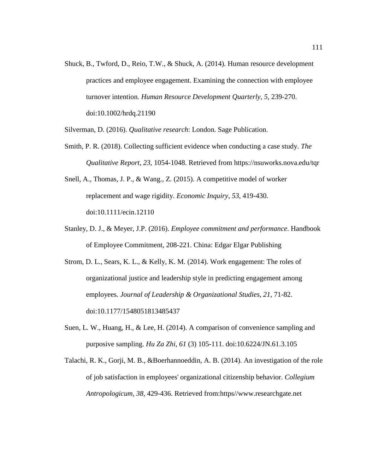Shuck, B., Twford, D., Reio, T.W., & Shuck, A. (2014). Human resource development practices and employee engagement. Examining the connection with employee turnover intention. *Human Resource Development Quarterly, 5,* 239-270. doi:10.1002/hrdq.21190

Silverman, D. (2016). *Qualitative research*: London. Sage Publication.

- Smith, P. R. (2018). Collecting sufficient evidence when conducting a case study. *The Qualitative Report*, *23*, 1054-1048. Retrieved from https://nsuworks.nova.edu/tqr
- Snell, A., Thomas, J. P., & Wang., Z. (2015). A competitive model of worker replacement and wage rigidity. *Economic Inquiry*, *53*, 419-430. doi:10.1111/ecin.12110
- Stanley, D. J., & Meyer, J.P. (2016). *Employee commitment and performance*. Handbook of Employee Commitment*,* 208-221. China: Edgar Elgar Publishing
- Strom, D. L., Sears, K. L., & Kelly, K. M. (2014). Work engagement: The roles of organizational justice and leadership style in predicting engagement among employees. *Journal of Leadership & Organizational Studies*, *21*, 71-82. doi:10.1177/1548051813485437
- Suen, L. W., Huang, H., & Lee, H. (2014). A comparison of convenience sampling and purposive sampling. *Hu Za Zhi, 61* (3) 105-111. doi:10.6224/JN.61.3.105
- Talachi, R. K., Gorji, M. B., &Boerhannoeddin, A. B. (2014). An investigation of the role of job satisfaction in employees' organizational citizenship behavior. *Collegium Antropologicum*, *38*, 429-436. Retrieved from:https//www.researchgate.net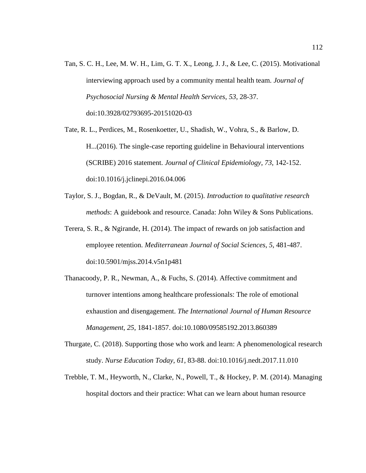- Tan, S. C. H., Lee, M. W. H., Lim, G. T. X., Leong, J. J., & Lee, C. (2015). Motivational interviewing approach used by a community mental health team. *Journal of Psychosocial Nursing & Mental Health Services*, *53*, 28-37. doi:10.3928/02793695-20151020-03
- Tate, R. L., Perdices, M., Rosenkoetter, U., Shadish, W., Vohra, S., & Barlow, D. H...(2016). The single-case reporting guideline in Behavioural interventions (SCRIBE) 2016 statement. *Journal of Clinical Epidemiology*, *73*, 142-152. doi:10.1016/j.jclinepi.2016.04.006
- Taylor, S. J., Bogdan, R., & DeVault, M. (2015). *Introduction to qualitative research methods*: A guidebook and resource. Canada: John Wiley & Sons Publications.
- Terera, S. R., & Ngirande, H. (2014). The impact of rewards on job satisfaction and employee retention. *Mediterranean Journal of Social Sciences*, *5*, 481-487. doi:10.5901/mjss.2014.v5n1p481
- Thanacoody, P. R., Newman, A., & Fuchs, S. (2014). Affective commitment and turnover intentions among healthcare professionals: The role of emotional exhaustion and disengagement. *The International Journal of Human Resource Management*, *25*, 1841-1857. doi:10.1080/09585192.2013.860389
- Thurgate, C. (2018). Supporting those who work and learn: A phenomenological research study. *Nurse Education Today*, *61*, 83-88. doi:10.1016/j.nedt.2017.11.010
- Trebble, T. M., Heyworth, N., Clarke, N., Powell, T., & Hockey, P. M. (2014). Managing hospital doctors and their practice: What can we learn about human resource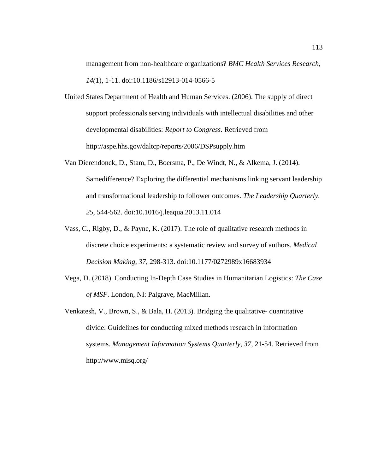management from non-healthcare organizations? *BMC Health Services Research*, *14(*1), 1-11. doi:10.1186/s12913-014-0566-5

- United States Department of Health and Human Services. (2006). The supply of direct support professionals serving individuals with intellectual disabilities and other developmental disabilities: *Report to Congress*. Retrieved from http://aspe.hhs.gov/daltcp/reports/2006/DSPsupply.htm
- Van Dierendonck, D., Stam, D., Boersma, P., De Windt, N., & Alkema, J. (2014). Samedifference? Exploring the differential mechanisms linking servant leadership and transformational leadership to follower outcomes. *The Leadership Quarterly*, *25*, 544-562. doi:10.1016/j.leaqua.2013.11.014
- Vass, C., Rigby, D., & Payne, K. (2017). The role of qualitative research methods in discrete choice experiments: a systematic review and survey of authors. *Medical Decision Making*, *37*, 298-313. doi:10.1177/0272989x16683934
- Vega, D. (2018). Conducting In-Depth Case Studies in Humanitarian Logistics: *The Case of MSF*. London, NI: Palgrave, MacMillan.
- Venkatesh, V., Brown, S., & Bala, H. (2013). Bridging the qualitative- quantitative divide: Guidelines for conducting mixed methods research in information systems. *Management Information Systems Quarterly*, *37*, 21-54. Retrieved from http://www.misq.org/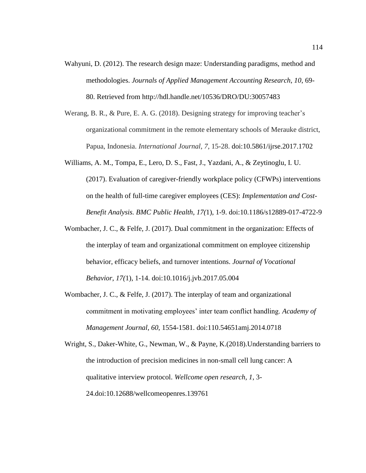- Wahyuni, D. (2012). The research design maze: Understanding paradigms, method and methodologies. *Journals of Applied Management Accounting Research*, *10*, 69- 80. Retrieved from http://hdl.handle.net/10536/DRO/DU:30057483
- Werang, B. R., & Pure, E. A. G. (2018). Designing strategy for improving teacher's organizational commitment in the remote elementary schools of Merauke district, Papua, Indonesia. *International Journal*, *7*, 15-28. doi:10.5861/ijrse.2017.1702
- Williams, A. M., Tompa, E., Lero, D. S., Fast, J., Yazdani, A., & Zeytinoglu, I. U. (2017). Evaluation of caregiver-friendly workplace policy (CFWPs) interventions on the health of full-time caregiver employees (CES): *Implementation and Cost-Benefit Analysis. BMC Public Health*, *17(*1), 1-9. doi:10.1186/s12889-017-4722-9
- Wombacher, J. C., & Felfe, J. (2017). Dual commitment in the organization: Effects of the interplay of team and organizational commitment on employee citizenship behavior, efficacy beliefs, and turnover intentions. *Journal of Vocational Behavior*, *17(*1), 1-14. doi:10.1016/j.jvb.2017.05.004
- Wombacher, J. C., & Felfe, J. (2017). The interplay of team and organizational commitment in motivating employees' inter team conflict handling. *Academy of Management Journal*, *60*, 1554-1581. doi:110.54651amj.2014.0718

Wright, S., Daker-White, G., Newman, W., & Payne, K.(2018).Understanding barriers to the introduction of precision medicines in non-small cell lung cancer: A qualitative interview protocol. *Wellcome open research, 1*, 3- 24.doi:10.12688/wellcomeopenres.139761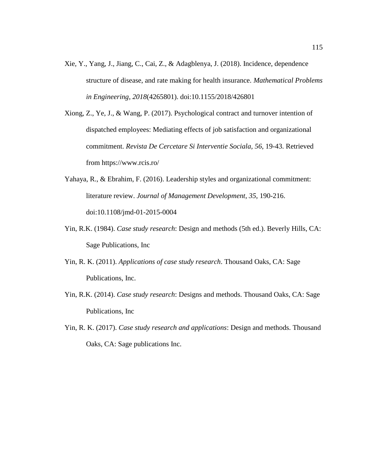- Xie, Y., Yang, J., Jiang, C., Cai, Z., & Adagblenya, J. (2018). Incidence, dependence structure of disease, and rate making for health insurance. *Mathematical Problems in Engineering*, *2018*(4265801). doi:10.1155/2018/426801
- Xiong, Z., Ye, J., & Wang, P. (2017). Psychological contract and turnover intention of dispatched employees: Mediating effects of job satisfaction and organizational commitment. *Revista De Cercetare Si Interventie Sociala, 56*, 19-43. Retrieved from https://www.rcis.ro/
- Yahaya, R., & Ebrahim, F. (2016). Leadership styles and organizational commitment: literature review. *Journal of Management Development*, *35*, 190-216. doi:10.1108/jmd-01-2015-0004
- Yin, R.K. (1984). *Case study research*: Design and methods (5th ed.). Beverly Hills, CA: Sage Publications, Inc
- Yin, R. K. (2011). *Applications of case study research*. Thousand Oaks, CA: Sage Publications, Inc.
- Yin, R.K. (2014). *Case study research*: Designs and methods. Thousand Oaks, CA: Sage Publications, Inc
- Yin, R. K. (2017). *Case study research and applications*: Design and methods. Thousand Oaks, CA: Sage publications Inc.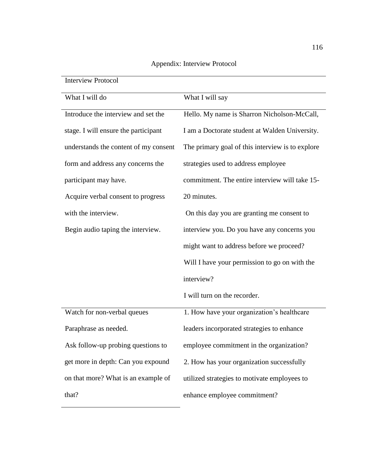| <b>Interview Protocol</b>             |                                                  |
|---------------------------------------|--------------------------------------------------|
| What I will do                        | What I will say                                  |
| Introduce the interview and set the   | Hello. My name is Sharron Nicholson-McCall,      |
| stage. I will ensure the participant  | I am a Doctorate student at Walden University.   |
| understands the content of my consent | The primary goal of this interview is to explore |
| form and address any concerns the     | strategies used to address employee              |
| participant may have.                 | commitment. The entire interview will take 15-   |
| Acquire verbal consent to progress    | 20 minutes.                                      |
| with the interview.                   | On this day you are granting me consent to       |
| Begin audio taping the interview.     | interview you. Do you have any concerns you      |
|                                       | might want to address before we proceed?         |
|                                       | Will I have your permission to go on with the    |
|                                       | interview?                                       |
|                                       | I will turn on the recorder.                     |
| Watch for non-verbal queues           | 1. How have your organization's healthcare       |
| Paraphrase as needed.                 | leaders incorporated strategies to enhance       |
| Ask follow-up probing questions to    | employee commitment in the organization?         |
| get more in depth: Can you expound    | 2. How has your organization successfully        |
| on that more? What is an example of   | utilized strategies to motivate employees to     |
| that?                                 | enhance employee commitment?                     |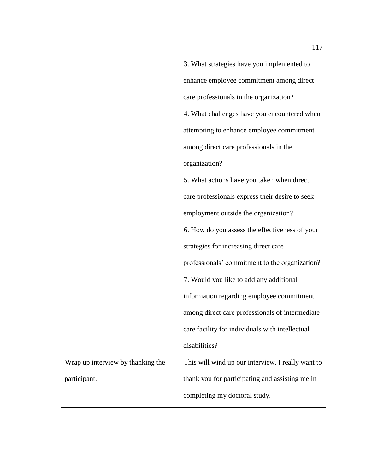3. What strategies have you implemented to enhance employee commitment among direct care professionals in the organization? 4. What challenges have you encountered when attempting to enhance employee commitment among direct care professionals in the organization? 5. What actions have you taken when direct care professionals express their desire to seek employment outside the organization? 6. How do you assess the effectiveness of your strategies for increasing direct care professionals' commitment to the organization? 7. Would you like to add any additional information regarding employee commitment among direct care professionals of intermediate care facility for individuals with intellectual disabilities? Wrap up interview by thanking the participant. This will wind up our interview. I really want to thank you for participating and assisting me in completing my doctoral study.